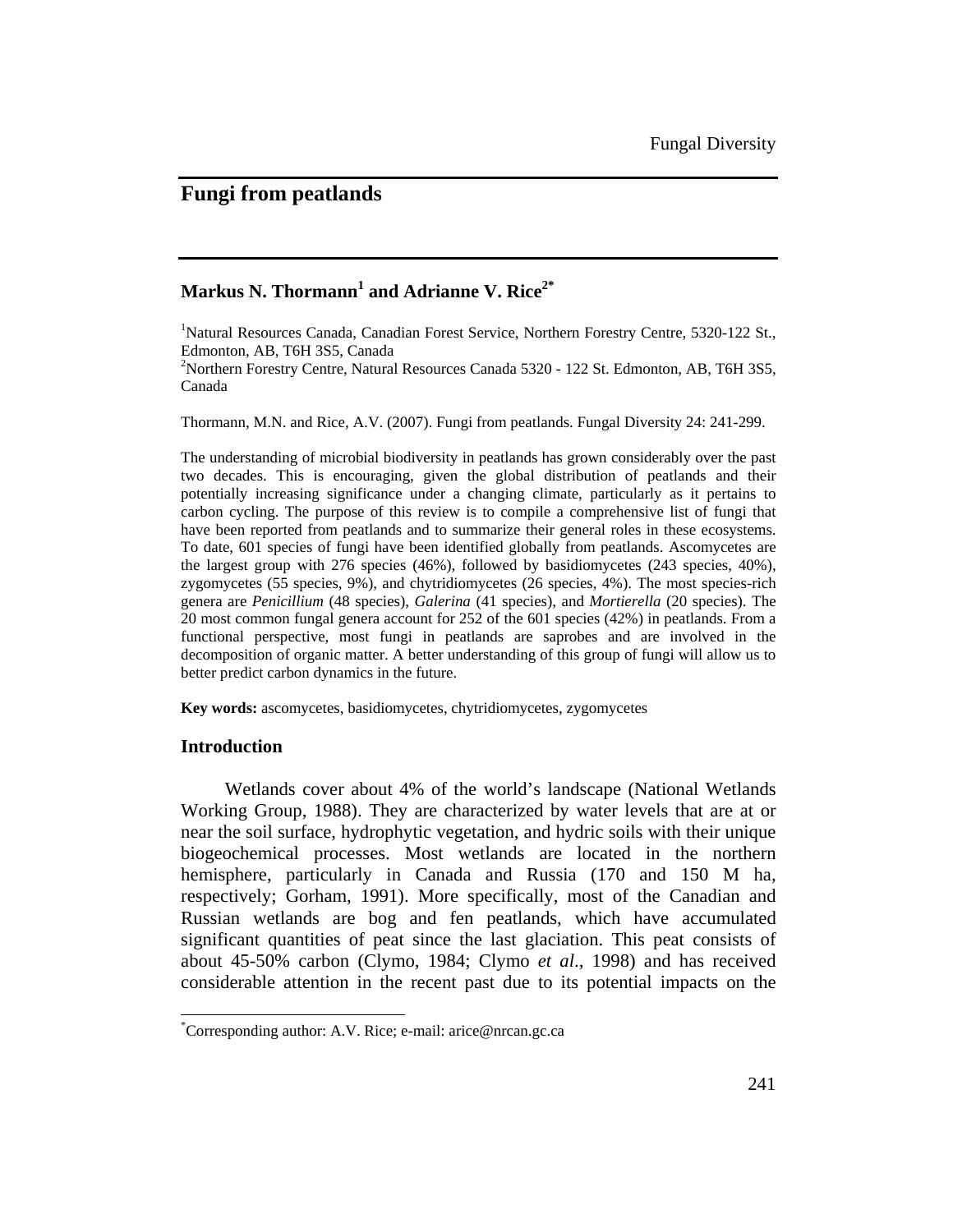# **Fungi from peatlands**

## **Markus N. Thormann<sup>1</sup> and Adrianne V. Rice2\***

<sup>1</sup>Natural Resources Canada, Canadian Forest Service, Northern Forestry Centre, 5320-122 St., Edmonton, AB, T6H 3S5, Canada

<sup>2</sup>Northern Forestry Centre, Natural Resources Canada 5320 - 122 St. Edmonton, AB, T6H 3S5, Canada

Thormann, M.N. and Rice, A.V. (2007). Fungi from peatlands. Fungal Diversity 24: 241-299.

The understanding of microbial biodiversity in peatlands has grown considerably over the past two decades. This is encouraging, given the global distribution of peatlands and their potentially increasing significance under a changing climate, particularly as it pertains to carbon cycling. The purpose of this review is to compile a comprehensive list of fungi that have been reported from peatlands and to summarize their general roles in these ecosystems. To date, 601 species of fungi have been identified globally from peatlands. Ascomycetes are the largest group with 276 species (46%), followed by basidiomycetes (243 species, 40%), zygomycetes (55 species, 9%), and chytridiomycetes (26 species, 4%). The most species-rich genera are *Penicillium* (48 species), *Galerina* (41 species), and *Mortierella* (20 species). The 20 most common fungal genera account for 252 of the 601 species (42%) in peatlands. From a functional perspective, most fungi in peatlands are saprobes and are involved in the decomposition of organic matter. A better understanding of this group of fungi will allow us to better predict carbon dynamics in the future.

**Key words:** ascomycetes, basidiomycetes, chytridiomycetes, zygomycetes

### **Introduction**

 $\overline{\phantom{a}}$ 

Wetlands cover about 4% of the world's landscape (National Wetlands Working Group, 1988). They are characterized by water levels that are at or near the soil surface, hydrophytic vegetation, and hydric soils with their unique biogeochemical processes. Most wetlands are located in the northern hemisphere, particularly in Canada and Russia (170 and 150 M ha, respectively; Gorham, 1991). More specifically, most of the Canadian and Russian wetlands are bog and fen peatlands, which have accumulated significant quantities of peat since the last glaciation. This peat consists of about 45-50% carbon (Clymo, 1984; Clymo *et al*., 1998) and has received considerable attention in the recent past due to its potential impacts on the

<sup>\*</sup> Corresponding author: A.V. Rice; e-mail: arice@nrcan.gc.ca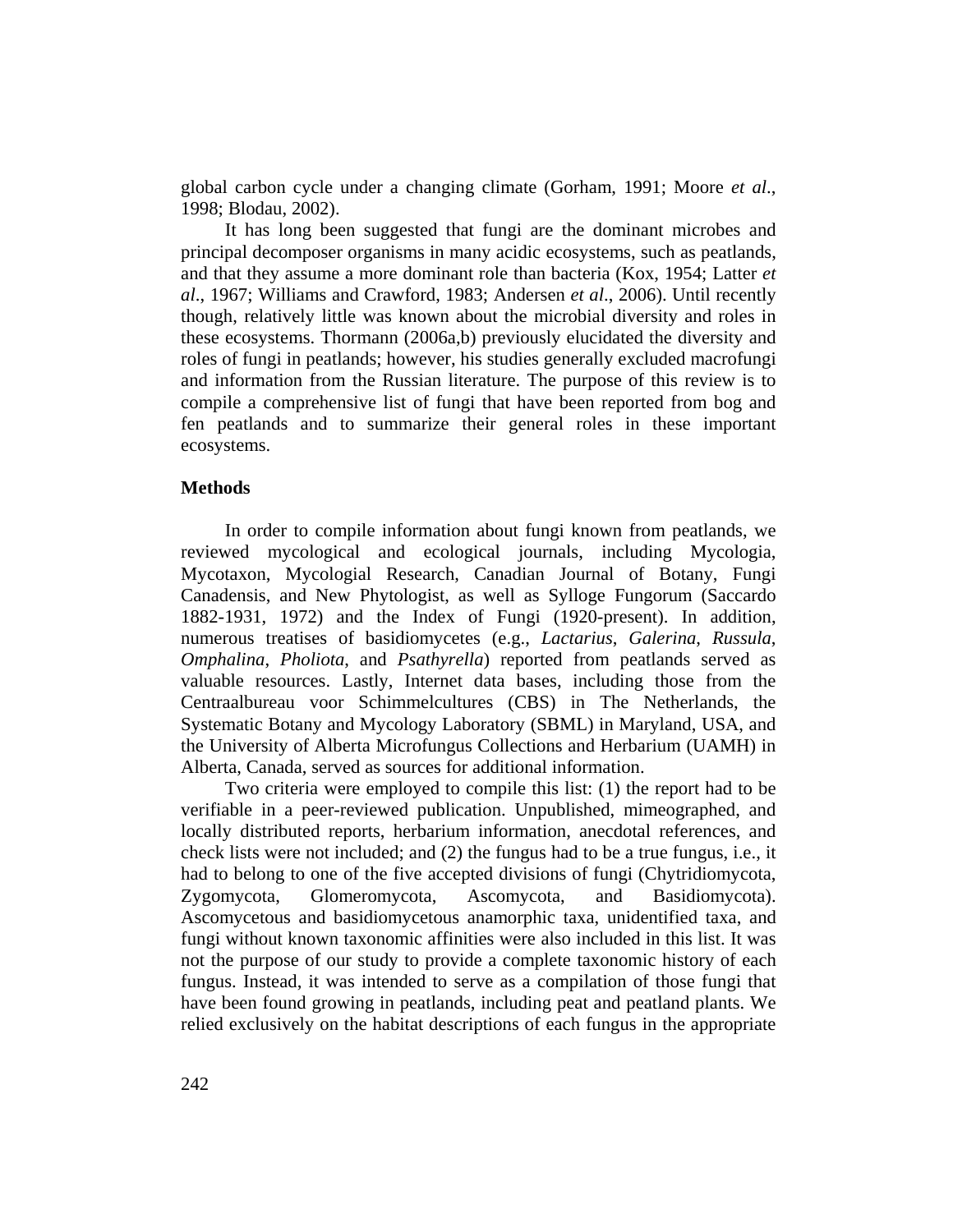global carbon cycle under a changing climate (Gorham, 1991; Moore *et al*., 1998; Blodau, 2002).

It has long been suggested that fungi are the dominant microbes and principal decomposer organisms in many acidic ecosystems, such as peatlands, and that they assume a more dominant role than bacteria (Kox, 1954; Latter *et al*., 1967; Williams and Crawford, 1983; Andersen *et al*., 2006). Until recently though, relatively little was known about the microbial diversity and roles in these ecosystems. Thormann (2006a,b) previously elucidated the diversity and roles of fungi in peatlands; however, his studies generally excluded macrofungi and information from the Russian literature. The purpose of this review is to compile a comprehensive list of fungi that have been reported from bog and fen peatlands and to summarize their general roles in these important ecosystems.

## **Methods**

In order to compile information about fungi known from peatlands, we reviewed mycological and ecological journals, including Mycologia, Mycotaxon, Mycologial Research, Canadian Journal of Botany, Fungi Canadensis, and New Phytologist, as well as Sylloge Fungorum (Saccardo 1882-1931, 1972) and the Index of Fungi (1920-present). In addition, numerous treatises of basidiomycetes (e.g., *Lactarius*, *Galerina*, *Russula*, *Omphalina*, *Pholiota*, and *Psathyrella*) reported from peatlands served as valuable resources. Lastly, Internet data bases, including those from the Centraalbureau voor Schimmelcultures (CBS) in The Netherlands, the Systematic Botany and Mycology Laboratory (SBML) in Maryland, USA, and the University of Alberta Microfungus Collections and Herbarium (UAMH) in Alberta, Canada, served as sources for additional information.

Two criteria were employed to compile this list: (1) the report had to be verifiable in a peer-reviewed publication. Unpublished, mimeographed, and locally distributed reports, herbarium information, anecdotal references, and check lists were not included; and (2) the fungus had to be a true fungus, i.e., it had to belong to one of the five accepted divisions of fungi (Chytridiomycota, Zygomycota, Glomeromycota, Ascomycota, and Basidiomycota). Ascomycetous and basidiomycetous anamorphic taxa, unidentified taxa, and fungi without known taxonomic affinities were also included in this list. It was not the purpose of our study to provide a complete taxonomic history of each fungus. Instead, it was intended to serve as a compilation of those fungi that have been found growing in peatlands, including peat and peatland plants. We relied exclusively on the habitat descriptions of each fungus in the appropriate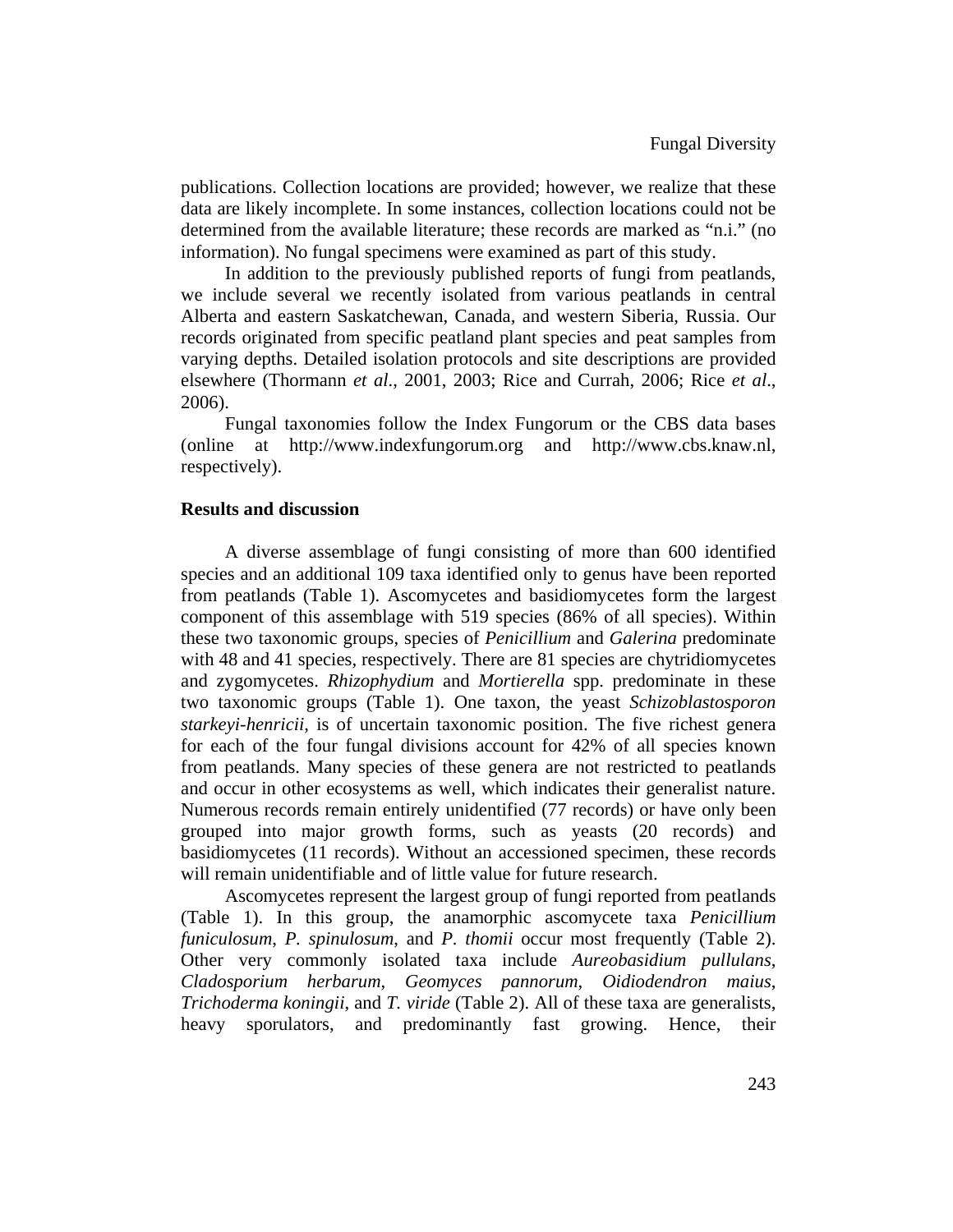publications. Collection locations are provided; however, we realize that these data are likely incomplete. In some instances, collection locations could not be determined from the available literature; these records are marked as "n.i." (no information). No fungal specimens were examined as part of this study.

In addition to the previously published reports of fungi from peatlands, we include several we recently isolated from various peatlands in central Alberta and eastern Saskatchewan, Canada, and western Siberia, Russia. Our records originated from specific peatland plant species and peat samples from varying depths. Detailed isolation protocols and site descriptions are provided elsewhere (Thormann *et al*., 2001, 2003; Rice and Currah, 2006; Rice *et al*., 2006).

Fungal taxonomies follow the Index Fungorum or the CBS data bases (online at http://www.indexfungorum.org and http://www.cbs.knaw.nl, respectively).

## **Results and discussion**

A diverse assemblage of fungi consisting of more than 600 identified species and an additional 109 taxa identified only to genus have been reported from peatlands (Table 1). Ascomycetes and basidiomycetes form the largest component of this assemblage with 519 species (86% of all species). Within these two taxonomic groups, species of *Penicillium* and *Galerina* predominate with 48 and 41 species, respectively. There are 81 species are chytridiomycetes and zygomycetes. *Rhizophydium* and *Mortierella* spp. predominate in these two taxonomic groups (Table 1). One taxon, the yeast *Schizoblastosporon starkeyi-henricii*, is of uncertain taxonomic position. The five richest genera for each of the four fungal divisions account for 42% of all species known from peatlands. Many species of these genera are not restricted to peatlands and occur in other ecosystems as well, which indicates their generalist nature. Numerous records remain entirely unidentified (77 records) or have only been grouped into major growth forms, such as yeasts (20 records) and basidiomycetes (11 records). Without an accessioned specimen, these records will remain unidentifiable and of little value for future research.

Ascomycetes represent the largest group of fungi reported from peatlands (Table 1). In this group, the anamorphic ascomycete taxa *Penicillium funiculosum*, *P. spinulosum*, and *P. thomii* occur most frequently (Table 2). Other very commonly isolated taxa include *Aureobasidium pullulans*, *Cladosporium herbarum*, *Geomyces pannorum*, *Oidiodendron maius*, *Trichoderma koningii*, and *T. viride* (Table 2). All of these taxa are generalists, heavy sporulators, and predominantly fast growing. Hence, their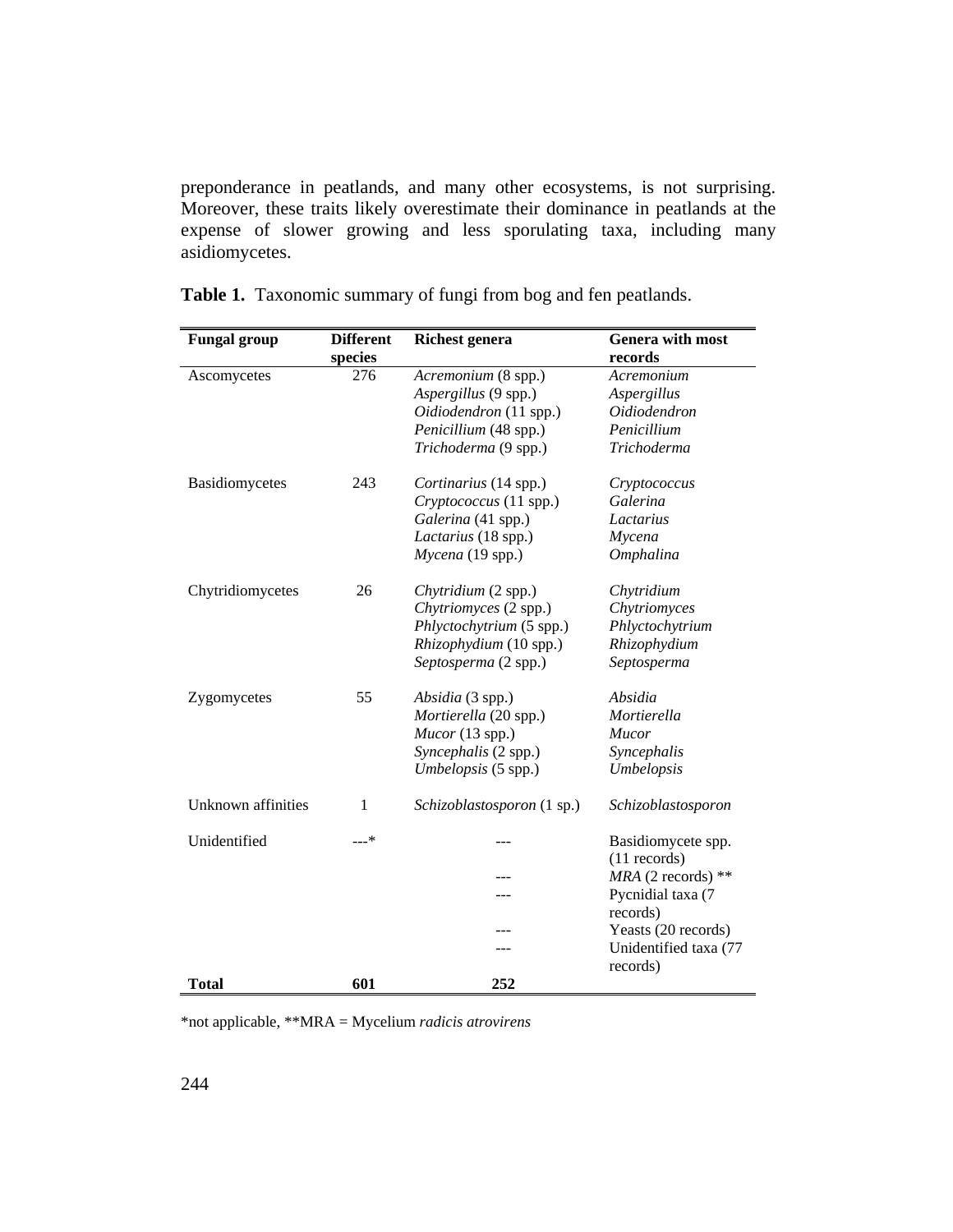preponderance in peatlands, and many other ecosystems, is not surprising. Moreover, these traits likely overestimate their dominance in peatlands at the expense of slower growing and less sporulating taxa, including many asidiomycetes.

| <b>Fungal group</b> | <b>Different</b> | <b>Richest genera</b>      | <b>Genera with most</b> |
|---------------------|------------------|----------------------------|-------------------------|
|                     | species          |                            | records                 |
| Ascomycetes         | 276              | Acremonium (8 spp.)        | Acremonium              |
|                     |                  | Aspergillus (9 spp.)       | Aspergillus             |
|                     |                  | Oidiodendron (11 spp.)     | Oidiodendron            |
|                     |                  | Penicillium (48 spp.)      | Penicillium             |
|                     |                  | Trichoderma (9 spp.)       | Trichoderma             |
| Basidiomycetes      | 243              | Cortinarius (14 spp.)      | Cryptococcus            |
|                     |                  | Cryptococcus (11 spp.)     | Galerina                |
|                     |                  | Galerina (41 spp.)         | Lactarius               |
|                     |                  | Lactarius (18 spp.)        | Mycena                  |
|                     |                  | Mycena (19 spp.)           | Omphalina               |
| Chytridiomycetes    | 26               | Chytridium (2 spp.)        | Chytridium              |
|                     |                  | Chytriomyces (2 spp.)      | Chytriomyces            |
|                     |                  | Phlyctochytrium (5 spp.)   | Phlyctochytrium         |
|                     |                  | Rhizophydium (10 spp.)     | Rhizophydium            |
|                     |                  | Septosperma (2 spp.)       | Septosperma             |
| Zygomycetes         | 55               | Absidia (3 spp.)           | Absidia                 |
|                     |                  | Mortierella (20 spp.)      | Mortierella             |
|                     |                  | $Mucor$ (13 spp.)          | <b>Mucor</b>            |
|                     |                  | Syncephalis (2 spp.)       | Syncephalis             |
|                     |                  | Umbelopsis (5 spp.)        | Umbelopsis              |
| Unknown affinities  | 1                | Schizoblastosporon (1 sp.) | Schizoblastosporon      |
| Unidentified        | $---*$           |                            | Basidiomycete spp.      |
|                     |                  |                            | $(11$ records)          |
|                     |                  |                            | $MRA$ (2 records) **    |
|                     |                  |                            | Pycnidial taxa (7       |
|                     |                  |                            | records)                |
|                     |                  |                            | Yeasts (20 records)     |
|                     |                  |                            | Unidentified taxa (77   |
|                     |                  |                            | records)                |
| Total               | 601              | 252                        |                         |

**Table 1.** Taxonomic summary of fungi from bog and fen peatlands.

\*not applicable, \*\*MRA = Mycelium *radicis atrovirens*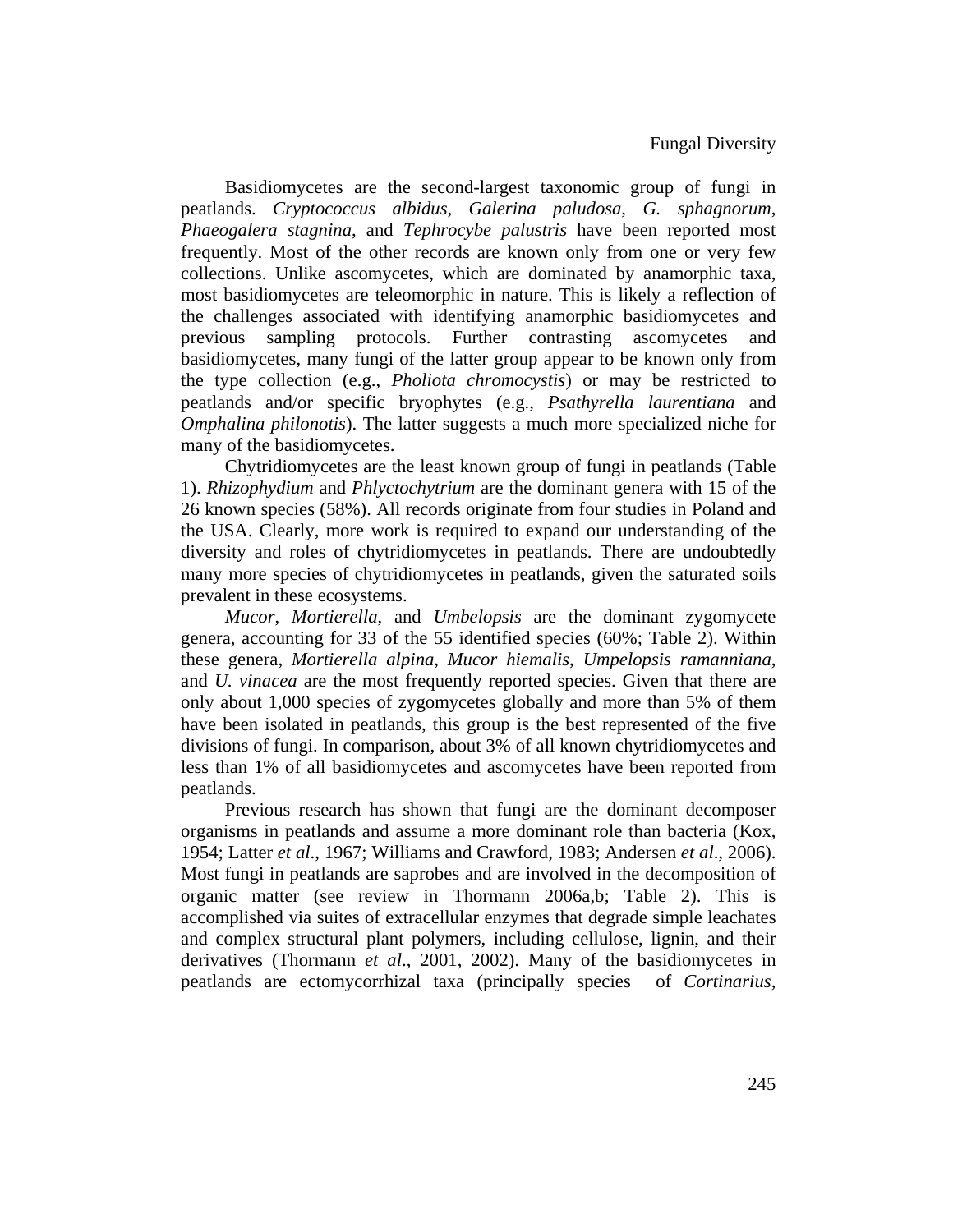Basidiomycetes are the second-largest taxonomic group of fungi in peatlands. *Cryptococcus albidus*, *Galerina paludosa*, *G. sphagnorum*, *Phaeogalera stagnina*, and *Tephrocybe palustris* have been reported most frequently. Most of the other records are known only from one or very few collections. Unlike ascomycetes, which are dominated by anamorphic taxa, most basidiomycetes are teleomorphic in nature. This is likely a reflection of the challenges associated with identifying anamorphic basidiomycetes and previous sampling protocols. Further contrasting ascomycetes and basidiomycetes, many fungi of the latter group appear to be known only from the type collection (e.g., *Pholiota chromocystis*) or may be restricted to peatlands and/or specific bryophytes (e.g., *Psathyrella laurentiana* and *Omphalina philonotis*). The latter suggests a much more specialized niche for many of the basidiomycetes.

Chytridiomycetes are the least known group of fungi in peatlands (Table 1). *Rhizophydium* and *Phlyctochytrium* are the dominant genera with 15 of the 26 known species (58%). All records originate from four studies in Poland and the USA. Clearly, more work is required to expand our understanding of the diversity and roles of chytridiomycetes in peatlands. There are undoubtedly many more species of chytridiomycetes in peatlands, given the saturated soils prevalent in these ecosystems.

*Mucor*, *Mortierella*, and *Umbelopsis* are the dominant zygomycete genera, accounting for 33 of the 55 identified species (60%; Table 2). Within these genera, *Mortierella alpina*, *Mucor hiemalis*, *Umpelopsis ramanniana*, and *U. vinacea* are the most frequently reported species. Given that there are only about 1,000 species of zygomycetes globally and more than 5% of them have been isolated in peatlands, this group is the best represented of the five divisions of fungi. In comparison, about 3% of all known chytridiomycetes and less than 1% of all basidiomycetes and ascomycetes have been reported from peatlands.

Previous research has shown that fungi are the dominant decomposer organisms in peatlands and assume a more dominant role than bacteria (Kox, 1954; Latter *et al*., 1967; Williams and Crawford, 1983; Andersen *et al*., 2006). Most fungi in peatlands are saprobes and are involved in the decomposition of organic matter (see review in Thormann 2006a,b; Table 2). This is accomplished via suites of extracellular enzymes that degrade simple leachates and complex structural plant polymers, including cellulose, lignin, and their derivatives (Thormann *et al*., 2001, 2002). Many of the basidiomycetes in peatlands are ectomycorrhizal taxa (principally species of *Cortinarius*,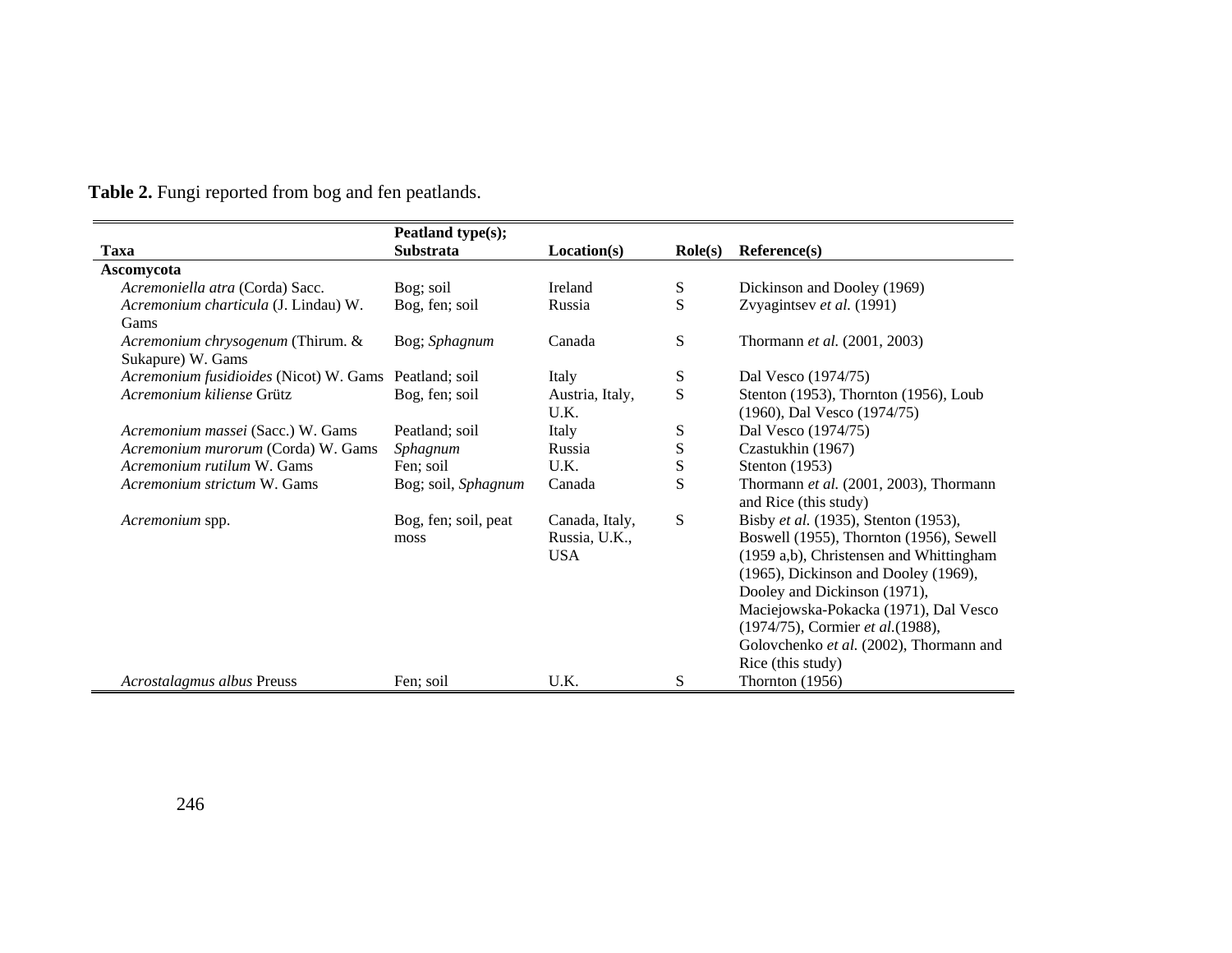|                                        | Peatland type(s);    |                 |                  |                                                                 |
|----------------------------------------|----------------------|-----------------|------------------|-----------------------------------------------------------------|
| Taxa                                   | <b>Substrata</b>     | Location(s)     | $\text{Role}(s)$ | Reference(s)                                                    |
| Ascomycota                             |                      |                 |                  |                                                                 |
| Acremoniella atra (Corda) Sacc.        | Bog; soil            | Ireland         | S                | Dickinson and Dooley (1969)                                     |
| Acremonium charticula (J. Lindau) W.   | Bog, fen; soil       | Russia          | S                | Zvyagintsev et al. (1991)                                       |
| Gams                                   |                      |                 |                  |                                                                 |
| Acremonium chrysogenum (Thirum. &      | Bog; Sphagnum        | Canada          | S                | Thormann et al. (2001, 2003)                                    |
| Sukapure) W. Gams                      |                      |                 |                  |                                                                 |
| Acremonium fusidioides (Nicot) W. Gams | Peatland: soil       | Italy           | S                | Dal Vesco (1974/75)                                             |
| Acremonium kiliense Grütz              | Bog, fen; soil       | Austria, Italy, | S                | Stenton (1953), Thornton (1956), Loub                           |
|                                        |                      | U.K.            |                  | (1960), Dal Vesco (1974/75)                                     |
| Acremonium massei (Sacc.) W. Gams      | Peatland; soil       | Italy           | S                | Dal Vesco (1974/75)                                             |
| Acremonium murorum (Corda) W. Gams     | Sphagnum             | Russia          | S                | Czastukhin (1967)                                               |
| Acremonium rutilum W. Gams             | Fen; soil            | U.K.            | S                | Stenton $(1953)$                                                |
| Acremonium strictum W. Gams            | Bog; soil, Sphagnum  | Canada          | S                | Thormann et al. (2001, 2003), Thormann<br>and Rice (this study) |
| Acremonium spp.                        | Bog, fen; soil, peat | Canada, Italy,  | S                | Bisby et al. (1935), Stenton (1953),                            |
|                                        | moss                 | Russia, U.K.,   |                  | Boswell (1955), Thornton (1956), Sewell                         |
|                                        |                      | <b>USA</b>      |                  | (1959 a,b), Christensen and Whittingham                         |
|                                        |                      |                 |                  | (1965), Dickinson and Dooley (1969),                            |
|                                        |                      |                 |                  | Dooley and Dickinson (1971),                                    |
|                                        |                      |                 |                  | Maciejowska-Pokacka (1971), Dal Vesco                           |
|                                        |                      |                 |                  | (1974/75), Cormier et al. (1988),                               |
|                                        |                      |                 |                  | Golovchenko et al. (2002), Thormann and                         |
|                                        |                      |                 |                  | Rice (this study)                                               |
| Acrostalagmus albus Preuss             | Fen; soil            | U.K.            | S                | Thornton $(1956)$                                               |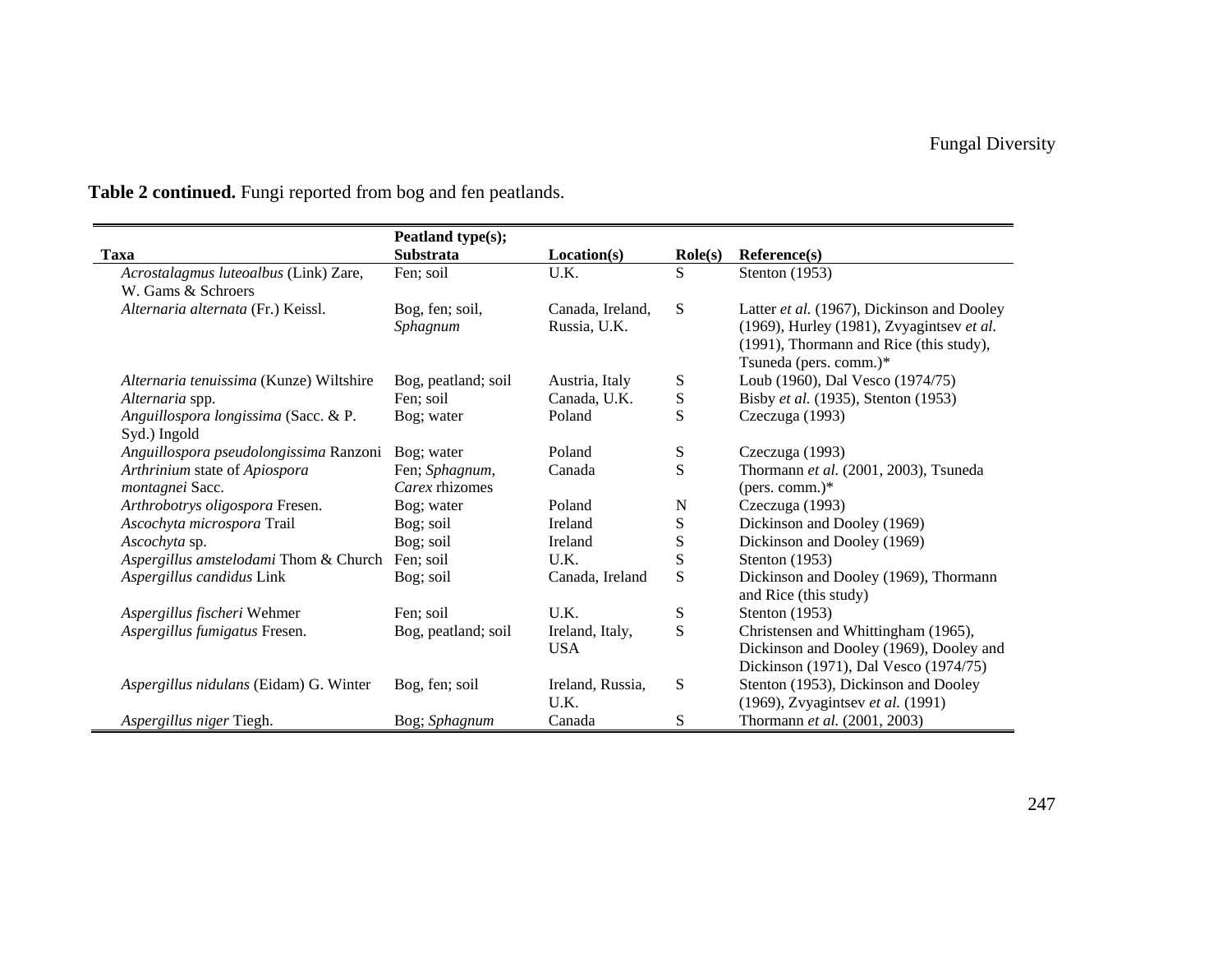|                                         | Peatland type(s);   |                  |                  |                                            |
|-----------------------------------------|---------------------|------------------|------------------|--------------------------------------------|
| <b>Taxa</b>                             | Substrata           | Location(s)      | $\text{Role}(s)$ | Reference(s)                               |
| Acrostalagmus luteoalbus (Link) Zare,   | Fen; soil           | U.K.             | S                | Stenton (1953)                             |
| W. Gams & Schroers                      |                     |                  |                  |                                            |
| Alternaria alternata (Fr.) Keissl.      | Bog, fen; soil,     | Canada, Ireland, | ${\bf S}$        | Latter et al. (1967), Dickinson and Dooley |
|                                         | Sphagnum            | Russia, U.K.     |                  | (1969), Hurley (1981), Zvyagintsev et al.  |
|                                         |                     |                  |                  | (1991), Thormann and Rice (this study),    |
|                                         |                     |                  |                  | Tsuneda (pers. comm.)*                     |
| Alternaria tenuissima (Kunze) Wiltshire | Bog, peatland; soil | Austria, Italy   | S                | Loub (1960), Dal Vesco (1974/75)           |
| Alternaria spp.                         | Fen; soil           | Canada, U.K.     | ${\bf S}$        | Bisby et al. (1935), Stenton (1953)        |
| Anguillospora longissima (Sacc. & P.    | Bog; water          | Poland           | S                | Czeczuga (1993)                            |
| Syd.) Ingold                            |                     |                  |                  |                                            |
| Anguillospora pseudolongissima Ranzoni  | Bog; water          | Poland           | S                | Czeczuga (1993)                            |
| Arthrinium state of Apiospora           | Fen; Sphagnum,      | Canada           | S                | Thormann et al. (2001, 2003), Tsuneda      |
| montagnei Sacc.                         | Carex rhizomes      |                  |                  | (pers. comm.) $*$                          |
| Arthrobotrys oligospora Fresen.         | Bog; water          | Poland           | ${\bf N}$        | Czeczuga (1993)                            |
| Ascochyta microspora Trail              | Bog; soil           | Ireland          | S                | Dickinson and Dooley (1969)                |
| Ascochyta sp.                           | Bog; soil           | Ireland          | S                | Dickinson and Dooley (1969)                |
| Aspergillus amstelodami Thom & Church   | Fen; soil           | U.K.             | S                | Stenton (1953)                             |
| Aspergillus candidus Link               | Bog; soil           | Canada, Ireland  | S                | Dickinson and Dooley (1969), Thormann      |
|                                         |                     |                  |                  | and Rice (this study)                      |
| Aspergillus fischeri Wehmer             | Fen; soil           | U.K.             | S                | Stenton (1953)                             |
| Aspergillus fumigatus Fresen.           | Bog, peatland; soil | Ireland, Italy,  | S                | Christensen and Whittingham (1965),        |
|                                         |                     | <b>USA</b>       |                  | Dickinson and Dooley (1969), Dooley and    |
|                                         |                     |                  |                  | Dickinson (1971), Dal Vesco (1974/75)      |
| Aspergillus nidulans (Eidam) G. Winter  | Bog, fen; soil      | Ireland, Russia, | S                | Stenton (1953), Dickinson and Dooley       |
|                                         |                     | U.K.             |                  | (1969), Zvyagintsev et al. (1991)          |
| Aspergillus niger Tiegh.                | Bog; Sphagnum       | Canada           | S                | Thormann et al. (2001, 2003)               |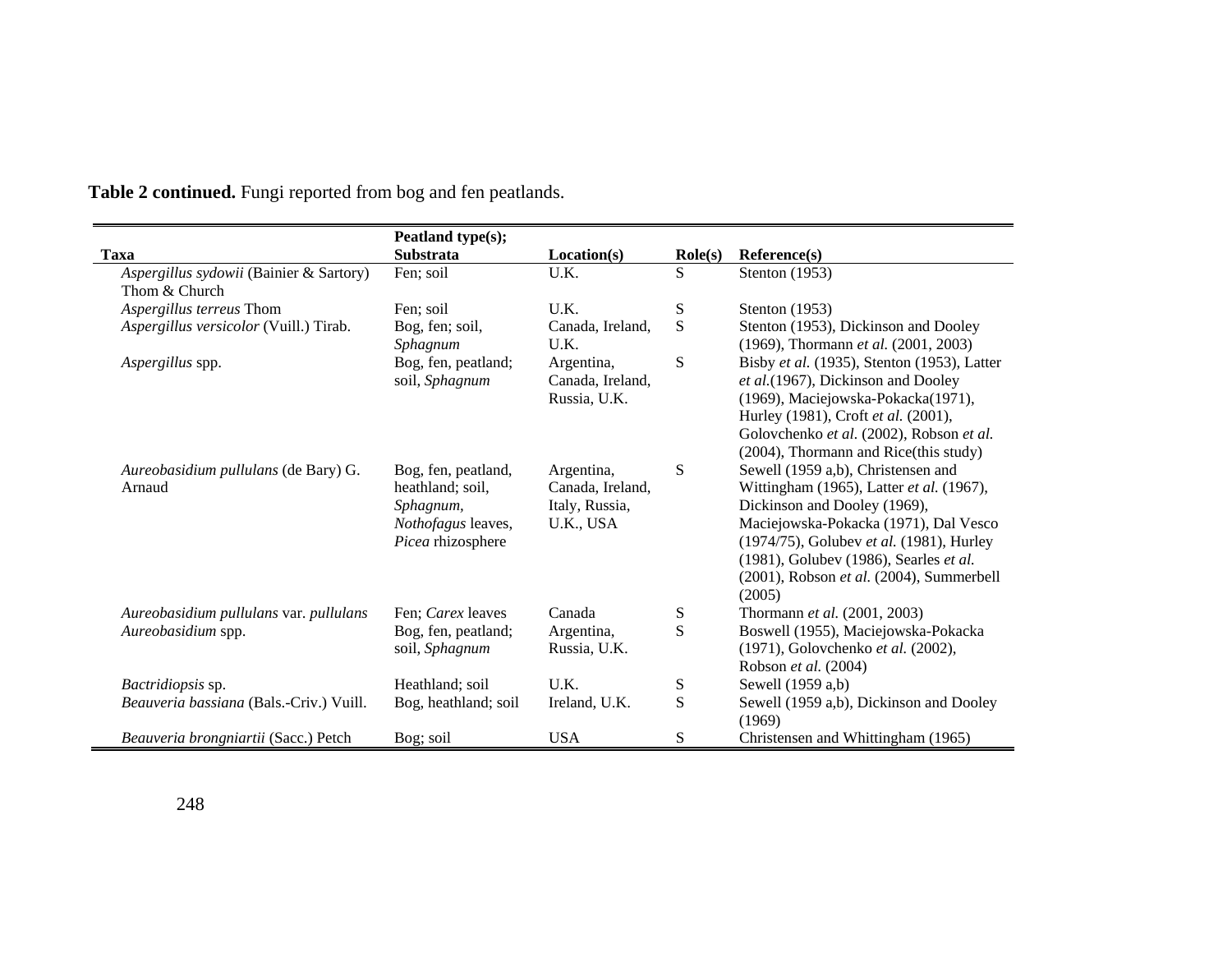|                                                          | Peatland type(s);                                                                               |                                                               |                  |                                                                                                                                                                                                                                                                                                     |
|----------------------------------------------------------|-------------------------------------------------------------------------------------------------|---------------------------------------------------------------|------------------|-----------------------------------------------------------------------------------------------------------------------------------------------------------------------------------------------------------------------------------------------------------------------------------------------------|
| Taxa                                                     | <b>Substrata</b>                                                                                | Location(s)                                                   | $\text{Role}(s)$ | Reference(s)                                                                                                                                                                                                                                                                                        |
| Aspergillus sydowii (Bainier & Sartory)<br>Thom & Church | Fen; soil                                                                                       | U.K.                                                          | S                | Stenton (1953)                                                                                                                                                                                                                                                                                      |
| Aspergillus terreus Thom                                 | Fen; soil                                                                                       | U.K.                                                          | ${\bf S}$        | Stenton $(1953)$                                                                                                                                                                                                                                                                                    |
| Aspergillus versicolor (Vuill.) Tirab.                   | Bog, fen; soil,<br>Sphagnum                                                                     | Canada, Ireland,<br>U.K.                                      | S                | Stenton (1953), Dickinson and Dooley<br>(1969), Thormann et al. (2001, 2003)                                                                                                                                                                                                                        |
| Aspergillus spp.                                         | Bog, fen, peatland;<br>soil, Sphagnum                                                           | Argentina,<br>Canada, Ireland,<br>Russia, U.K.                | S                | Bisby et al. (1935), Stenton (1953), Latter<br>et al.(1967), Dickinson and Dooley<br>(1969), Maciejowska-Pokacka(1971),<br>Hurley (1981), Croft et al. (2001),<br>Golovchenko et al. (2002), Robson et al.<br>(2004), Thormann and Rice(this study)                                                 |
| Aureobasidium pullulans (de Bary) G.<br>Arnaud           | Bog, fen, peatland,<br>heathland; soil,<br>Sphagnum,<br>Nothofagus leaves,<br>Picea rhizosphere | Argentina,<br>Canada, Ireland,<br>Italy, Russia,<br>U.K., USA | S                | Sewell (1959 a,b), Christensen and<br>Wittingham (1965), Latter et al. (1967),<br>Dickinson and Dooley (1969),<br>Maciejowska-Pokacka (1971), Dal Vesco<br>(1974/75), Golubev et al. (1981), Hurley<br>(1981), Golubev (1986), Searles et al.<br>(2001), Robson et al. (2004), Summerbell<br>(2005) |
| Aureobasidium pullulans var. pullulans                   | Fen: <i>Carex</i> leaves                                                                        | Canada                                                        | S                | Thormann <i>et al.</i> (2001, 2003)                                                                                                                                                                                                                                                                 |
| Aureobasidium spp.                                       | Bog, fen, peatland;<br>soil, Sphagnum                                                           | Argentina,<br>Russia, U.K.                                    | ${\bf S}$        | Boswell (1955), Maciejowska-Pokacka<br>(1971), Golovchenko et al. (2002),<br>Robson et al. (2004)                                                                                                                                                                                                   |
| Bactridiopsis sp.                                        | Heathland; soil                                                                                 | U.K.                                                          | ${\bf S}$        | Sewell (1959 a,b)                                                                                                                                                                                                                                                                                   |
| Beauveria bassiana (Bals.-Criv.) Vuill.                  | Bog, heathland; soil                                                                            | Ireland, U.K.                                                 | ${\bf S}$        | Sewell (1959 a,b), Dickinson and Dooley<br>(1969)                                                                                                                                                                                                                                                   |
| Beauveria brongniartii (Sacc.) Petch                     | Bog; soil                                                                                       | <b>USA</b>                                                    | S                | Christensen and Whittingham (1965)                                                                                                                                                                                                                                                                  |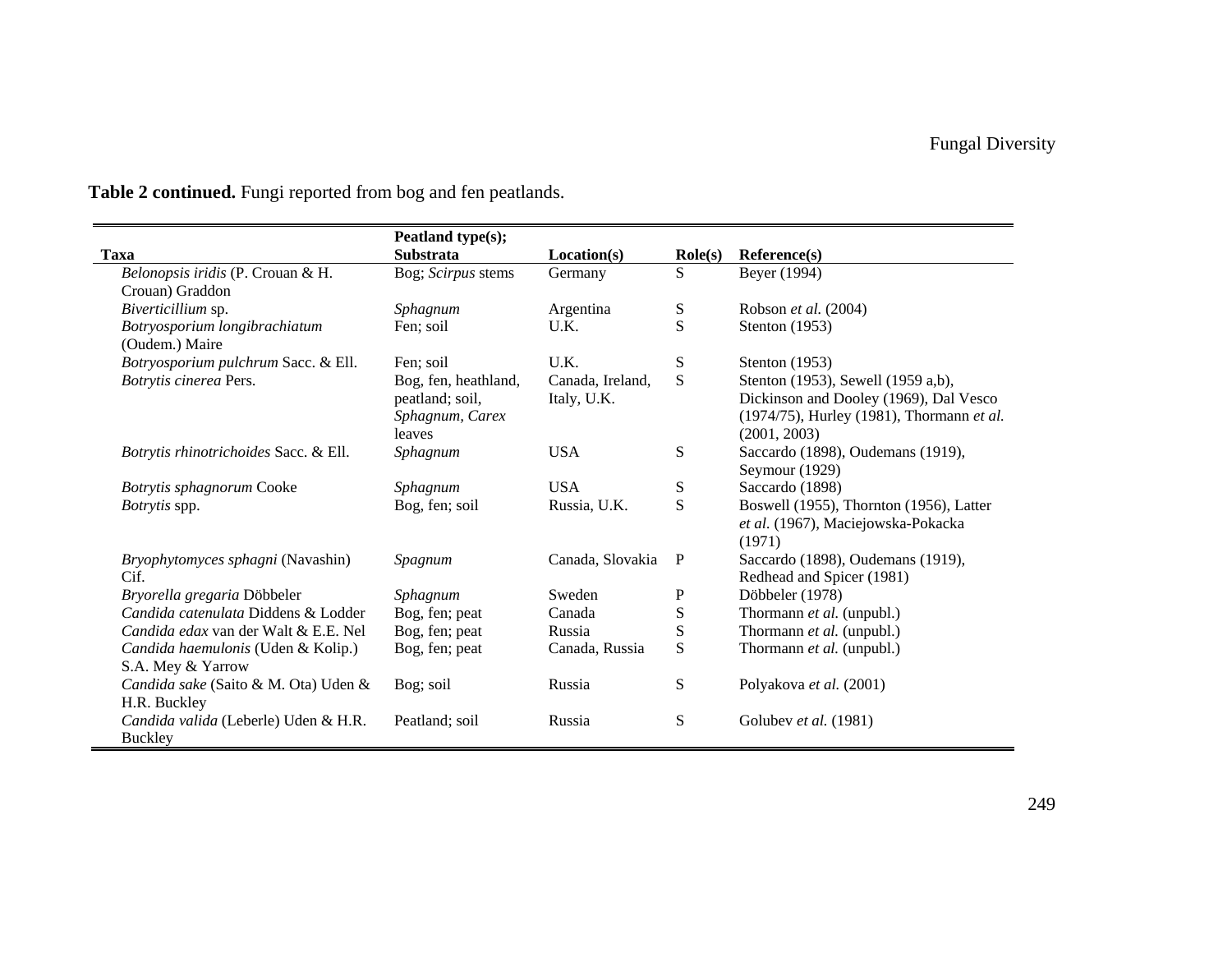|                                       | Peatland type(s);    |                  |                  |                                           |
|---------------------------------------|----------------------|------------------|------------------|-------------------------------------------|
| <b>Taxa</b>                           | <b>Substrata</b>     | Location(s)      | $\text{Role}(s)$ | Reference(s)                              |
| Belonopsis iridis (P. Crouan & H.     | Bog; Scirpus stems   | Germany          | S                | Beyer (1994)                              |
| Crouan) Graddon                       |                      |                  |                  |                                           |
| Biverticillium sp.                    | Sphagnum             | Argentina        | S                | Robson et al. (2004)                      |
| Botryosporium longibrachiatum         | Fen; soil            | U.K.             | S                | Stenton $(1953)$                          |
| (Oudem.) Maire                        |                      |                  |                  |                                           |
| Botryosporium pulchrum Sacc. & Ell.   | Fen; soil            | U.K.             | ${\bf S}$        | Stenton $(1953)$                          |
| Botrytis cinerea Pers.                | Bog, fen, heathland, | Canada, Ireland, | S                | Stenton (1953), Sewell (1959 a,b),        |
|                                       | peatland; soil,      | Italy, U.K.      |                  | Dickinson and Dooley (1969), Dal Vesco    |
|                                       | Sphagnum, Carex      |                  |                  | (1974/75), Hurley (1981), Thormann et al. |
|                                       | leaves               |                  |                  | (2001, 2003)                              |
| Botrytis rhinotrichoides Sacc. & Ell. | Sphagnum             | <b>USA</b>       | ${\bf S}$        | Saccardo (1898), Oudemans (1919),         |
|                                       |                      |                  |                  | Seymour (1929)                            |
| Botrytis sphagnorum Cooke             | Sphagnum             | <b>USA</b>       | S                | Saccardo (1898)                           |
| <i>Botrytis</i> spp.                  | Bog, fen; soil       | Russia, U.K.     | S                | Boswell (1955), Thornton (1956), Latter   |
|                                       |                      |                  |                  | et al. (1967), Maciejowska-Pokacka        |
|                                       |                      |                  |                  | (1971)                                    |
| Bryophytomyces sphagni (Navashin)     | Spagnum              | Canada, Slovakia | $\mathbf{P}$     | Saccardo (1898), Oudemans (1919),         |
| Cif.                                  |                      |                  |                  | Redhead and Spicer (1981)                 |
| Bryorella gregaria Döbbeler           | Sphagnum             | Sweden           | $\mathbf P$      | Döbbeler (1978)                           |
| Candida catenulata Diddens & Lodder   | Bog, fen; peat       | Canada           | ${\bf S}$        | Thormann et al. (unpubl.)                 |
| Candida edax van der Walt & E.E. Nel  | Bog, fen; peat       | Russia           | ${\bf S}$        | Thormann et al. (unpubl.)                 |
| Candida haemulonis (Uden & Kolip.)    | Bog, fen; peat       | Canada, Russia   | S                | Thormann et al. (unpubl.)                 |
| S.A. Mey & Yarrow                     |                      |                  |                  |                                           |
| Candida sake (Saito & M. Ota) Uden &  | Bog; soil            | Russia           | S                | Polyakova et al. (2001)                   |
| H.R. Buckley                          |                      |                  |                  |                                           |
| Candida valida (Leberle) Uden & H.R.  | Peatland; soil       | Russia           | S                | Golubev et al. (1981)                     |
| Buckley                               |                      |                  |                  |                                           |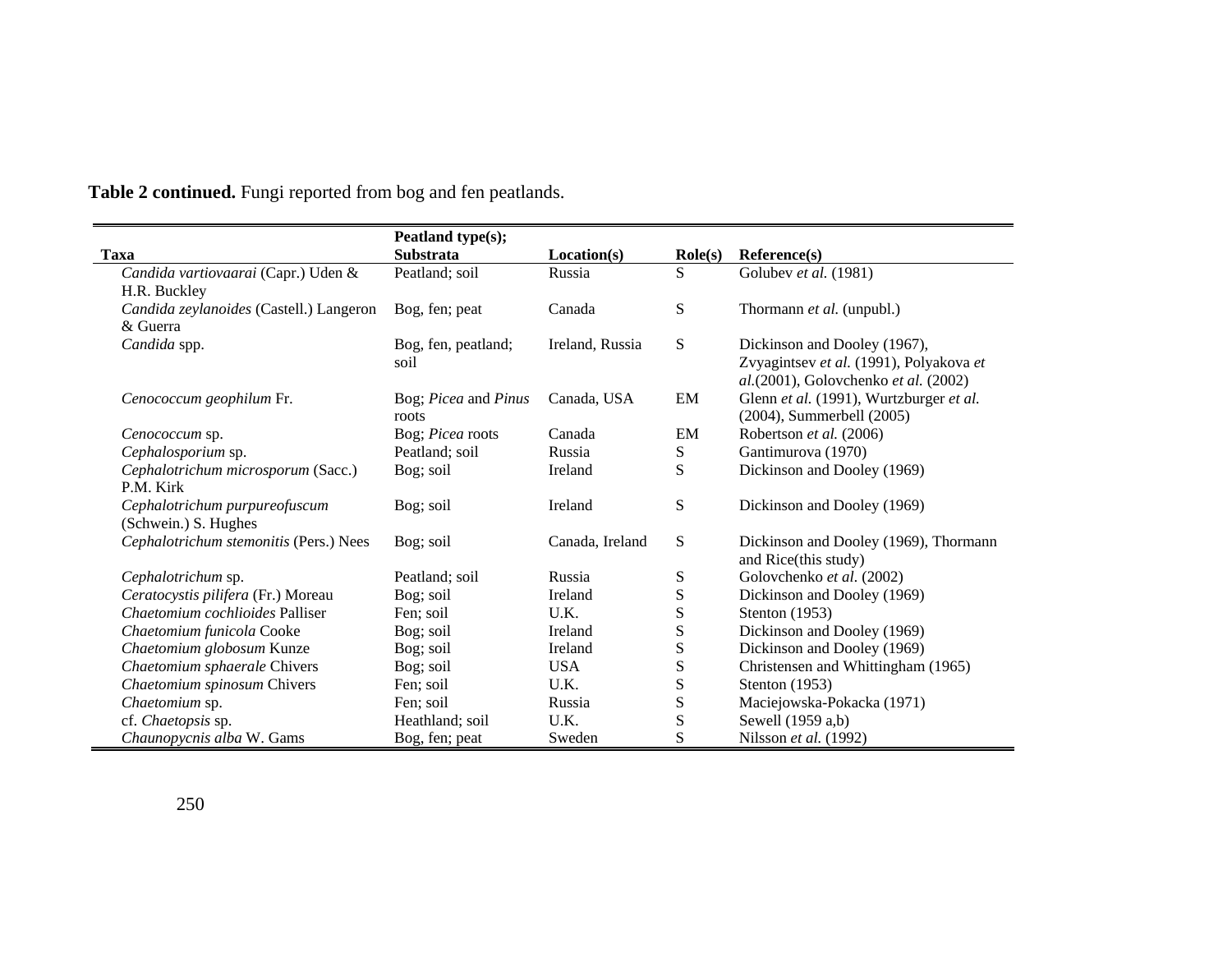|                                         | Peatland type(s);    |                 |                  |                                                               |
|-----------------------------------------|----------------------|-----------------|------------------|---------------------------------------------------------------|
| Taxa                                    | <b>Substrata</b>     | Location(s)     | $\text{Role}(s)$ | Reference(s)                                                  |
| Candida vartiovaarai (Capr.) Uden &     | Peatland; soil       | Russia          | S                | Golubev et al. (1981)                                         |
| H.R. Buckley                            |                      |                 |                  |                                                               |
| Candida zeylanoides (Castell.) Langeron | Bog, fen; peat       | Canada          | S                | Thormann et al. (unpubl.)                                     |
| & Guerra                                |                      |                 |                  |                                                               |
| Candida spp.                            | Bog, fen, peatland;  | Ireland, Russia | S                | Dickinson and Dooley (1967),                                  |
|                                         | soil                 |                 |                  | Zvyagintsev et al. (1991), Polyakova et                       |
|                                         |                      |                 |                  | al.(2001), Golovchenko et al. (2002)                          |
| Cenococcum geophilum Fr.                | Bog; Picea and Pinus | Canada, USA     | EM               | Glenn et al. (1991), Wurtzburger et al.                       |
|                                         | roots                |                 |                  | (2004), Summerbell (2005)                                     |
| Сепососсит sp.                          | Bog; Picea roots     | Canada          | EM               | Robertson et al. (2006)                                       |
| Cephalosporium sp.                      | Peatland; soil       | Russia          | S                | Gantimurova (1970)                                            |
| Cephalotrichum microsporum (Sacc.)      | Bog; soil            | Ireland         | S                | Dickinson and Dooley (1969)                                   |
| P.M. Kirk                               |                      |                 |                  |                                                               |
| Cephalotrichum purpureofuscum           | Bog; soil            | Ireland         | S                | Dickinson and Dooley (1969)                                   |
| (Schwein.) S. Hughes                    |                      |                 |                  |                                                               |
| Cephalotrichum stemonitis (Pers.) Nees  | Bog; soil            | Canada, Ireland | S                | Dickinson and Dooley (1969), Thormann<br>and Rice(this study) |
| Cephalotrichum sp.                      | Peatland; soil       | Russia          | S                | Golovchenko et al. (2002)                                     |
| Ceratocystis pilifera (Fr.) Moreau      | Bog; soil            | Ireland         | S                | Dickinson and Dooley (1969)                                   |
| Chaetomium cochlioides Palliser         | Fen; soil            | U.K.            | S                | Stenton (1953)                                                |
| Chaetomium funicola Cooke               | Bog; soil            | Ireland         | S                | Dickinson and Dooley (1969)                                   |
| Chaetomium globosum Kunze               | Bog; soil            | Ireland         | ${\bf S}$        | Dickinson and Dooley (1969)                                   |
| Chaetomium sphaerale Chivers            | Bog; soil            | <b>USA</b>      | ${\bf S}$        | Christensen and Whittingham (1965)                            |
| Chaetomium spinosum Chivers             | Fen; soil            | U.K.            | S                | Stenton (1953)                                                |
| Chaetomium sp.                          | Fen; soil            | Russia          | ${\bf S}$        | Maciejowska-Pokacka (1971)                                    |
| cf. Chaetopsis sp.                      | Heathland; soil      | U.K.            | S                | Sewell (1959 a,b)                                             |
| Chaunopycnis alba W. Gams               | Bog, fen; peat       | Sweden          | S                | Nilsson et al. (1992)                                         |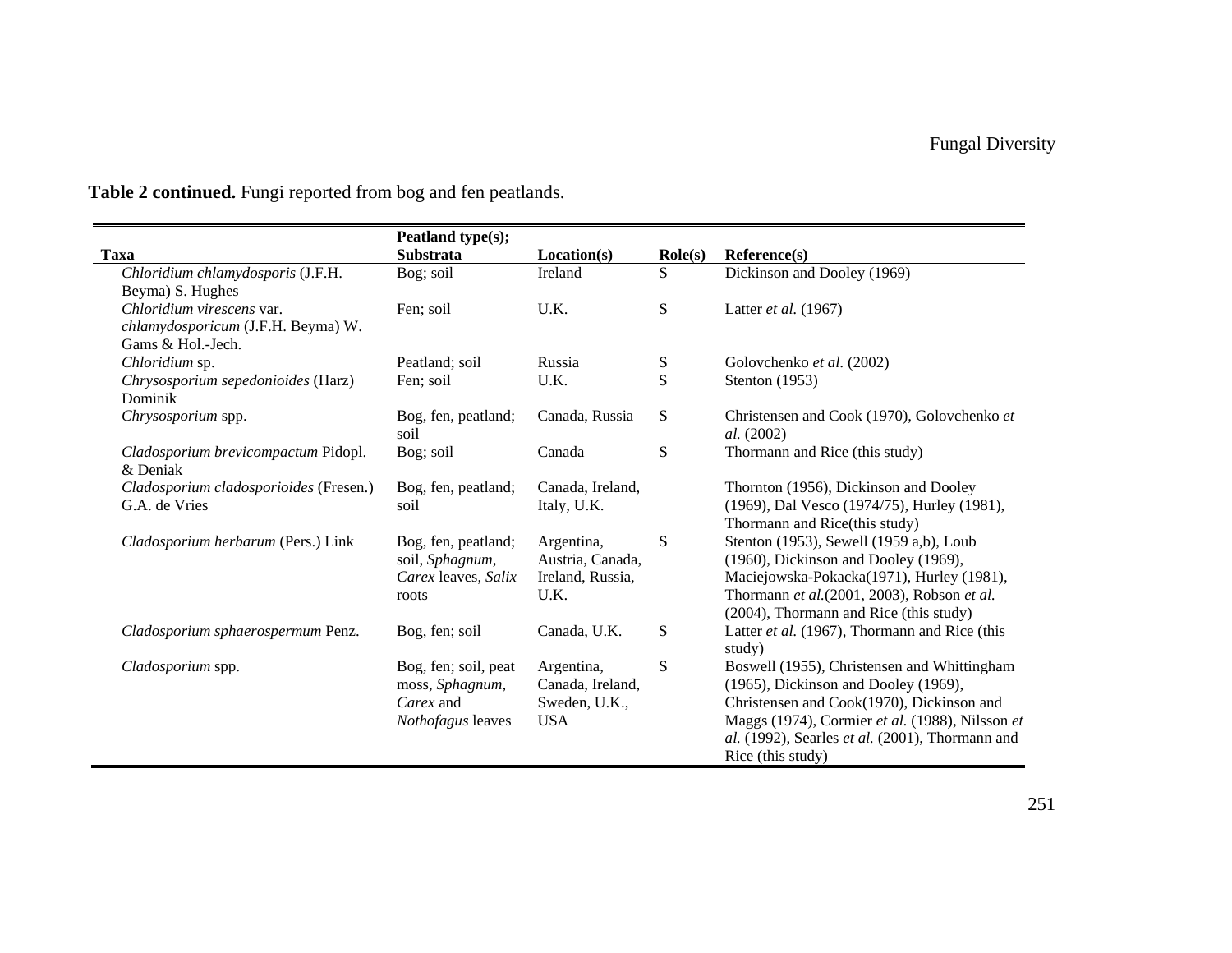|                                        | Peatland type(s);    |                  |                  |                                                               |
|----------------------------------------|----------------------|------------------|------------------|---------------------------------------------------------------|
| <b>Taxa</b>                            | <b>Substrata</b>     | Location(s)      | $\text{Role}(s)$ | Reference(s)                                                  |
| Chloridium chlamydosporis (J.F.H.      | Bog; soil            | Ireland          | S                | Dickinson and Dooley (1969)                                   |
| Beyma) S. Hughes                       |                      |                  |                  |                                                               |
| Chloridium virescens var.              | Fen; soil            | U.K.             | S                | Latter <i>et al.</i> $(1967)$                                 |
| chlamydosporicum (J.F.H. Beyma) W.     |                      |                  |                  |                                                               |
| Gams & Hol.-Jech.                      |                      |                  |                  |                                                               |
| Chloridium sp.                         | Peatland; soil       | Russia           | S                | Golovchenko et al. (2002)                                     |
| Chrysosporium sepedonioides (Harz)     | Fen; soil            | U.K.             | S                | Stenton $(1953)$                                              |
| Dominik                                |                      |                  |                  |                                                               |
| Chrysosporium spp.                     | Bog, fen, peatland;  | Canada, Russia   | S                | Christensen and Cook (1970), Golovchenko et                   |
|                                        | soil                 |                  |                  | al. (2002)                                                    |
| Cladosporium brevicompactum Pidopl.    | Bog; soil            | Canada           | ${\bf S}$        | Thormann and Rice (this study)                                |
| & Deniak                               |                      |                  |                  |                                                               |
| Cladosporium cladosporioides (Fresen.) | Bog, fen, peatland;  | Canada, Ireland, |                  | Thornton (1956), Dickinson and Dooley                         |
| G.A. de Vries                          | soil                 | Italy, U.K.      |                  | (1969), Dal Vesco (1974/75), Hurley (1981),                   |
|                                        |                      |                  |                  | Thormann and Rice(this study)                                 |
| Cladosporium herbarum (Pers.) Link     | Bog, fen, peatland;  | Argentina,       | ${\bf S}$        | Stenton (1953), Sewell (1959 a,b), Loub                       |
|                                        | soil, Sphagnum,      | Austria, Canada, |                  | (1960), Dickinson and Dooley (1969),                          |
|                                        | Carex leaves, Salix  | Ireland, Russia, |                  | Maciejowska-Pokacka(1971), Hurley (1981),                     |
|                                        | roots                | U.K.             |                  | Thormann et al.(2001, 2003), Robson et al.                    |
|                                        |                      |                  |                  | (2004), Thormann and Rice (this study)                        |
| Cladosporium sphaerospermum Penz.      | Bog, fen; soil       | Canada, U.K.     | S                | Latter et al. (1967), Thormann and Rice (this                 |
|                                        |                      |                  |                  | study)                                                        |
| Cladosporium spp.                      | Bog, fen; soil, peat | Argentina,       | ${\bf S}$        | Boswell (1955), Christensen and Whittingham                   |
|                                        | moss, Sphagnum,      | Canada, Ireland, |                  | (1965), Dickinson and Dooley (1969),                          |
|                                        | Carex and            | Sweden, U.K.,    |                  | Christensen and Cook(1970), Dickinson and                     |
|                                        | Nothofagus leaves    | <b>USA</b>       |                  | Maggs (1974), Cormier et al. (1988), Nilsson et               |
|                                        |                      |                  |                  | <i>al.</i> (1992), Searles <i>et al.</i> (2001), Thormann and |
|                                        |                      |                  |                  | Rice (this study)                                             |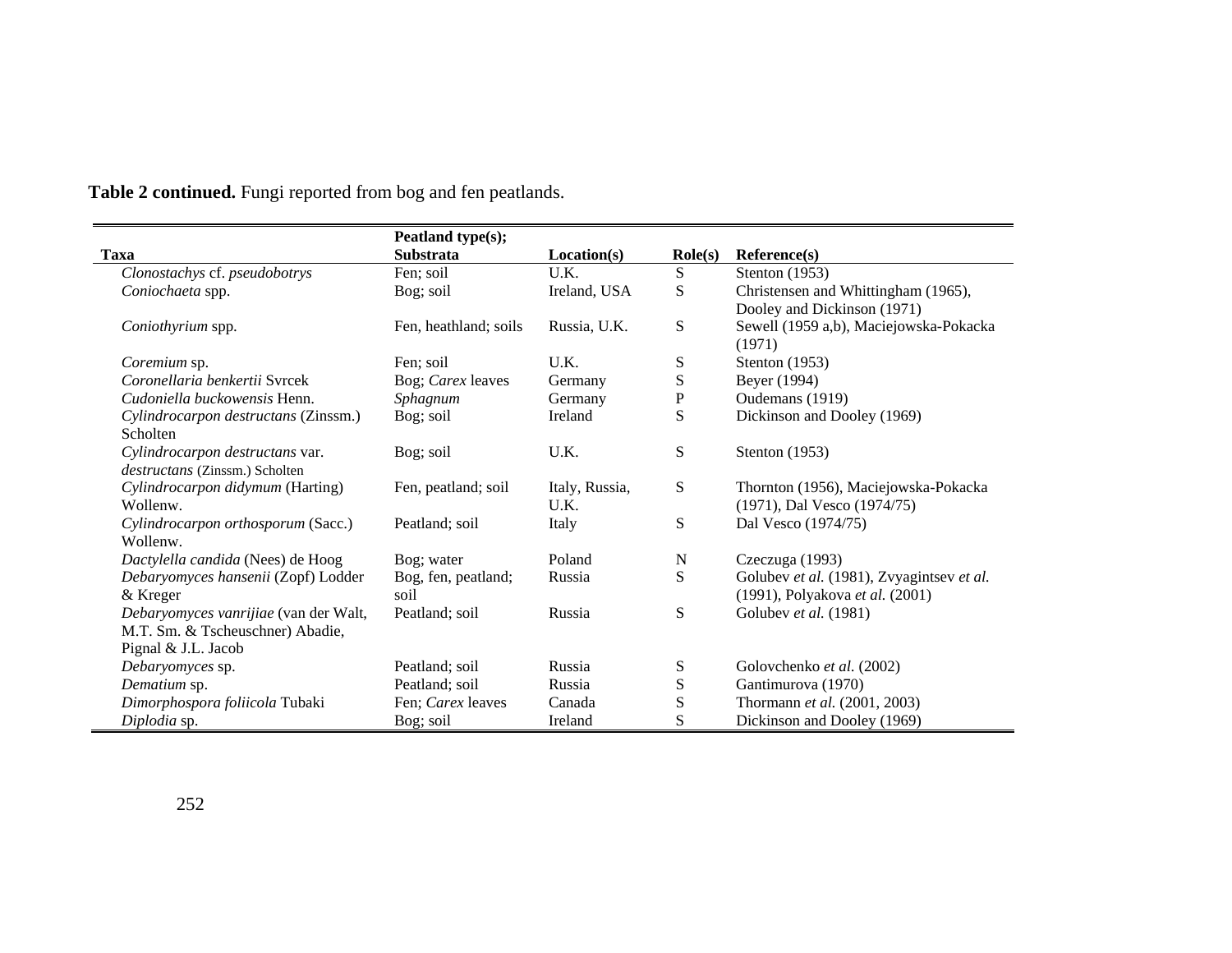|                                       | Peatland type(s);     |                |                  |                                                  |
|---------------------------------------|-----------------------|----------------|------------------|--------------------------------------------------|
| <b>Taxa</b>                           | <b>Substrata</b>      | Location(s)    | $\text{Role}(s)$ | Reference(s)                                     |
| Clonostachys cf. pseudobotrys         | Fen; soil             | U.K.           | S                | Stenton $(1953)$                                 |
| Coniochaeta spp.                      | Bog; soil             | Ireland, USA   | ${\bf S}$        | Christensen and Whittingham (1965),              |
|                                       |                       |                |                  | Dooley and Dickinson (1971)                      |
| Coniothyrium spp.                     | Fen, heathland; soils | Russia, U.K.   | ${\bf S}$        | Sewell (1959 a,b), Maciejowska-Pokacka<br>(1971) |
| Coremium sp.                          | Fen; soil             | U.K.           | S                | Stenton $(1953)$                                 |
| Coronellaria benkertii Syrcek         | Bog; Carex leaves     | Germany        | ${\bf S}$        | Beyer (1994)                                     |
| Cudoniella buckowensis Henn.          | Sphagnum              | Germany        | ${\bf P}$        | Oudemans (1919)                                  |
| Cylindrocarpon destructans (Zinssm.)  | Bog; soil             | Ireland        | S                | Dickinson and Dooley (1969)                      |
| Scholten                              |                       |                |                  |                                                  |
| Cylindrocarpon destructans var.       | Bog; soil             | U.K.           | ${\bf S}$        | Stenton $(1953)$                                 |
| destructans (Zinssm.) Scholten        |                       |                |                  |                                                  |
| Cylindrocarpon didymum (Harting)      | Fen, peatland; soil   | Italy, Russia, | S                | Thornton (1956), Maciejowska-Pokacka             |
| Wollenw.                              |                       | U.K.           |                  | (1971), Dal Vesco (1974/75)                      |
| Cylindrocarpon orthosporum (Sacc.)    | Peatland; soil        | Italy          | S                | Dal Vesco (1974/75)                              |
| Wollenw.                              |                       |                |                  |                                                  |
| Dactylella candida (Nees) de Hoog     | Bog; water            | Poland         | N                | Czeczuga (1993)                                  |
| Debaryomyces hansenii (Zopf) Lodder   | Bog, fen, peatland;   | Russia         | ${\bf S}$        | Golubev et al. (1981), Zvyagintsev et al.        |
| & Kreger                              | soil                  |                |                  | (1991), Polyakova et al. (2001)                  |
| Debaryomyces vanrijiae (van der Walt, | Peatland; soil        | Russia         | S                | Golubev et al. (1981)                            |
| M.T. Sm. & Tscheuschner) Abadie,      |                       |                |                  |                                                  |
| Pignal & J.L. Jacob                   |                       |                |                  |                                                  |
| Debaryomyces sp.                      | Peatland; soil        | Russia         | S                | Golovchenko et al. (2002)                        |
| Dematium sp.                          | Peatland; soil        | Russia         | S                | Gantimurova (1970)                               |
| Dimorphospora foliicola Tubaki        | Fen: Carex leaves     | Canada         | ${\bf S}$        | Thormann et al. (2001, 2003)                     |
| Diplodia sp.                          | Bog; soil             | Ireland        | S                | Dickinson and Dooley (1969)                      |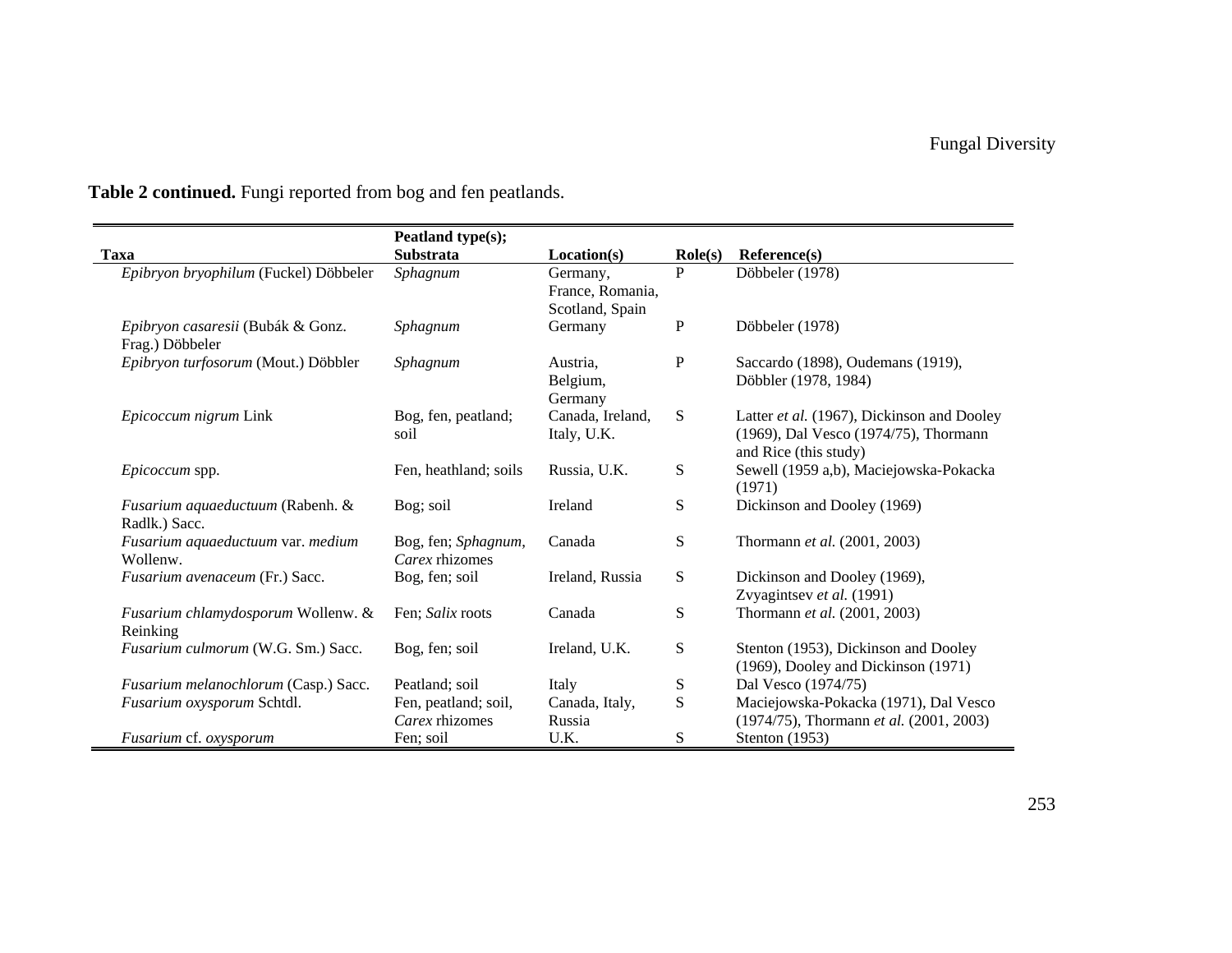|                                                      | Peatland type(s);                      |                                                 |                    |                                                                                                              |
|------------------------------------------------------|----------------------------------------|-------------------------------------------------|--------------------|--------------------------------------------------------------------------------------------------------------|
| <b>Taxa</b>                                          | <b>Substrata</b>                       | Location(s)                                     | $\textbf{Role}(s)$ | Reference(s)                                                                                                 |
| Epibryon bryophilum (Fuckel) Döbbeler                | Sphagnum                               | Germany,<br>France, Romania,<br>Scotland, Spain | P                  | Döbbeler (1978)                                                                                              |
| Epibryon casaresii (Bubák & Gonz.<br>Frag.) Döbbeler | Sphagnum                               | Germany                                         | P                  | Döbbeler (1978)                                                                                              |
| Epibryon turfosorum (Mout.) Döbbler                  | Sphagnum                               | Austria.<br>Belgium,<br>Germany                 | P                  | Saccardo (1898), Oudemans (1919),<br>Döbbler (1978, 1984)                                                    |
| Epicoccum nigrum Link                                | Bog, fen, peatland;<br>soil            | Canada, Ireland,<br>Italy, U.K.                 | S                  | Latter et al. (1967), Dickinson and Dooley<br>(1969), Dal Vesco (1974/75), Thormann<br>and Rice (this study) |
| <i>Epicoccum</i> spp.                                | Fen, heathland; soils                  | Russia, U.K.                                    | S                  | Sewell (1959 a,b), Maciejowska-Pokacka<br>(1971)                                                             |
| Fusarium aquaeductuum (Rabenh. &<br>Radlk.) Sacc.    | Bog; soil                              | Ireland                                         | S                  | Dickinson and Dooley (1969)                                                                                  |
| Fusarium aquaeductuum var. medium<br>Wollenw.        | Bog, fen; Sphagnum,<br>Carex rhizomes  | Canada                                          | S                  | Thormann et al. (2001, 2003)                                                                                 |
| Fusarium avenaceum (Fr.) Sacc.                       | Bog, fen; soil                         | Ireland, Russia                                 | S                  | Dickinson and Dooley (1969),<br>Zvyagintsev et al. (1991)                                                    |
| Fusarium chlamydosporum Wollenw. &<br>Reinking       | Fen: Salix roots                       | Canada                                          | S                  | Thormann et al. (2001, 2003)                                                                                 |
| Fusarium culmorum (W.G. Sm.) Sacc.                   | Bog, fen; soil                         | Ireland, U.K.                                   | S                  | Stenton (1953), Dickinson and Dooley<br>(1969), Dooley and Dickinson (1971)                                  |
| Fusarium melanochlorum (Casp.) Sacc.                 | Peatland; soil                         | Italy                                           | S                  | Dal Vesco (1974/75)                                                                                          |
| Fusarium oxysporum Schtdl.                           | Fen, peatland; soil,<br>Carex rhizomes | Canada, Italy,<br>Russia                        | S                  | Maciejowska-Pokacka (1971), Dal Vesco<br>(1974/75), Thormann et al. (2001, 2003)                             |
| Fusarium cf. oxysporum                               | Fen; soil                              | U.K.                                            | S                  | Stenton (1953)                                                                                               |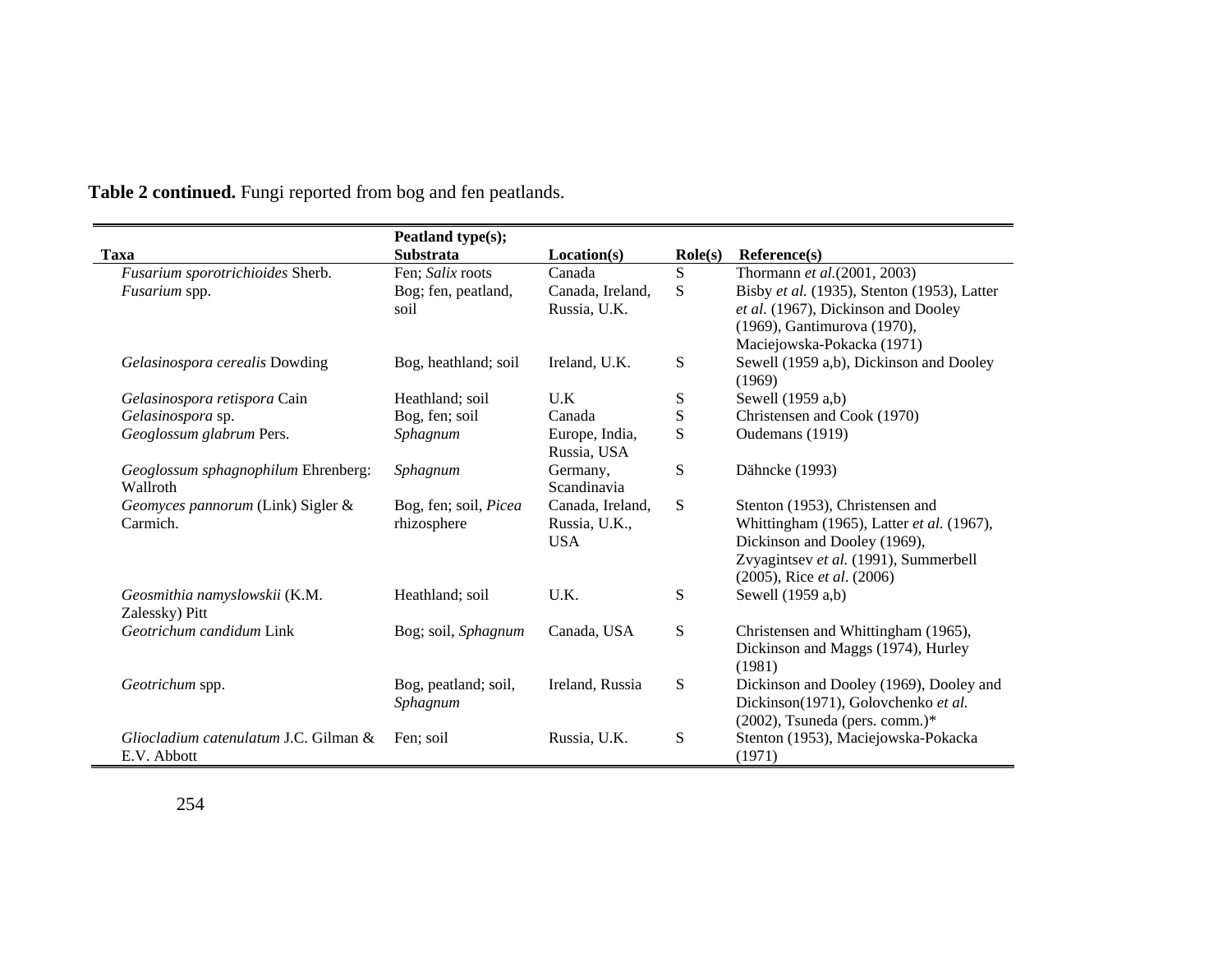| Peatland type(s);                     |                  |                  |                                             |
|---------------------------------------|------------------|------------------|---------------------------------------------|
| <b>Substrata</b>                      | Location(s)      | $\text{Role}(s)$ | Reference(s)                                |
| Fen; Salix roots                      | Canada           | S                | Thormann et al.(2001, 2003)                 |
| Bog; fen, peatland,                   | Canada, Ireland, | S                | Bisby et al. (1935), Stenton (1953), Latter |
| soil                                  | Russia, U.K.     |                  | et al. (1967), Dickinson and Dooley         |
|                                       |                  |                  | (1969), Gantimurova (1970),                 |
|                                       |                  |                  | Maciejowska-Pokacka (1971)                  |
| Bog, heathland; soil                  | Ireland, U.K.    | ${\bf S}$        | Sewell (1959 a,b), Dickinson and Dooley     |
|                                       |                  |                  | (1969)                                      |
| Heathland; soil                       | U.K              | ${\bf S}$        | Sewell (1959 a,b)                           |
| Bog, fen; soil                        | Canada           | ${\bf S}$        | Christensen and Cook (1970)                 |
| Sphagnum                              | Europe, India,   | S                | Oudemans (1919)                             |
|                                       | Russia, USA      |                  |                                             |
| Sphagnum                              | Germany,         | S                | Dähncke (1993)                              |
|                                       | Scandinavia      |                  |                                             |
| Bog, fen; soil, Picea                 | Canada, Ireland, | S                | Stenton (1953), Christensen and             |
| rhizosphere                           | Russia, U.K.,    |                  | Whittingham (1965), Latter et al. (1967),   |
|                                       | <b>USA</b>       |                  | Dickinson and Dooley (1969),                |
|                                       |                  |                  | Zvyagintsev et al. (1991), Summerbell       |
|                                       |                  |                  | $(2005)$ , Rice <i>et al.</i> $(2006)$      |
| Heathland; soil                       | U.K.             | S                | Sewell (1959 a,b)                           |
|                                       |                  |                  |                                             |
| Bog; soil, Sphagnum                   | Canada, USA      | ${\bf S}$        | Christensen and Whittingham (1965),         |
|                                       |                  |                  | Dickinson and Maggs (1974), Hurley          |
|                                       |                  |                  | (1981)                                      |
| Bog, peatland; soil,                  | Ireland, Russia  | S                | Dickinson and Dooley (1969), Dooley and     |
| Sphagnum                              |                  |                  | Dickinson(1971), Golovchenko et al.         |
|                                       |                  |                  | $(2002)$ , Tsuneda (pers. comm.)*           |
| Fen: soil                             | Russia, U.K.     | ${\bf S}$        | Stenton (1953), Maciejowska-Pokacka         |
|                                       |                  |                  | (1971)                                      |
| Gliocladium catenulatum J.C. Gilman & |                  |                  |                                             |

 $\blacksquare$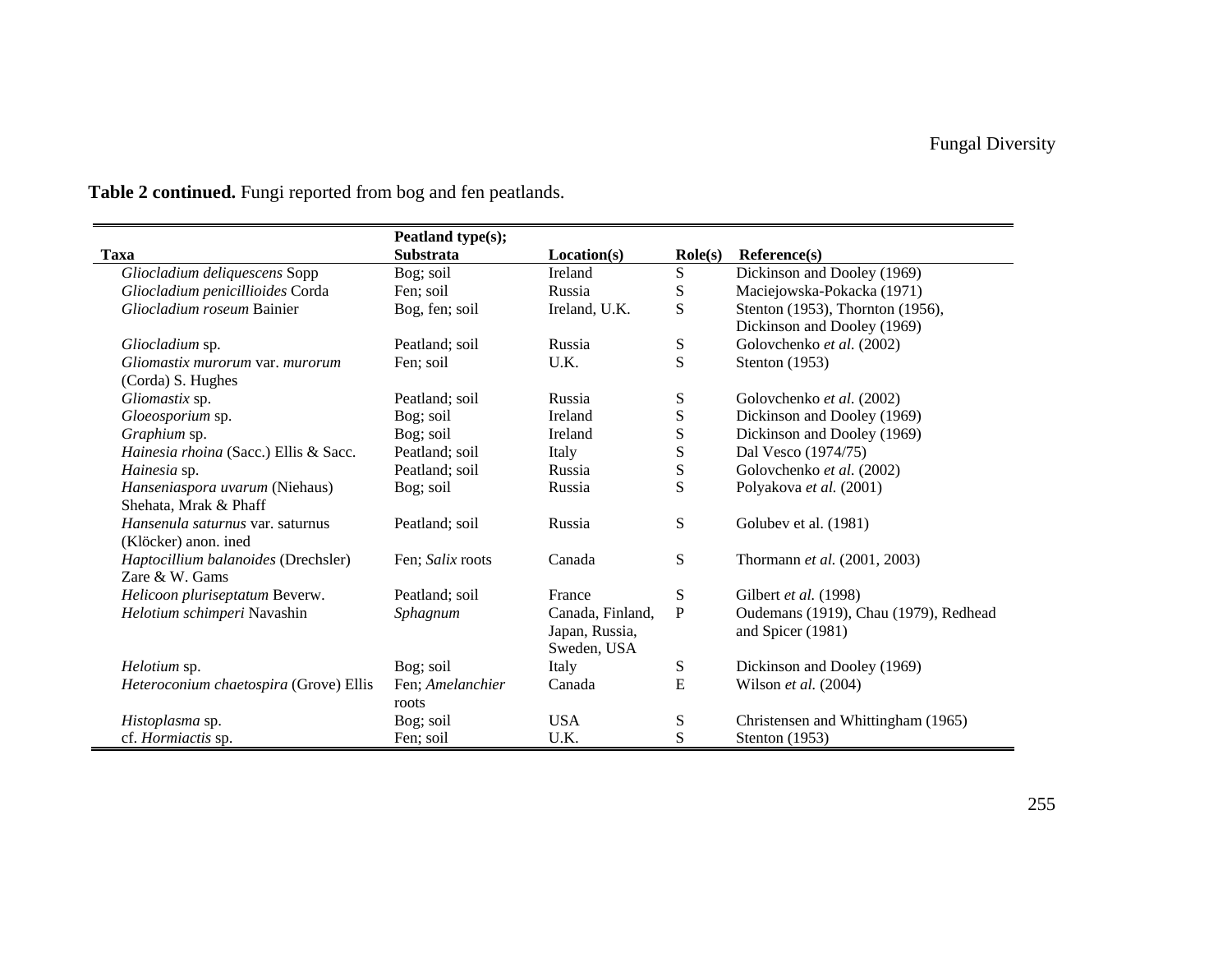|                                         | Peatland type(s); |                  |                  |                                       |
|-----------------------------------------|-------------------|------------------|------------------|---------------------------------------|
| <b>Taxa</b>                             | Substrata         | Location(s)      | $\text{Role}(s)$ | Reference(s)                          |
| Gliocladium deliquescens Sopp           | Bog; soil         | Ireland          | ${\bf S}$        | Dickinson and Dooley (1969)           |
| Gliocladium penicillioides Corda        | Fen; soil         | Russia           | ${\bf S}$        | Maciejowska-Pokacka (1971)            |
| Gliocladium roseum Bainier              | Bog, fen; soil    | Ireland, U.K.    | ${\bf S}$        | Stenton (1953), Thornton (1956),      |
|                                         |                   |                  |                  | Dickinson and Dooley (1969)           |
| Gliocladium sp.                         | Peatland; soil    | Russia           | S                | Golovchenko et al. (2002)             |
| Gliomastix murorum var. murorum         | Fen; soil         | U.K.             | S                | Stenton $(1953)$                      |
| (Corda) S. Hughes                       |                   |                  |                  |                                       |
| Gliomastix sp.                          | Peatland; soil    | Russia           | S                | Golovchenko et al. (2002)             |
| Gloeosporium sp.                        | Bog; soil         | Ireland          | ${\bf S}$        | Dickinson and Dooley (1969)           |
| Graphium sp.                            | Bog; soil         | Ireland          | ${\bf S}$        | Dickinson and Dooley (1969)           |
| Hainesia rhoina (Sacc.) Ellis & Sacc.   | Peatland; soil    | Italy            | ${\bf S}$        | Dal Vesco (1974/75)                   |
| Hainesia sp.                            | Peatland; soil    | Russia           | ${\bf S}$        | Golovchenko et al. (2002)             |
| Hanseniaspora uvarum (Niehaus)          | Bog; soil         | Russia           | S                | Polyakova et al. (2001)               |
| Shehata, Mrak & Phaff                   |                   |                  |                  |                                       |
| <i>Hansenula saturnus</i> var. saturnus | Peatland; soil    | Russia           | S                | Golubev et al. (1981)                 |
| (Klöcker) anon. ined                    |                   |                  |                  |                                       |
| Haptocillium balanoides (Drechsler)     | Fen; Salix roots  | Canada           | ${\bf S}$        | Thormann et al. (2001, 2003)          |
| Zare & W. Gams                          |                   |                  |                  |                                       |
| Helicoon pluriseptatum Beverw.          | Peatland; soil    | France           | ${\bf S}$        | Gilbert et al. (1998)                 |
| Helotium schimperi Navashin             | Sphagnum          | Canada, Finland, | ${\bf P}$        | Oudemans (1919), Chau (1979), Redhead |
|                                         |                   | Japan, Russia,   |                  | and Spicer (1981)                     |
|                                         |                   | Sweden, USA      |                  |                                       |
| Helotium sp.                            | Bog; soil         | Italy            | S                | Dickinson and Dooley (1969)           |
| Heteroconium chaetospira (Grove) Ellis  | Fen; Amelanchier  | Canada           | E                | Wilson et al. (2004)                  |
|                                         | roots             |                  |                  |                                       |
| Histoplasma sp.                         | Bog; soil         | <b>USA</b>       | ${\bf S}$        | Christensen and Whittingham (1965)    |
| cf. <i>Hormiactis</i> sp.               | Fen: soil         | U.K.             | S                | Stenton $(1953)$                      |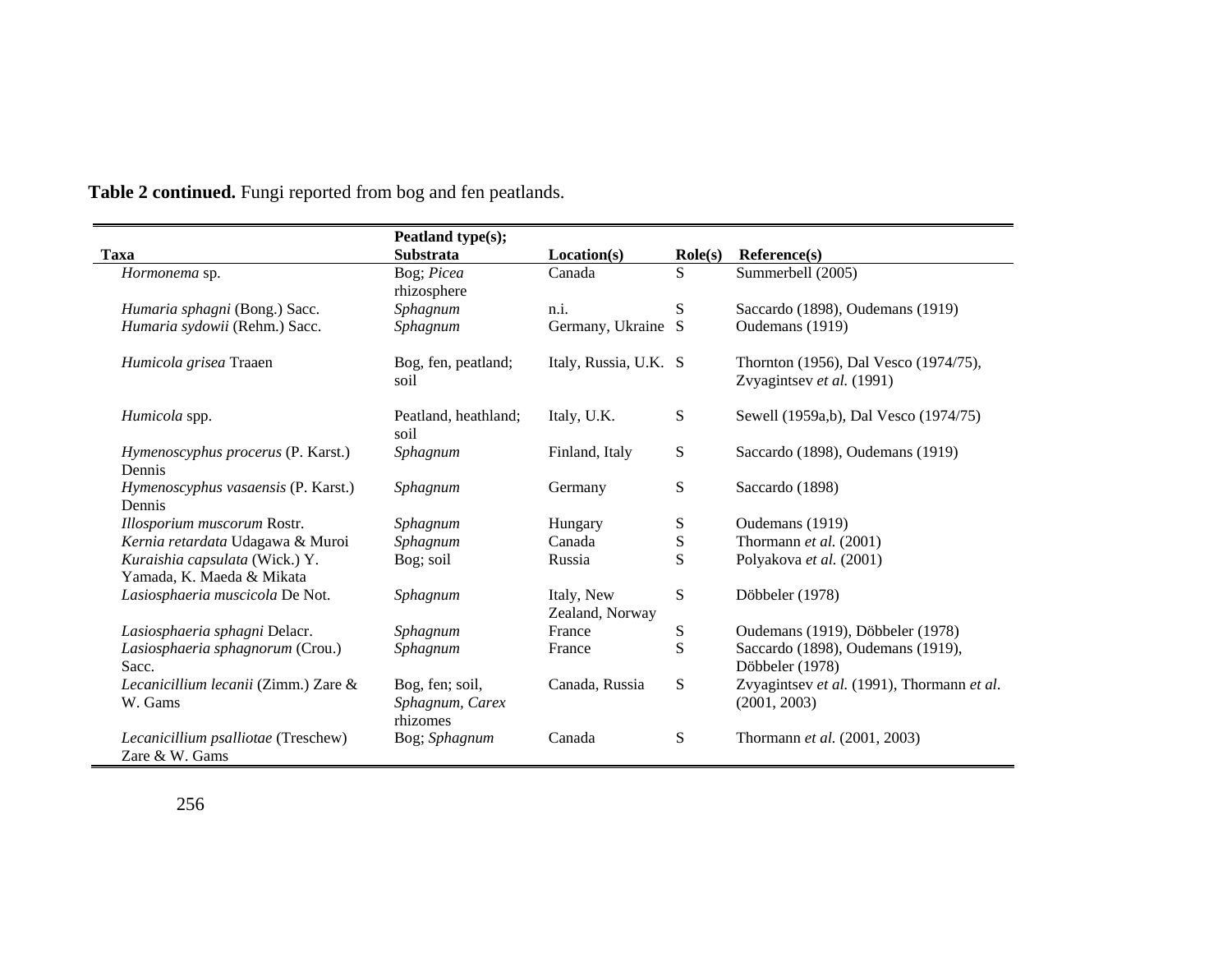|                                                             | Peatland type(s);                              |                               |                  |                                                                    |
|-------------------------------------------------------------|------------------------------------------------|-------------------------------|------------------|--------------------------------------------------------------------|
| Taxa                                                        | Substrata                                      | Location(s)                   | $\text{Role}(s)$ | Reference(s)                                                       |
| Hormonema sp.                                               | Bog; Picea<br>rhizosphere                      | Canada                        | S                | Summerbell (2005)                                                  |
| Humaria sphagni (Bong.) Sacc.                               | Sphagnum                                       | n.i.                          | S                | Saccardo (1898), Oudemans (1919)                                   |
| Humaria sydowii (Rehm.) Sacc.                               | Sphagnum                                       | Germany, Ukraine S            |                  | Oudemans (1919)                                                    |
| Humicola grisea Traaen                                      | Bog, fen, peatland;<br>soil                    | Italy, Russia, U.K. S         |                  | Thornton (1956), Dal Vesco (1974/75),<br>Zvyagintsev et al. (1991) |
| Humicola spp.                                               | Peatland, heathland;<br>soil                   | Italy, U.K.                   | S                | Sewell (1959a,b), Dal Vesco (1974/75)                              |
| Hymenoscyphus procerus (P. Karst.)<br>Dennis                | Sphagnum                                       | Finland, Italy                | ${\bf S}$        | Saccardo (1898), Oudemans (1919)                                   |
| Hymenoscyphus vasaensis (P. Karst.)<br>Dennis               | Sphagnum                                       | Germany                       | S                | Saccardo (1898)                                                    |
| Illosporium muscorum Rostr.                                 | Sphagnum                                       | Hungary                       | S                | Oudemans (1919)                                                    |
| Kernia retardata Udagawa & Muroi                            | Sphagnum                                       | Canada                        | S                | Thormann et al. (2001)                                             |
| Kuraishia capsulata (Wick.) Y.<br>Yamada, K. Maeda & Mikata | Bog; soil                                      | Russia                        | S                | Polyakova et al. (2001)                                            |
| Lasiosphaeria muscicola De Not.                             | Sphagnum                                       | Italy, New<br>Zealand, Norway | S                | Döbbeler (1978)                                                    |
| Lasiosphaeria sphagni Delacr.                               | Sphagnum                                       | France                        | S                | Oudemans (1919), Döbbeler (1978)                                   |
| Lasiosphaeria sphagnorum (Crou.)<br>Sacc.                   | Sphagnum                                       | France                        | S                | Saccardo (1898), Oudemans (1919),<br>Döbbeler (1978)               |
| Lecanicillium lecanii (Zimm.) Zare &<br>W. Gams             | Bog, fen; soil,<br>Sphagnum, Carex<br>rhizomes | Canada, Russia                | S                | Zvyagintsev et al. (1991), Thormann et al.<br>(2001, 2003)         |
| Lecanicillium psalliotae (Treschew)<br>Zare & W. Gams       | Bog; Sphagnum                                  | Canada                        | S                | Thormann et al. (2001, 2003)                                       |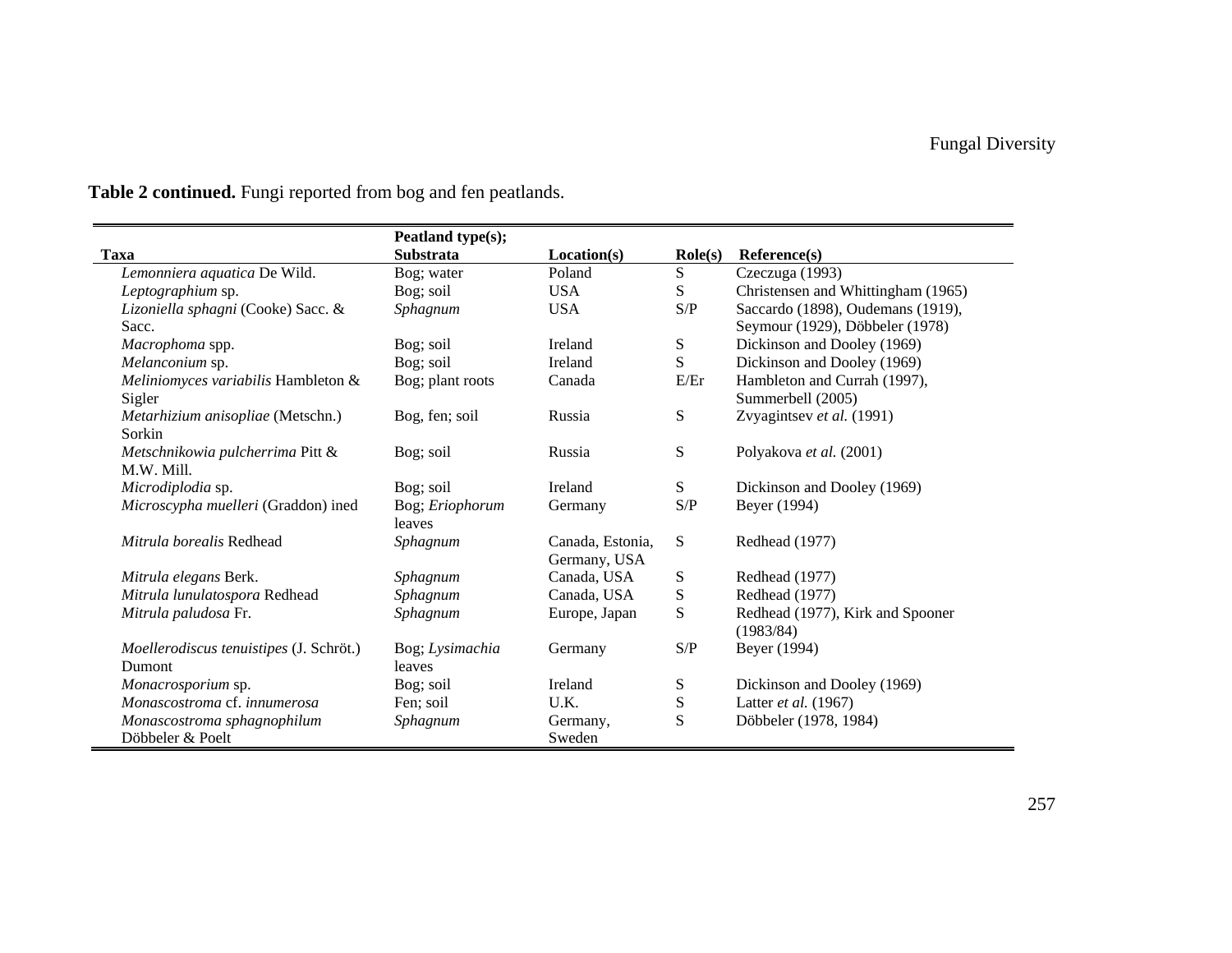|                                         | Peatland type(s); |                  |                  |                                    |
|-----------------------------------------|-------------------|------------------|------------------|------------------------------------|
| Taxa                                    | <b>Substrata</b>  | Location(s)      | $\text{Role}(s)$ | Reference(s)                       |
| Lemonniera aquatica De Wild.            | Bog; water        | Poland           | S                | Czeczuga (1993)                    |
| Leptographium sp.                       | Bog; soil         | <b>USA</b>       | S                | Christensen and Whittingham (1965) |
| Lizoniella sphagni (Cooke) Sacc. &      | Sphagnum          | <b>USA</b>       | S/P              | Saccardo (1898), Oudemans (1919),  |
| Sacc.                                   |                   |                  |                  | Seymour (1929), Döbbeler (1978)    |
| Macrophoma spp.                         | Bog; soil         | Ireland          | S                | Dickinson and Dooley (1969)        |
| Melanconium sp.                         | Bog; soil         | Ireland          | S                | Dickinson and Dooley (1969)        |
| Meliniomyces variabilis Hambleton &     | Bog; plant roots  | Canada           | E/Er             | Hambleton and Currah (1997),       |
| Sigler                                  |                   |                  |                  | Summerbell (2005)                  |
| Metarhizium anisopliae (Metschn.)       | Bog, fen; soil    | Russia           | S                | Zvyagintsev et al. (1991)          |
| Sorkin                                  |                   |                  |                  |                                    |
| Metschnikowia pulcherrima Pitt &        | Bog; soil         | Russia           | ${\bf S}$        | Polyakova et al. (2001)            |
| M.W. Mill.                              |                   |                  |                  |                                    |
| Microdiplodia sp.                       | Bog; soil         | Ireland          | S                | Dickinson and Dooley (1969)        |
| Microscypha muelleri (Graddon) ined     | Bog; Eriophorum   | Germany          | S/P              | Beyer (1994)                       |
|                                         | leaves            |                  |                  |                                    |
| Mitrula borealis Redhead                | Sphagnum          | Canada, Estonia, | S                | Redhead (1977)                     |
|                                         |                   | Germany, USA     |                  |                                    |
| Mitrula elegans Berk.                   | Sphagnum          | Canada, USA      | S                | Redhead (1977)                     |
| Mitrula lunulatospora Redhead           | Sphagnum          | Canada, USA      | ${\bf S}$        | Redhead (1977)                     |
| Mitrula paludosa Fr.                    | Sphagnum          | Europe, Japan    | S                | Redhead (1977), Kirk and Spooner   |
|                                         |                   |                  |                  | (1983/84)                          |
| Moellerodiscus tenuistipes (J. Schröt.) | Bog; Lysimachia   | Germany          | S/P              | Beyer (1994)                       |
| Dumont                                  | leaves            |                  |                  |                                    |
| Monacrosporium sp.                      | Bog; soil         | Ireland          | S                | Dickinson and Dooley (1969)        |
| Monascostroma cf. innumerosa            | Fen; soil         | U.K.             | S                | Latter et al. (1967)               |
| Monascostroma sphagnophilum             | Sphagnum          | Germany,         | S                | Döbbeler (1978, 1984)              |
| Döbbeler & Poelt                        |                   | Sweden           |                  |                                    |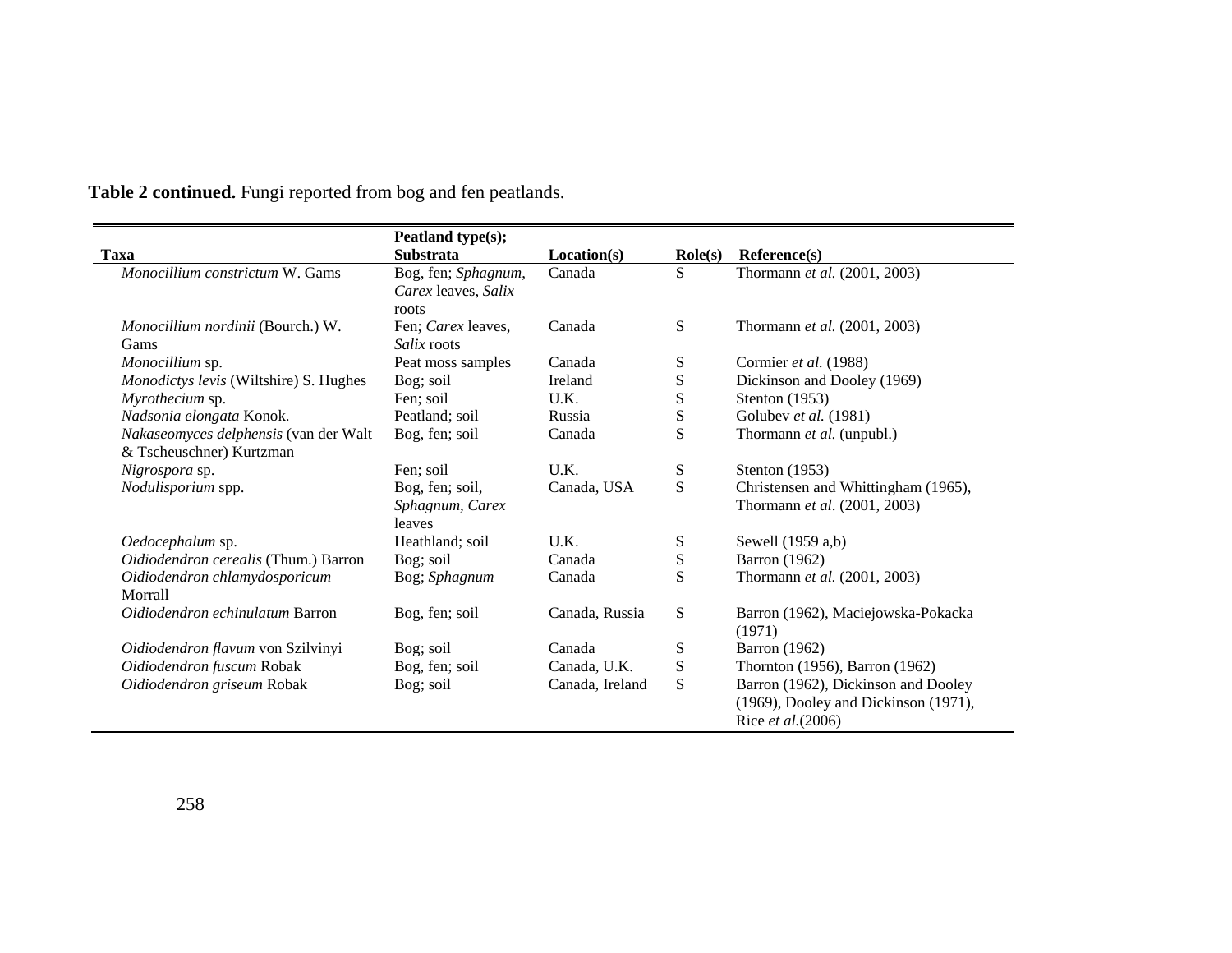|                                                                   | Peatland type(s);                                   |                 |                    |                                                                                                   |
|-------------------------------------------------------------------|-----------------------------------------------------|-----------------|--------------------|---------------------------------------------------------------------------------------------------|
| <b>Taxa</b>                                                       | <b>Substrata</b>                                    | Location(s)     | $\textbf{Role}(s)$ | Reference(s)                                                                                      |
| Monocillium constrictum W. Gams                                   | Bog, fen; Sphagnum,<br>Carex leaves, Salix<br>roots | Canada          | S                  | Thormann et al. (2001, 2003)                                                                      |
| Monocillium nordinii (Bourch.) W.<br>Gams                         | Fen; Carex leaves,<br><i>Salix</i> roots            | Canada          | S                  | Thormann <i>et al.</i> (2001, 2003)                                                               |
| Monocillium sp.                                                   | Peat moss samples                                   | Canada          | S                  | Cormier et al. (1988)                                                                             |
| Monodictys levis (Wiltshire) S. Hughes                            | Bog; soil                                           | Ireland         | ${\bf S}$          | Dickinson and Dooley (1969)                                                                       |
| Myrothecium sp.                                                   | Fen; soil                                           | U.K.            | ${\bf S}$          | Stenton (1953)                                                                                    |
| Nadsonia elongata Konok.                                          | Peatland; soil                                      | Russia          | S                  | Golubev et al. (1981)                                                                             |
| Nakaseomyces delphensis (van der Walt<br>& Tscheuschner) Kurtzman | Bog, fen; soil                                      | Canada          | S                  | Thormann et al. (unpubl.)                                                                         |
| Nigrospora sp.                                                    | Fen; soil                                           | U.K.            | S                  | Stenton $(1953)$                                                                                  |
| Nodulisporium spp.                                                | Bog, fen; soil,<br>Sphagnum, Carex<br>leaves        | Canada, USA     | S                  | Christensen and Whittingham (1965),<br>Thormann et al. (2001, 2003)                               |
| Oedocephalum sp.                                                  | Heathland; soil                                     | U.K.            | S                  | Sewell (1959 a,b)                                                                                 |
| Oidiodendron cerealis (Thum.) Barron                              | Bog; soil                                           | Canada          | ${\bf S}$          | <b>Barron</b> (1962)                                                                              |
| Oidiodendron chlamydosporicum<br>Morrall                          | Bog; Sphagnum                                       | Canada          | S                  | Thormann et al. (2001, 2003)                                                                      |
| Oidiodendron echinulatum Barron                                   | Bog, fen; soil                                      | Canada, Russia  | S                  | Barron (1962), Maciejowska-Pokacka<br>(1971)                                                      |
| Oidiodendron flavum von Szilvinyi                                 | Bog; soil                                           | Canada          | S                  | <b>Barron</b> (1962)                                                                              |
| Oidiodendron fuscum Robak                                         | Bog, fen; soil                                      | Canada, U.K.    | S                  | Thornton (1956), Barron (1962)                                                                    |
| Oidiodendron griseum Robak                                        | Bog; soil                                           | Canada, Ireland | S                  | Barron (1962), Dickinson and Dooley<br>(1969), Dooley and Dickinson (1971),<br>Rice et al. (2006) |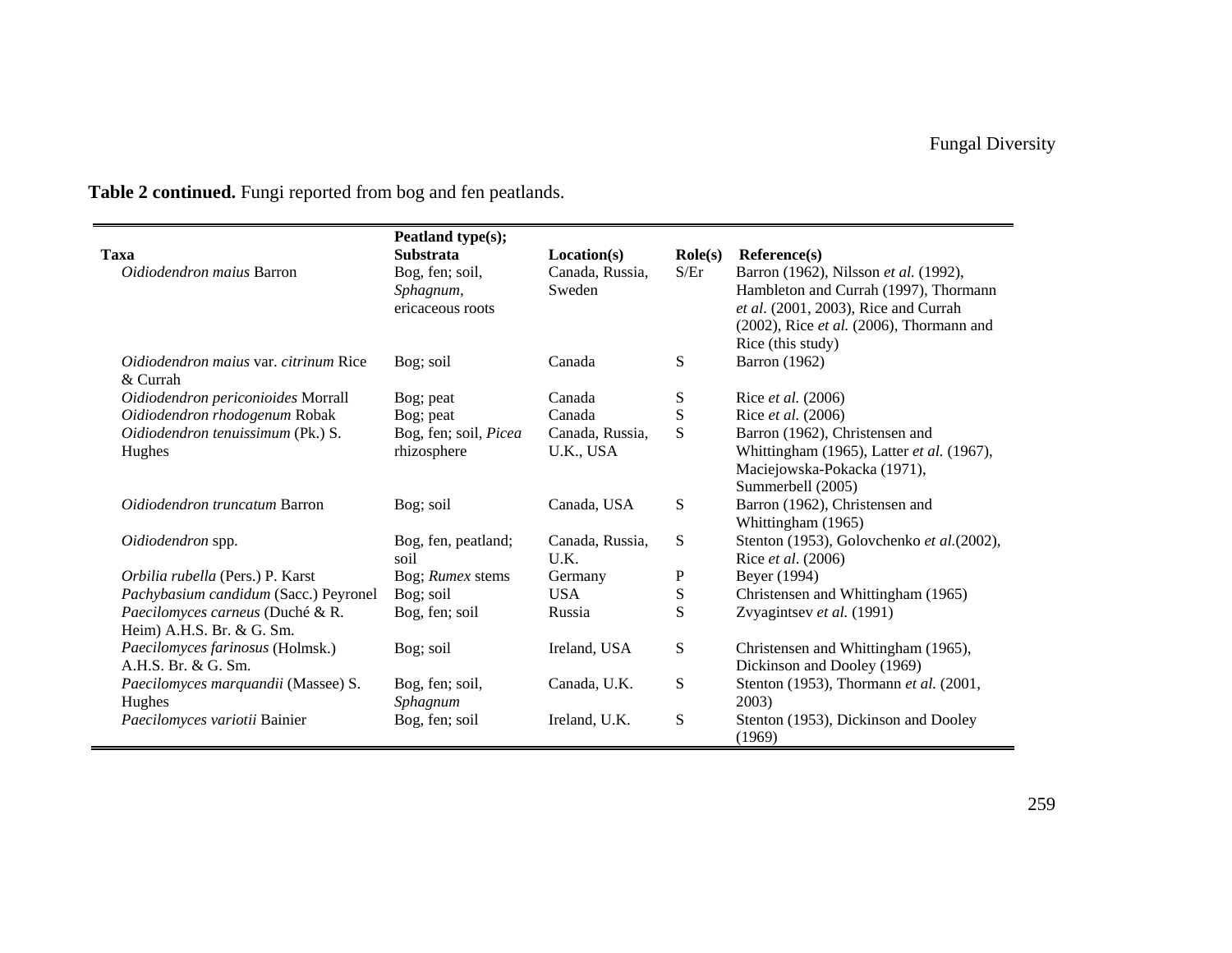| <b>Taxa</b>                                                   | Peatland type(s);<br><b>Substrata</b>            | Location(s)               | $\textbf{Role}(s)$ | Reference(s)                                                                                                                                                                                  |
|---------------------------------------------------------------|--------------------------------------------------|---------------------------|--------------------|-----------------------------------------------------------------------------------------------------------------------------------------------------------------------------------------------|
| <i>Oidiodendron maius</i> Barron                              | Bog, fen; soil,<br>Sphagnum,<br>ericaceous roots | Canada, Russia,<br>Sweden | S/Fr               | Barron (1962), Nilsson et al. (1992),<br>Hambleton and Currah (1997), Thormann<br>et al. (2001, 2003), Rice and Currah<br>$(2002)$ , Rice et al. $(2006)$ , Thormann and<br>Rice (this study) |
| <i>Oidiodendron maius var. citrinum Rice</i><br>$&$ Currah    | Bog; soil                                        | Canada                    | S                  | Barron (1962)                                                                                                                                                                                 |
| Oidiodendron periconioides Morrall                            | Bog; peat                                        | Canada                    | S                  | Rice et al. (2006)                                                                                                                                                                            |
| Oidiodendron rhodogenum Robak                                 | Bog; peat                                        | Canada                    | ${\bf S}$          | Rice et al. (2006)                                                                                                                                                                            |
| Oidiodendron tenuissimum (Pk.) S.                             | Bog, fen; soil, Picea                            | Canada, Russia,           | S                  | Barron (1962), Christensen and                                                                                                                                                                |
| Hughes                                                        | rhizosphere                                      | U.K., USA                 |                    | Whittingham (1965), Latter et al. (1967),<br>Maciejowska-Pokacka (1971),<br>Summerbell (2005)                                                                                                 |
| Oidiodendron truncatum Barron                                 | Bog; soil                                        | Canada, USA               | ${\bf S}$          | Barron (1962), Christensen and<br>Whittingham (1965)                                                                                                                                          |
| Oidiodendron spp.                                             | Bog, fen, peatland;<br>soil                      | Canada, Russia,<br>U.K.   | ${\bf S}$          | Stenton (1953), Golovchenko et al. (2002),<br>Rice et al. (2006)                                                                                                                              |
| Orbilia rubella (Pers.) P. Karst                              | Bog; Rumex stems                                 | Germany                   | P                  | Beyer (1994)                                                                                                                                                                                  |
| Pachybasium candidum (Sacc.) Peyronel                         | Bog; soil                                        | <b>USA</b>                | ${\bf S}$          | Christensen and Whittingham (1965)                                                                                                                                                            |
| Paecilomyces carneus (Duché & R.<br>Heim) A.H.S. Br. & G. Sm. | Bog, fen; soil                                   | Russia                    | S                  | Zvyagintsev et al. (1991)                                                                                                                                                                     |
| Paecilomyces farinosus (Holmsk.)<br>A.H.S. Br. & G. Sm.       | Bog; soil                                        | Ireland, USA              | ${\bf S}$          | Christensen and Whittingham (1965),<br>Dickinson and Dooley (1969)                                                                                                                            |
| Paecilomyces marquandii (Massee) S.<br>Hughes                 | Bog, fen; soil,<br>Sphagnum                      | Canada, U.K.              | ${\bf S}$          | Stenton (1953), Thormann et al. (2001,<br>2003)                                                                                                                                               |
| Paecilomyces variotii Bainier                                 | Bog, fen; soil                                   | Ireland, U.K.             | ${\bf S}$          | Stenton (1953), Dickinson and Dooley<br>(1969)                                                                                                                                                |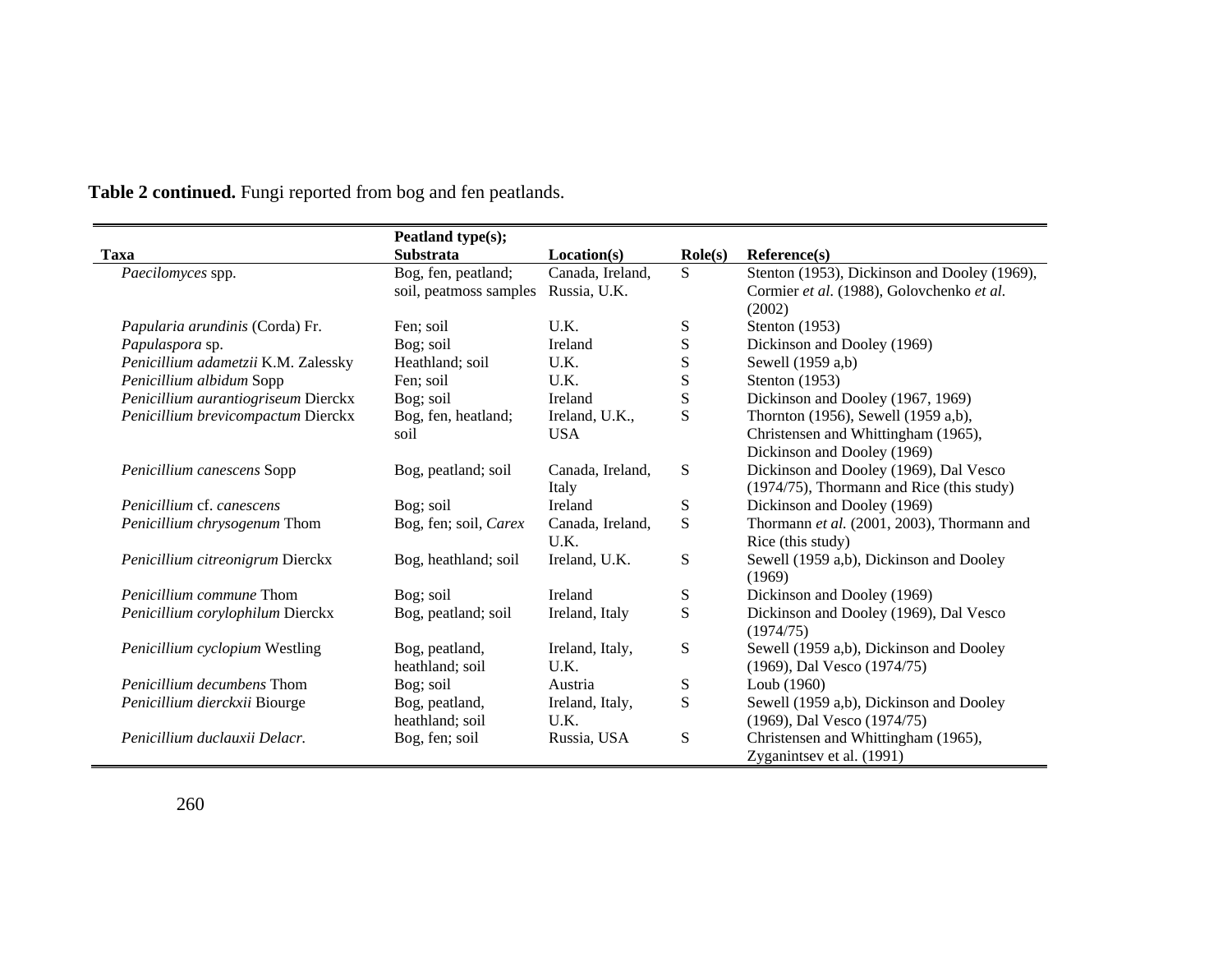|                                     | Peatland type(s);      |                  |                    |                                              |
|-------------------------------------|------------------------|------------------|--------------------|----------------------------------------------|
| Taxa                                | <b>Substrata</b>       | Location(s)      | $\textbf{Role}(s)$ | Reference(s)                                 |
| Paecilomyces spp.                   | Bog, fen, peatland;    | Canada, Ireland, | S.                 | Stenton (1953), Dickinson and Dooley (1969), |
|                                     | soil, peatmoss samples | Russia, U.K.     |                    | Cormier et al. (1988), Golovchenko et al.    |
|                                     |                        |                  |                    | (2002)                                       |
| Papularia arundinis (Corda) Fr.     | Fen: soil              | U.K.             | S                  | Stenton $(1953)$                             |
| Papulaspora sp.                     | Bog; soil              | Ireland          | ${\bf S}$          | Dickinson and Dooley (1969)                  |
| Penicillium adametzii K.M. Zalessky | Heathland; soil        | U.K.             | ${\bf S}$          | Sewell (1959 a,b)                            |
| Penicillium albidum Sopp            | Fen; soil              | U.K.             | S                  | Stenton (1953)                               |
| Penicillium aurantiogriseum Dierckx | Bog; soil              | Ireland          | S                  | Dickinson and Dooley (1967, 1969)            |
| Penicillium brevicompactum Dierckx  | Bog, fen, heatland;    | Ireland, U.K.,   | S                  | Thornton (1956), Sewell (1959 a,b),          |
|                                     | soil                   | <b>USA</b>       |                    | Christensen and Whittingham (1965),          |
|                                     |                        |                  |                    | Dickinson and Dooley (1969)                  |
| Penicillium canescens Sopp          | Bog, peatland; soil    | Canada, Ireland, | S                  | Dickinson and Dooley (1969), Dal Vesco       |
|                                     |                        | Italy            |                    | (1974/75), Thormann and Rice (this study)    |
| Penicillium cf. canescens           | Bog; soil              | Ireland          | S                  | Dickinson and Dooley (1969)                  |
| Penicillium chrysogenum Thom        | Bog, fen; soil, Carex  | Canada, Ireland, | S                  | Thormann et al. (2001, 2003), Thormann and   |
|                                     |                        | U.K.             |                    | Rice (this study)                            |
| Penicillium citreonigrum Dierckx    | Bog, heathland; soil   | Ireland, U.K.    | S                  | Sewell (1959 a,b), Dickinson and Dooley      |
|                                     |                        |                  |                    | (1969)                                       |
| <i>Penicillium commune</i> Thom     | Bog; soil              | Ireland          | S                  | Dickinson and Dooley (1969)                  |
| Penicillium corylophilum Dierckx    | Bog, peatland; soil    | Ireland, Italy   | S                  | Dickinson and Dooley (1969), Dal Vesco       |
|                                     |                        |                  |                    | (1974/75)                                    |
| Penicillium cyclopium Westling      | Bog, peatland,         | Ireland, Italy,  | S                  | Sewell (1959 a,b), Dickinson and Dooley      |
|                                     | heathland; soil        | U.K.             |                    | (1969), Dal Vesco (1974/75)                  |
| <i>Penicillium decumbens</i> Thom   | Bog; soil              | Austria          | S                  | Loub (1960)                                  |
| Penicillium dierckxii Biourge       | Bog, peatland,         | Ireland, Italy,  | S                  | Sewell (1959 a,b), Dickinson and Dooley      |
|                                     | heathland; soil        | U.K.             |                    | (1969), Dal Vesco (1974/75)                  |
| Penicillium duclauxii Delacr.       | Bog, fen; soil         | Russia, USA      | S                  | Christensen and Whittingham (1965),          |
|                                     |                        |                  |                    | Zyganintsev et al. (1991)                    |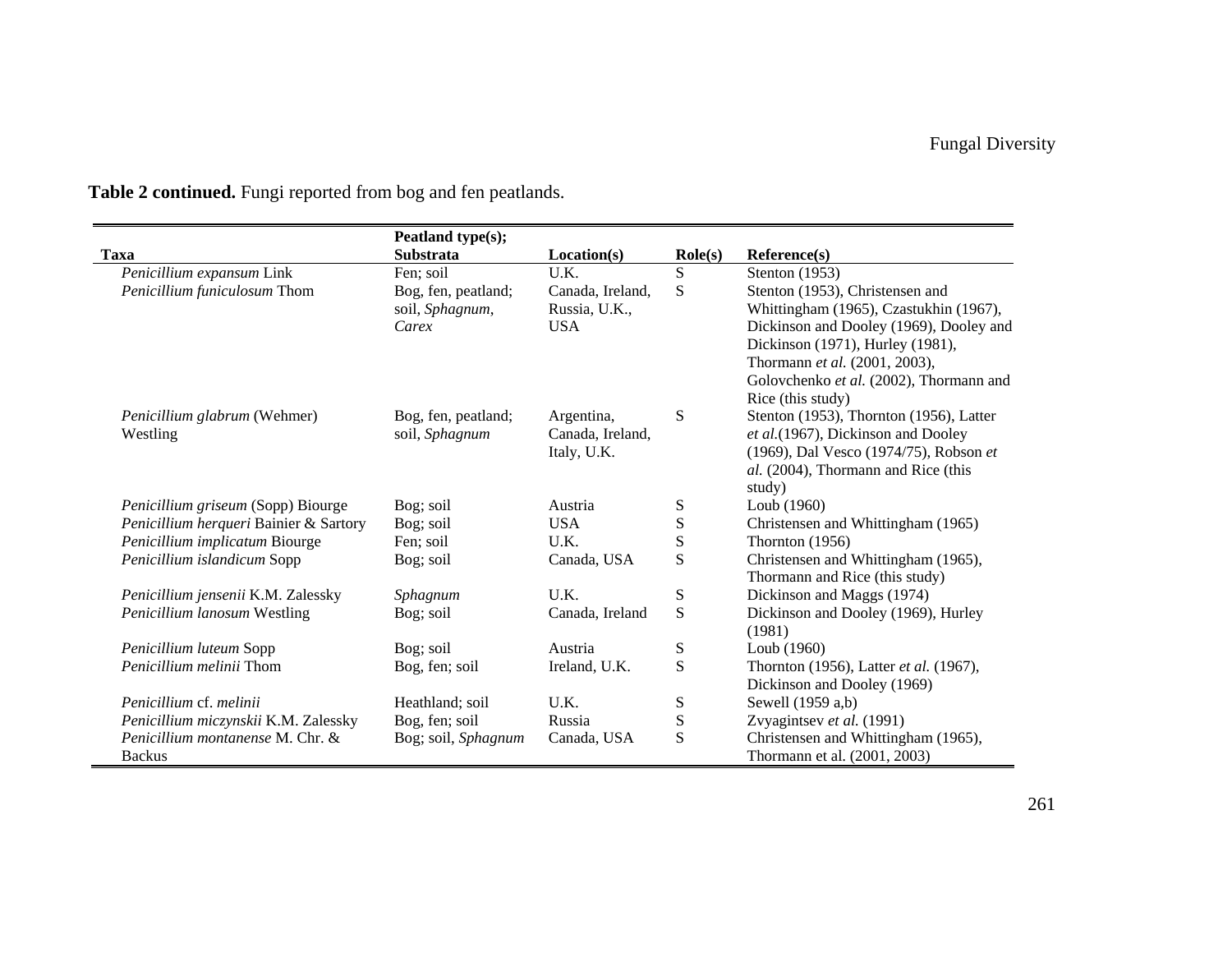|                                        | Peatland type(s);   |                  |                  |                                         |
|----------------------------------------|---------------------|------------------|------------------|-----------------------------------------|
| <b>Taxa</b>                            | <b>Substrata</b>    | Location(s)      | $\text{Role}(s)$ | Reference(s)                            |
| Penicillium expansum Link              | Fen; soil           | U.K.             | S                | Stenton (1953)                          |
| Penicillium funiculosum Thom           | Bog, fen, peatland; | Canada, Ireland, | S                | Stenton (1953), Christensen and         |
|                                        | soil, Sphagnum,     | Russia, U.K.,    |                  | Whittingham (1965), Czastukhin (1967),  |
|                                        | Carex               | <b>USA</b>       |                  | Dickinson and Dooley (1969), Dooley and |
|                                        |                     |                  |                  | Dickinson (1971), Hurley (1981),        |
|                                        |                     |                  |                  | Thormann et al. (2001, 2003),           |
|                                        |                     |                  |                  | Golovchenko et al. (2002), Thormann and |
|                                        |                     |                  |                  | Rice (this study)                       |
| Penicillium glabrum (Wehmer)           | Bog, fen, peatland; | Argentina,       | S                | Stenton (1953), Thornton (1956), Latter |
| Westling                               | soil, Sphagnum      | Canada, Ireland, |                  | et al.(1967), Dickinson and Dooley      |
|                                        |                     | Italy, U.K.      |                  | (1969), Dal Vesco (1974/75), Robson et  |
|                                        |                     |                  |                  | al. (2004), Thormann and Rice (this     |
|                                        |                     |                  |                  | study)                                  |
| Penicillium griseum (Sopp) Biourge     | Bog; soil           | Austria          | S                | Loub (1960)                             |
| Penicillium herqueri Bainier & Sartory | Bog; soil           | <b>USA</b>       | S                | Christensen and Whittingham (1965)      |
| Penicillium implicatum Biourge         | Fen; soil           | U.K.             | ${\bf S}$        | Thornton (1956)                         |
| Penicillium islandicum Sopp            | Bog; soil           | Canada, USA      | S                | Christensen and Whittingham (1965),     |
|                                        |                     |                  |                  | Thormann and Rice (this study)          |
| Penicillium jensenii K.M. Zalessky     | Sphagnum            | U.K.             | S                | Dickinson and Maggs (1974)              |
| Penicillium lanosum Westling           | Bog; soil           | Canada, Ireland  | S                | Dickinson and Dooley (1969), Hurley     |
|                                        |                     |                  |                  | (1981)                                  |
| Penicillium luteum Sopp                | Bog; soil           | Austria          | S                | Loub $(1960)$                           |
| <i>Penicillium melinii</i> Thom        | Bog, fen; soil      | Ireland, U.K.    | S                | Thornton (1956), Latter et al. (1967),  |
|                                        |                     |                  |                  | Dickinson and Dooley (1969)             |
| Penicillium cf. melinii                | Heathland; soil     | U.K.             | S                | Sewell (1959 a,b)                       |
| Penicillium miczynskii K.M. Zalessky   | Bog, fen; soil      | Russia           | ${\bf S}$        | Zvyagintsev et al. (1991)               |
| Penicillium montanense M. Chr. &       | Bog; soil, Sphagnum | Canada, USA      | ${\bf S}$        | Christensen and Whittingham (1965),     |
| <b>Backus</b>                          |                     |                  |                  | Thormann et al. (2001, 2003)            |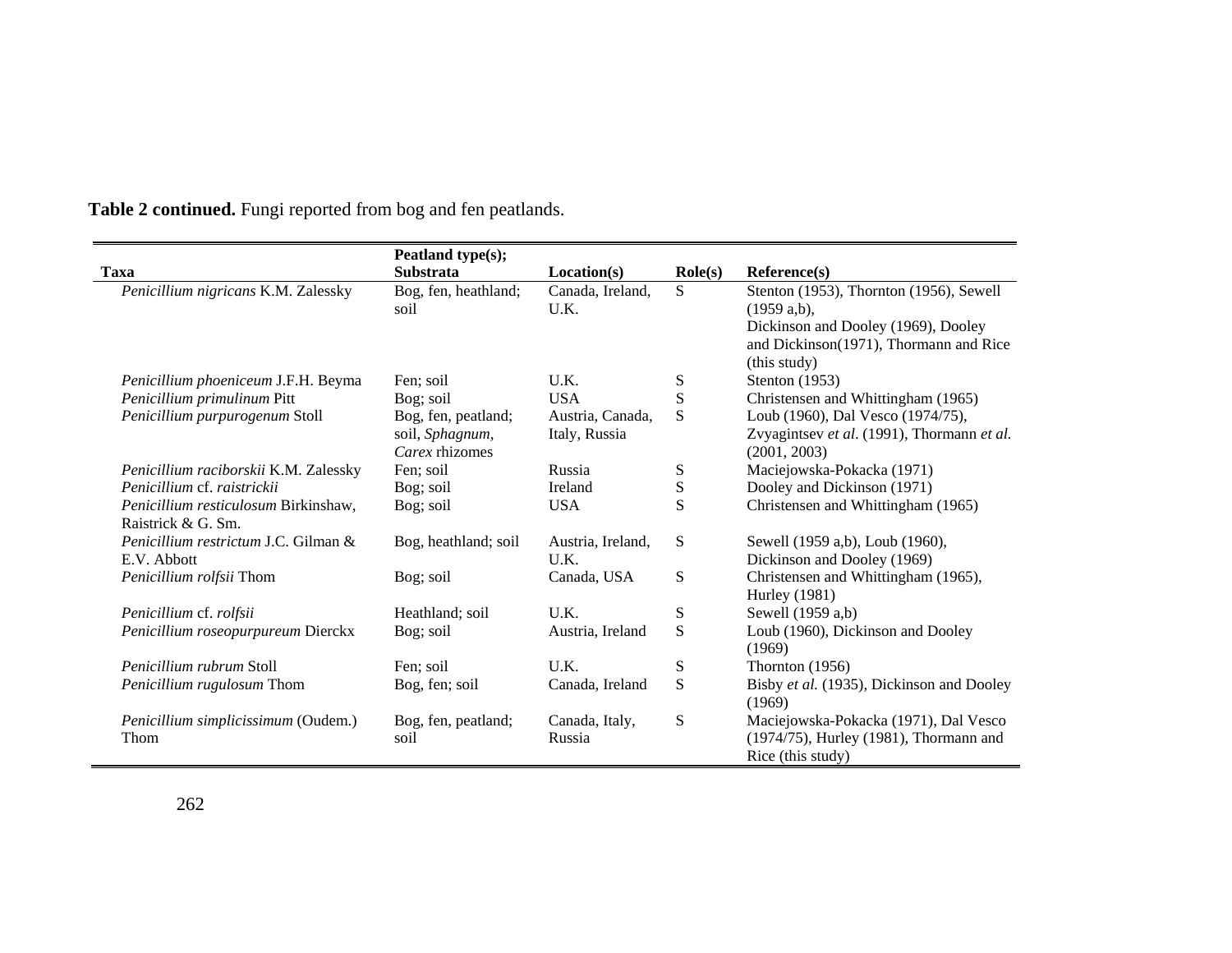|                                       | Peatland type(s);                 |                          |                  |                                                                                               |
|---------------------------------------|-----------------------------------|--------------------------|------------------|-----------------------------------------------------------------------------------------------|
| <b>Taxa</b>                           | <b>Substrata</b>                  | Location(s)              | $\text{Role}(s)$ | Reference(s)                                                                                  |
| Penicillium nigricans K.M. Zalessky   | Bog, fen, heathland;<br>soil      | Canada, Ireland,<br>U.K. | S                | Stenton (1953), Thornton (1956), Sewell<br>$(1959 a,b)$ ,                                     |
|                                       |                                   |                          |                  | Dickinson and Dooley (1969), Dooley<br>and Dickinson(1971), Thormann and Rice<br>(this study) |
| Penicillium phoeniceum J.F.H. Beyma   | Fen: soil                         | U.K.                     | S                | Stenton $(1953)$                                                                              |
| Penicillium primulinum Pitt           | Bog; soil                         | <b>USA</b>               | S                | Christensen and Whittingham (1965)                                                            |
| Penicillium purpurogenum Stoll        | Bog, fen, peatland;               | Austria, Canada,         | S                | Loub (1960), Dal Vesco (1974/75),                                                             |
|                                       | soil, Sphagnum,<br>Carex rhizomes | Italy, Russia            |                  | Zvyagintsev et al. (1991), Thormann et al.<br>(2001, 2003)                                    |
| Penicillium raciborskii K.M. Zalessky | Fen; soil                         | Russia                   | S                | Maciejowska-Pokacka (1971)                                                                    |
| Penicillium cf. raistrickii           | Bog; soil                         | Ireland                  | S                | Dooley and Dickinson (1971)                                                                   |
| Penicillium resticulosum Birkinshaw,  | Bog; soil                         | <b>USA</b>               | S                | Christensen and Whittingham (1965)                                                            |
| Raistrick & G. Sm.                    |                                   |                          |                  |                                                                                               |
| Penicillium restrictum J.C. Gilman &  | Bog, heathland; soil              | Austria, Ireland,        | S                | Sewell (1959 a,b), Loub (1960),                                                               |
| E.V. Abbott                           |                                   | U.K.                     |                  | Dickinson and Dooley (1969)                                                                   |
| Penicillium rolfsii Thom              | Bog; soil                         | Canada, USA              | S                | Christensen and Whittingham (1965),                                                           |
|                                       |                                   |                          |                  | Hurley (1981)                                                                                 |
| Penicillium cf. rolfsii               | Heathland; soil                   | U.K.                     | S                | Sewell (1959 a,b)                                                                             |
| Penicillium roseopurpureum Dierckx    | Bog; soil                         | Austria, Ireland         | S                | Loub (1960), Dickinson and Dooley<br>(1969)                                                   |
| Penicillium rubrum Stoll              | Fen; soil                         | U.K.                     | S                | Thornton $(1956)$                                                                             |
| Penicillium rugulosum Thom            | Bog, fen; soil                    | Canada, Ireland          | S                | Bisby et al. (1935), Dickinson and Dooley<br>(1969)                                           |
| Penicillium simplicissimum (Oudem.)   | Bog, fen, peatland;               | Canada, Italy,           | S                | Maciejowska-Pokacka (1971), Dal Vesco                                                         |
| Thom                                  | soil                              | Russia                   |                  | (1974/75), Hurley (1981), Thormann and<br>Rice (this study)                                   |

 $\sim$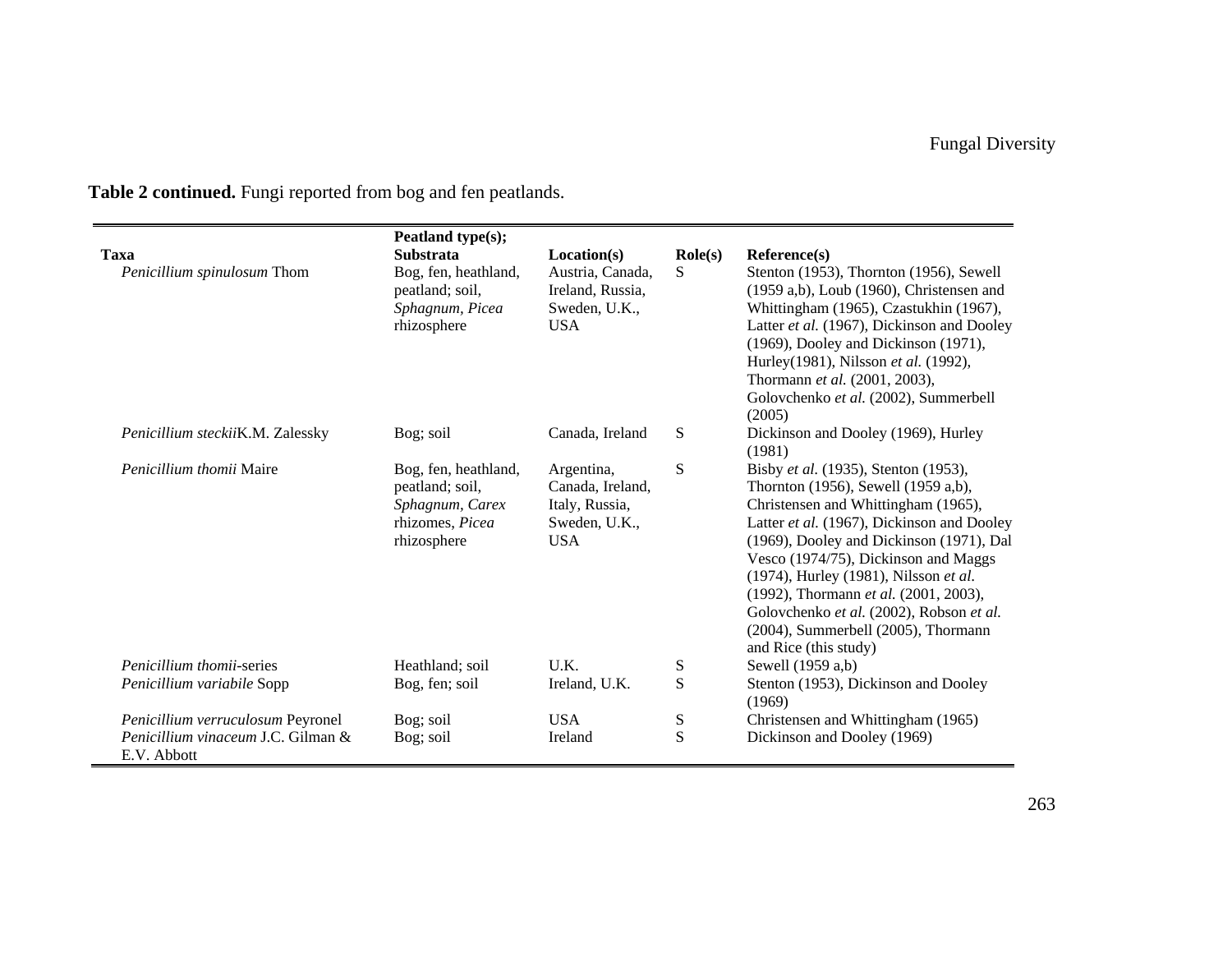|                                                   | Peatland type(s);                                                                            |                                                                                 |                  |                                                                                                                                                                                                                                                                                                                                                                                                                                                    |
|---------------------------------------------------|----------------------------------------------------------------------------------------------|---------------------------------------------------------------------------------|------------------|----------------------------------------------------------------------------------------------------------------------------------------------------------------------------------------------------------------------------------------------------------------------------------------------------------------------------------------------------------------------------------------------------------------------------------------------------|
| <b>Taxa</b>                                       | <b>Substrata</b>                                                                             | Location(s)                                                                     | $\text{Role}(s)$ | Reference(s)                                                                                                                                                                                                                                                                                                                                                                                                                                       |
| Penicillium spinulosum Thom                       | Bog, fen, heathland,<br>peatland; soil,<br>Sphagnum, Picea<br>rhizosphere                    | Austria, Canada,<br>Ireland, Russia,<br>Sweden, U.K.,<br><b>USA</b>             | S                | Stenton (1953), Thornton (1956), Sewell<br>$(1959 a,b)$ , Loub $(1960)$ , Christensen and<br>Whittingham (1965), Czastukhin (1967),<br>Latter et al. (1967), Dickinson and Dooley<br>(1969), Dooley and Dickinson (1971),<br>Hurley(1981), Nilsson et al. (1992),<br>Thormann et al. (2001, 2003),<br>Golovchenko et al. (2002), Summerbell                                                                                                        |
|                                                   |                                                                                              |                                                                                 |                  | (2005)                                                                                                                                                                                                                                                                                                                                                                                                                                             |
| Penicillium steckiiK.M. Zalessky                  | Bog; soil                                                                                    | Canada, Ireland                                                                 | S                | Dickinson and Dooley (1969), Hurley<br>(1981)                                                                                                                                                                                                                                                                                                                                                                                                      |
| Penicillium thomii Maire                          | Bog, fen, heathland,<br>peatland; soil,<br>Sphagnum, Carex<br>rhizomes, Picea<br>rhizosphere | Argentina,<br>Canada, Ireland,<br>Italy, Russia,<br>Sweden, U.K.,<br><b>USA</b> | S                | Bisby et al. (1935), Stenton (1953),<br>Thornton (1956), Sewell (1959 a,b),<br>Christensen and Whittingham (1965),<br>Latter et al. (1967), Dickinson and Dooley<br>(1969), Dooley and Dickinson (1971), Dal<br>Vesco (1974/75), Dickinson and Maggs<br>(1974), Hurley (1981), Nilsson et al.<br>(1992), Thormann et al. (2001, 2003),<br>Golovchenko et al. (2002), Robson et al.<br>(2004), Summerbell (2005), Thormann<br>and Rice (this study) |
| <i>Penicillium thomii-series</i>                  | Heathland; soil                                                                              | U.K.                                                                            | S                | Sewell (1959 a,b)                                                                                                                                                                                                                                                                                                                                                                                                                                  |
| Penicillium variabile Sopp                        | Bog, fen; soil                                                                               | Ireland, U.K.                                                                   | S                | Stenton (1953), Dickinson and Dooley<br>(1969)                                                                                                                                                                                                                                                                                                                                                                                                     |
| Penicillium verruculosum Peyronel                 | Bog; soil                                                                                    | <b>USA</b>                                                                      | S                | Christensen and Whittingham (1965)                                                                                                                                                                                                                                                                                                                                                                                                                 |
| Penicillium vinaceum J.C. Gilman &<br>E.V. Abbott | Bog; soil                                                                                    | Ireland                                                                         | S                | Dickinson and Dooley (1969)                                                                                                                                                                                                                                                                                                                                                                                                                        |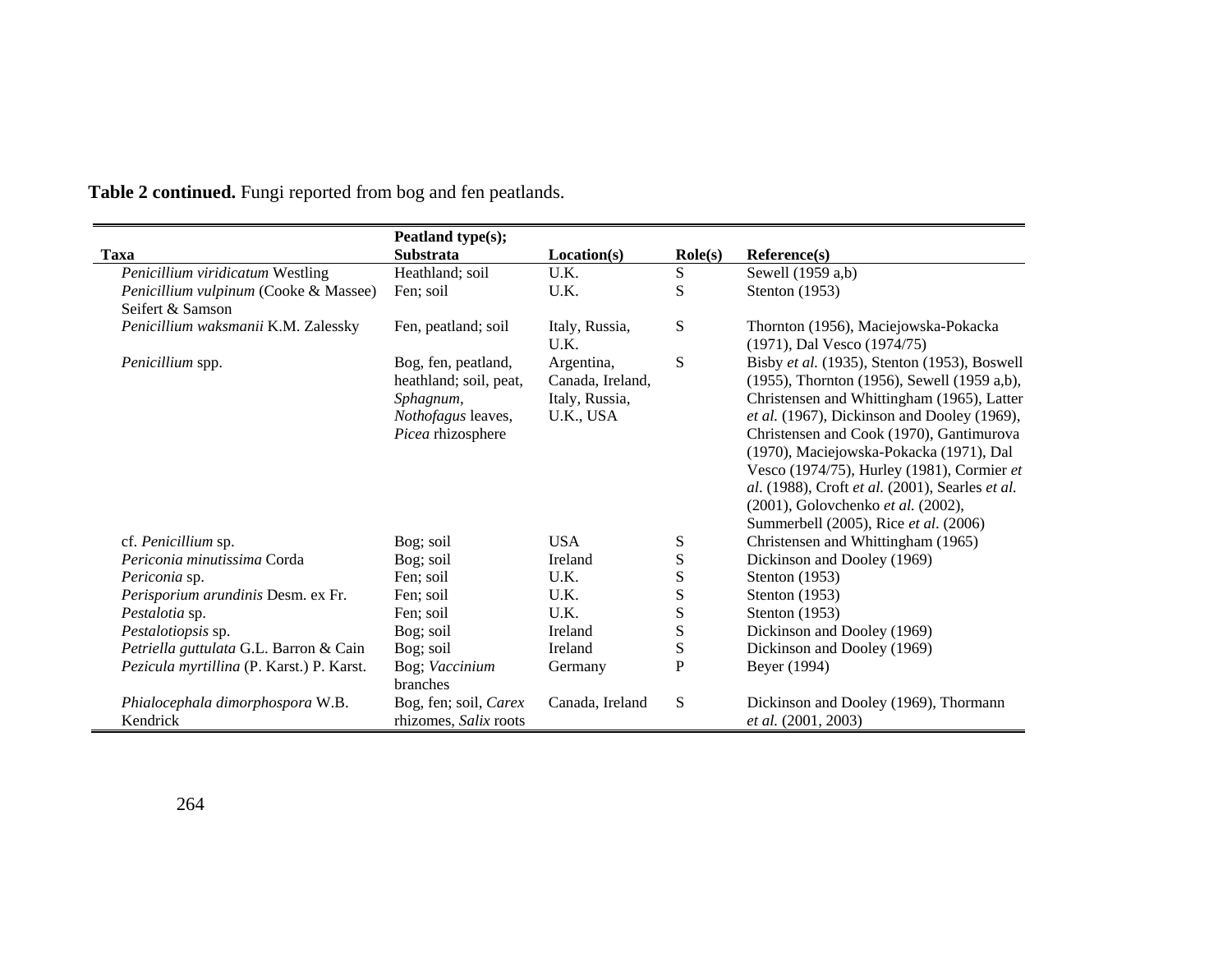|                                              | Peatland type(s);                                                                                     |                                                               |                  |                                                                                                                                                                                                                                                                                                                                                                                                                                                                 |
|----------------------------------------------|-------------------------------------------------------------------------------------------------------|---------------------------------------------------------------|------------------|-----------------------------------------------------------------------------------------------------------------------------------------------------------------------------------------------------------------------------------------------------------------------------------------------------------------------------------------------------------------------------------------------------------------------------------------------------------------|
| Taxa                                         | Substrata                                                                                             | Location(s)                                                   | $\text{Role}(s)$ | Reference(s)                                                                                                                                                                                                                                                                                                                                                                                                                                                    |
| Penicillium viridicatum Westling             | Heathland; soil                                                                                       | U.K.                                                          | S                | Sewell (1959 a,b)                                                                                                                                                                                                                                                                                                                                                                                                                                               |
| Penicillium vulpinum (Cooke & Massee)        | Fen: soil                                                                                             | U.K.                                                          | S                | Stenton (1953)                                                                                                                                                                                                                                                                                                                                                                                                                                                  |
| Seifert & Samson                             |                                                                                                       |                                                               |                  |                                                                                                                                                                                                                                                                                                                                                                                                                                                                 |
| Penicillium waksmanii K.M. Zalessky          | Fen, peatland; soil                                                                                   | Italy, Russia,<br>U.K.                                        | S                | Thornton (1956), Maciejowska-Pokacka<br>(1971), Dal Vesco (1974/75)                                                                                                                                                                                                                                                                                                                                                                                             |
| Penicillium spp.                             | Bog, fen, peatland,<br>heathland; soil, peat,<br>Sphagnum,<br>Nothofagus leaves,<br>Picea rhizosphere | Argentina,<br>Canada, Ireland,<br>Italy, Russia,<br>U.K., USA | S                | Bisby et al. (1935), Stenton (1953), Boswell<br>(1955), Thornton (1956), Sewell (1959 a,b),<br>Christensen and Whittingham (1965), Latter<br>et al. (1967), Dickinson and Dooley (1969),<br>Christensen and Cook (1970), Gantimurova<br>(1970), Maciejowska-Pokacka (1971), Dal<br>Vesco (1974/75), Hurley (1981), Cormier et<br>al. (1988), Croft et al. (2001), Searles et al.<br>(2001), Golovchenko et al. (2002),<br>Summerbell (2005), Rice et al. (2006) |
| cf. Penicillium sp.                          | Bog; soil                                                                                             | <b>USA</b>                                                    | S                | Christensen and Whittingham (1965)                                                                                                                                                                                                                                                                                                                                                                                                                              |
| Periconia minutissima Corda                  | Bog; soil                                                                                             | Ireland                                                       | ${\bf S}$        | Dickinson and Dooley (1969)                                                                                                                                                                                                                                                                                                                                                                                                                                     |
| <i>Periconia</i> sp.                         | Fen; soil                                                                                             | U.K.                                                          | S                | Stenton (1953)                                                                                                                                                                                                                                                                                                                                                                                                                                                  |
| Perisporium arundinis Desm. ex Fr.           | Fen: soil                                                                                             | U.K.                                                          | ${\bf S}$        | Stenton (1953)                                                                                                                                                                                                                                                                                                                                                                                                                                                  |
| Pestalotia sp.                               | Fen; soil                                                                                             | U.K.                                                          | S                | Stenton (1953)                                                                                                                                                                                                                                                                                                                                                                                                                                                  |
| Pestalotiopsis sp.                           | Bog; soil                                                                                             | Ireland                                                       | ${\bf S}$        | Dickinson and Dooley (1969)                                                                                                                                                                                                                                                                                                                                                                                                                                     |
| Petriella guttulata G.L. Barron & Cain       | Bog; soil                                                                                             | Ireland                                                       | S                | Dickinson and Dooley (1969)                                                                                                                                                                                                                                                                                                                                                                                                                                     |
| Pezicula myrtillina (P. Karst.) P. Karst.    | Bog; Vaccinium<br>branches                                                                            | Germany                                                       | $\mathbf P$      | Beyer (1994)                                                                                                                                                                                                                                                                                                                                                                                                                                                    |
| Phialocephala dimorphospora W.B.<br>Kendrick | Bog, fen; soil, Carex<br>rhizomes, Salix roots                                                        | Canada, Ireland                                               | S                | Dickinson and Dooley (1969), Thormann<br>et al. (2001, 2003)                                                                                                                                                                                                                                                                                                                                                                                                    |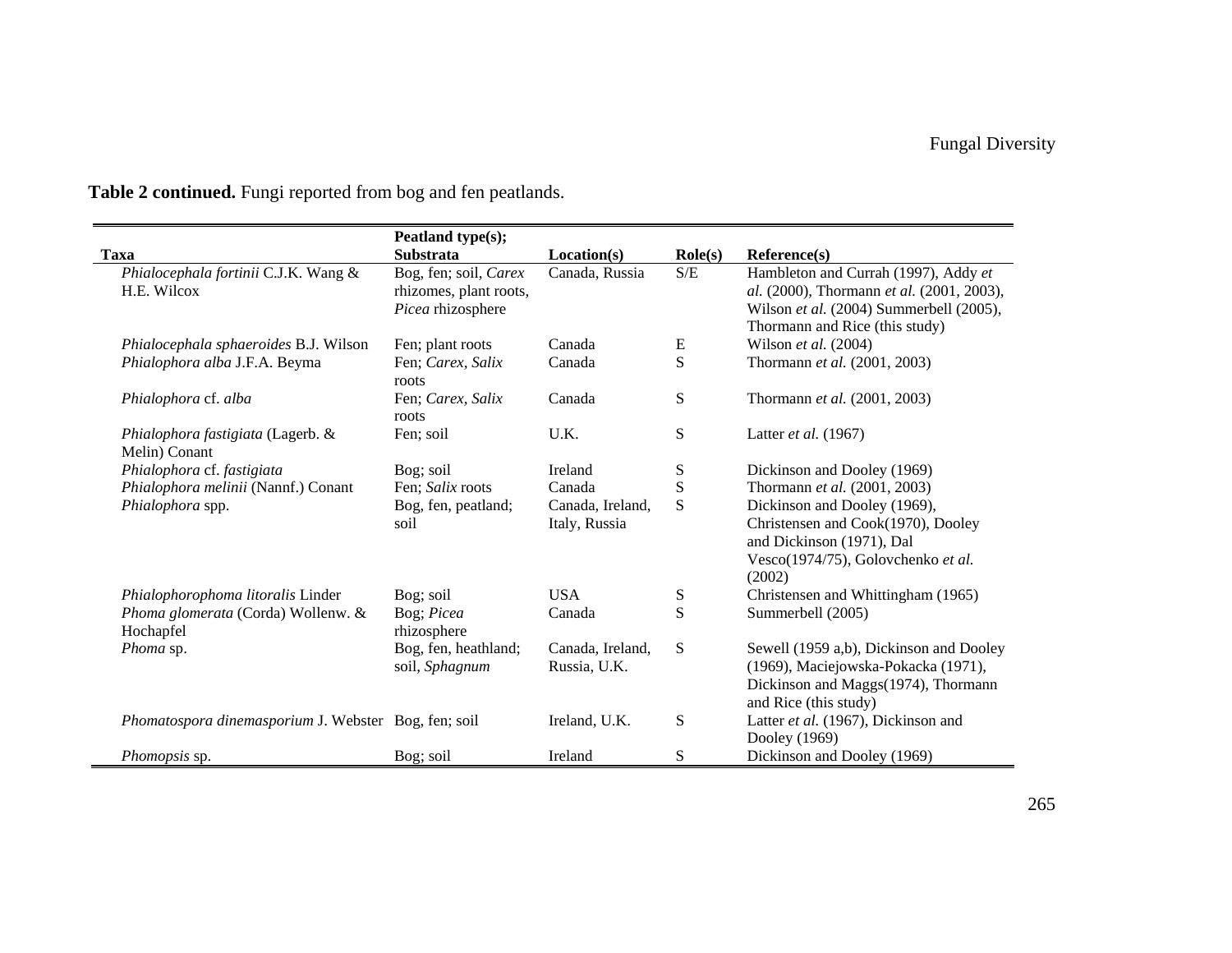|                                                      | Peatland type(s);                                                    |                                   |                                                   |                                                                                                                                                                |
|------------------------------------------------------|----------------------------------------------------------------------|-----------------------------------|---------------------------------------------------|----------------------------------------------------------------------------------------------------------------------------------------------------------------|
| Taxa                                                 | <b>Substrata</b>                                                     | Location(s)                       | $\text{Role}(s)$                                  | Reference(s)                                                                                                                                                   |
| Phialocephala fortinii C.J.K. Wang &<br>H.E. Wilcox  | Bog, fen; soil, Carex<br>rhizomes, plant roots,<br>Picea rhizosphere | Canada, Russia                    | $\ensuremath{\mathrm{S}}/\ensuremath{\mathrm{E}}$ | Hambleton and Currah (1997), Addy et<br>al. (2000), Thormann et al. (2001, 2003),<br>Wilson et al. (2004) Summerbell (2005),<br>Thormann and Rice (this study) |
| Phialocephala sphaeroides B.J. Wilson                | Fen; plant roots                                                     | Canada                            | ${\bf E}$                                         | Wilson et al. $(2004)$                                                                                                                                         |
| Phialophora alba J.F.A. Beyma                        | Fen; Carex, Salix<br>roots                                           | Canada                            | S                                                 | Thormann et al. (2001, 2003)                                                                                                                                   |
| Phialophora cf. alba                                 | Fen; Carex, Salix<br>roots                                           | Canada                            | ${\bf S}$                                         | Thormann et al. (2001, 2003)                                                                                                                                   |
| Phialophora fastigiata (Lagerb. &<br>Melin) Conant   | Fen; soil                                                            | U.K.                              | S                                                 | Latter et al. (1967)                                                                                                                                           |
| Phialophora cf. fastigiata                           | Bog; soil                                                            | Ireland                           | S                                                 | Dickinson and Dooley (1969)                                                                                                                                    |
| Phialophora melinii (Nannf.) Conant                  | Fen; Salix roots                                                     | Canada                            | S                                                 | Thormann et al. (2001, 2003)                                                                                                                                   |
| Phialophora spp.                                     | Bog, fen, peatland;<br>soil                                          | Canada, Ireland,<br>Italy, Russia | S                                                 | Dickinson and Dooley (1969),<br>Christensen and Cook(1970), Dooley<br>and Dickinson (1971), Dal<br>Vesco(1974/75), Golovchenko et al.<br>(2002)                |
| Phialophorophoma litoralis Linder                    | Bog; soil                                                            | <b>USA</b>                        | ${\bf S}$                                         | Christensen and Whittingham (1965)                                                                                                                             |
| Phoma glomerata (Corda) Wollenw. &<br>Hochapfel      | Bog; Picea<br>rhizosphere                                            | Canada                            | S                                                 | Summerbell (2005)                                                                                                                                              |
| Phoma sp.                                            | Bog, fen, heathland;<br>soil, Sphagnum                               | Canada, Ireland,<br>Russia, U.K.  | ${\bf S}$                                         | Sewell (1959 a,b), Dickinson and Dooley<br>(1969), Maciejowska-Pokacka (1971),<br>Dickinson and Maggs(1974), Thormann<br>and Rice (this study)                 |
| Phomatospora dinemasporium J. Webster Bog, fen; soil |                                                                      | Ireland, U.K.                     | ${\bf S}$                                         | Latter et al. (1967), Dickinson and<br>Dooley (1969)                                                                                                           |
| <i>Phomopsis</i> sp.                                 | Bog; soil                                                            | Ireland                           | S                                                 | Dickinson and Dooley (1969)                                                                                                                                    |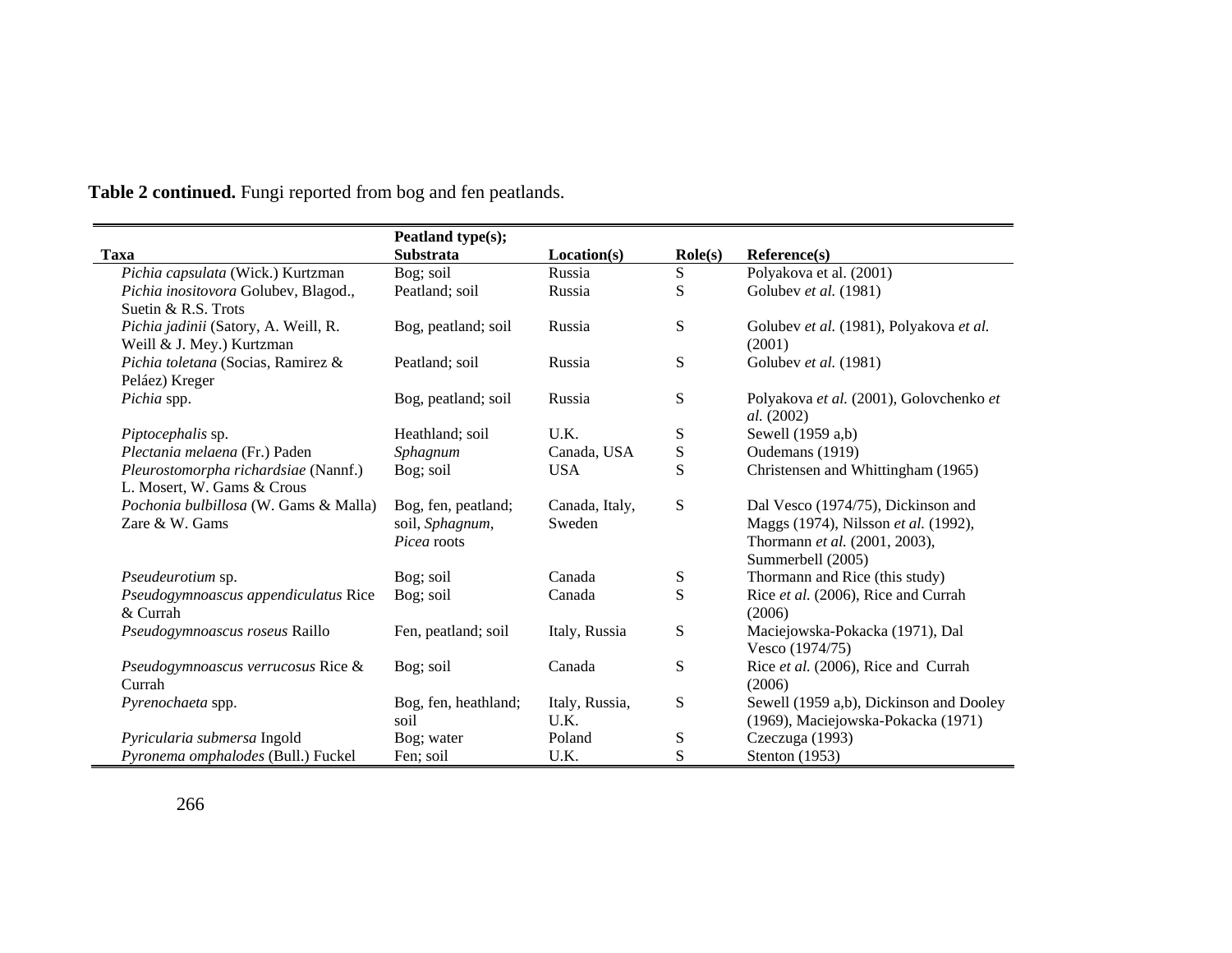|                                                                    | Peatland type(s);                                     |                          |                  |                                                                                                                                  |
|--------------------------------------------------------------------|-------------------------------------------------------|--------------------------|------------------|----------------------------------------------------------------------------------------------------------------------------------|
| Taxa                                                               | <b>Substrata</b>                                      | Location(s)              | $\text{Role}(s)$ | Reference(s)                                                                                                                     |
| Pichia capsulata (Wick.) Kurtzman                                  | Bog; soil                                             | Russia                   | S                | Polyakova et al. (2001)                                                                                                          |
| Pichia inositovora Golubev, Blagod.,<br>Suetin & R.S. Trots        | Peatland; soil                                        | Russia                   | S                | Golubev et al. (1981)                                                                                                            |
| Pichia jadinii (Satory, A. Weill, R.<br>Weill & J. Mey.) Kurtzman  | Bog, peatland; soil                                   | Russia                   | ${\bf S}$        | Golubev et al. (1981), Polyakova et al.<br>(2001)                                                                                |
| Pichia toletana (Socias, Ramirez &<br>Peláez) Kreger               | Peatland; soil                                        | Russia                   | ${\bf S}$        | Golubev et al. (1981)                                                                                                            |
| Pichia spp.                                                        | Bog, peatland; soil                                   | Russia                   | S                | Polyakova et al. (2001), Golovchenko et<br>al. (2002)                                                                            |
| Piptocephalis sp.                                                  | Heathland; soil                                       | U.K.                     | ${\bf S}$        | Sewell (1959 a,b)                                                                                                                |
| Plectania melaena (Fr.) Paden                                      | Sphagnum                                              | Canada, USA              | ${\bf S}$        | Oudemans (1919)                                                                                                                  |
| Pleurostomorpha richardsiae (Nannf.)<br>L. Mosert, W. Gams & Crous | Bog; soil                                             | <b>USA</b>               | S                | Christensen and Whittingham (1965)                                                                                               |
| Pochonia bulbillosa (W. Gams & Malla)<br>Zare & W. Gams            | Bog, fen, peatland;<br>soil, Sphagnum,<br>Picea roots | Canada, Italy,<br>Sweden | ${\bf S}$        | Dal Vesco (1974/75), Dickinson and<br>Maggs (1974), Nilsson et al. (1992),<br>Thormann et al. (2001, 2003),<br>Summerbell (2005) |
| Pseudeurotium sp.                                                  | Bog; soil                                             | Canada                   | S                | Thormann and Rice (this study)                                                                                                   |
| Pseudogymnoascus appendiculatus Rice<br>& Currah                   | Bog; soil                                             | Canada                   | S                | Rice et al. (2006), Rice and Currah<br>(2006)                                                                                    |
| Pseudogymnoascus roseus Raillo                                     | Fen, peatland; soil                                   | Italy, Russia            | ${\bf S}$        | Maciejowska-Pokacka (1971), Dal<br>Vesco (1974/75)                                                                               |
| Pseudogymnoascus verrucosus Rice &<br>Currah                       | Bog; soil                                             | Canada                   | ${\bf S}$        | Rice et al. (2006), Rice and Currah<br>(2006)                                                                                    |
| Pyrenochaeta spp.                                                  | Bog, fen, heathland;<br>soil                          | Italy, Russia,<br>U.K.   | ${\bf S}$        | Sewell (1959 a,b), Dickinson and Dooley<br>(1969), Maciejowska-Pokacka (1971)                                                    |
| Pyricularia submersa Ingold                                        | Bog; water                                            | Poland                   | ${\bf S}$        | Czeczuga (1993)                                                                                                                  |
| Pyronema omphalodes (Bull.) Fuckel                                 | Fen; soil                                             | U.K.                     | S                | Stenton (1953)                                                                                                                   |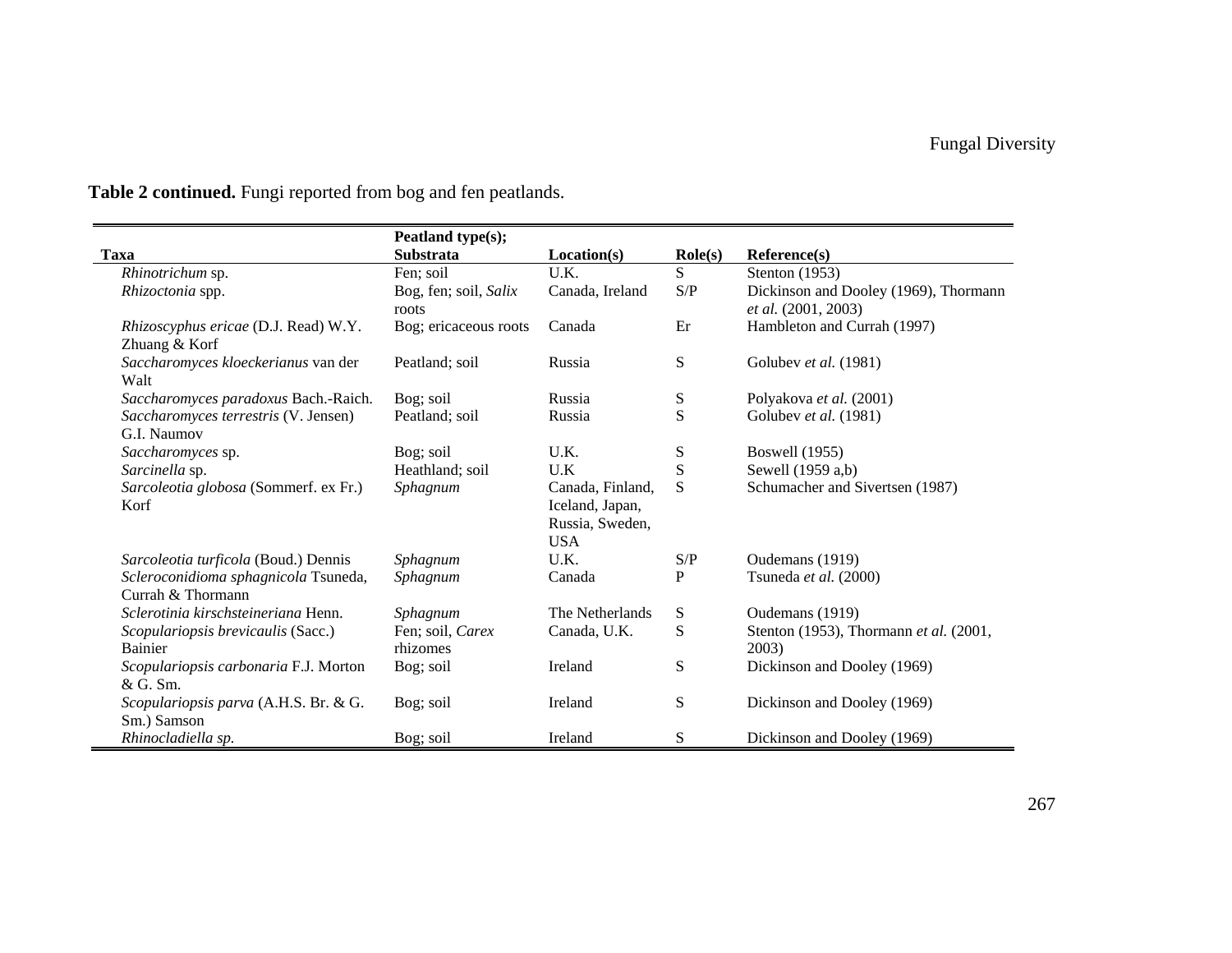|                                       | Peatland type(s);     |                  |                                                                 |                                        |
|---------------------------------------|-----------------------|------------------|-----------------------------------------------------------------|----------------------------------------|
| <b>Taxa</b>                           | <b>Substrata</b>      | Location(s)      | $\text{Role}(s)$                                                | Reference(s)                           |
| Rhinotrichum sp.                      | Fen; soil             | U.K.             | S                                                               | Stenton $(1953)$                       |
| Rhizoctonia spp.                      | Bog, fen; soil, Salix | Canada, Ireland  | $\ensuremath{\mathrm{S}}\xspace/\ensuremath{\mathrm{P}}\xspace$ | Dickinson and Dooley (1969), Thormann  |
|                                       | roots                 |                  |                                                                 | et al. (2001, 2003)                    |
| Rhizoscyphus ericae (D.J. Read) W.Y.  | Bog; ericaceous roots | Canada           | Er                                                              | Hambleton and Currah (1997)            |
| Zhuang & Korf                         |                       |                  |                                                                 |                                        |
| Saccharomyces kloeckerianus van der   | Peatland; soil        | Russia           | S                                                               | Golubev et al. (1981)                  |
| Walt                                  |                       |                  |                                                                 |                                        |
| Saccharomyces paradoxus Bach.-Raich.  | Bog; soil             | Russia           | S                                                               | Polyakova et al. (2001)                |
| Saccharomyces terrestris (V. Jensen)  | Peatland; soil        | Russia           | S                                                               | Golubev et al. (1981)                  |
| G.I. Naumov                           |                       |                  |                                                                 |                                        |
| Saccharomyces sp.                     | Bog; soil             | U.K.             | S                                                               | <b>Boswell</b> (1955)                  |
| Sarcinella sp.                        | Heathland; soil       | U.K              | S                                                               | Sewell (1959 a,b)                      |
| Sarcoleotia globosa (Sommerf. ex Fr.) | Sphagnum              | Canada, Finland, | S                                                               | Schumacher and Sivertsen (1987)        |
| Korf                                  |                       | Iceland, Japan,  |                                                                 |                                        |
|                                       |                       | Russia, Sweden,  |                                                                 |                                        |
|                                       |                       | <b>USA</b>       |                                                                 |                                        |
| Sarcoleotia turficola (Boud.) Dennis  | Sphagnum              | U.K.             | S/P                                                             | Oudemans (1919)                        |
| Scleroconidioma sphagnicola Tsuneda,  | Sphagnum              | Canada           | P                                                               | Tsuneda et al. (2000)                  |
| Currah & Thormann                     |                       |                  |                                                                 |                                        |
| Sclerotinia kirschsteineriana Henn.   | Sphagnum              | The Netherlands  | ${\bf S}$                                                       | Oudemans (1919)                        |
| Scopulariopsis brevicaulis (Sacc.)    | Fen; soil, Carex      | Canada, U.K.     | S                                                               | Stenton (1953), Thormann et al. (2001, |
| <b>Bainier</b>                        | rhizomes              |                  |                                                                 | 2003)                                  |
| Scopulariopsis carbonaria F.J. Morton | Bog; soil             | Ireland          | S                                                               | Dickinson and Dooley (1969)            |
| & G. Sm.                              |                       |                  |                                                                 |                                        |
| Scopulariopsis parva (A.H.S. Br. & G. | Bog; soil             | Ireland          | S                                                               | Dickinson and Dooley (1969)            |
| Sm.) Samson                           |                       |                  |                                                                 |                                        |
| Rhinocladiella sp.                    | Bog; soil             | Ireland          | S                                                               | Dickinson and Dooley (1969)            |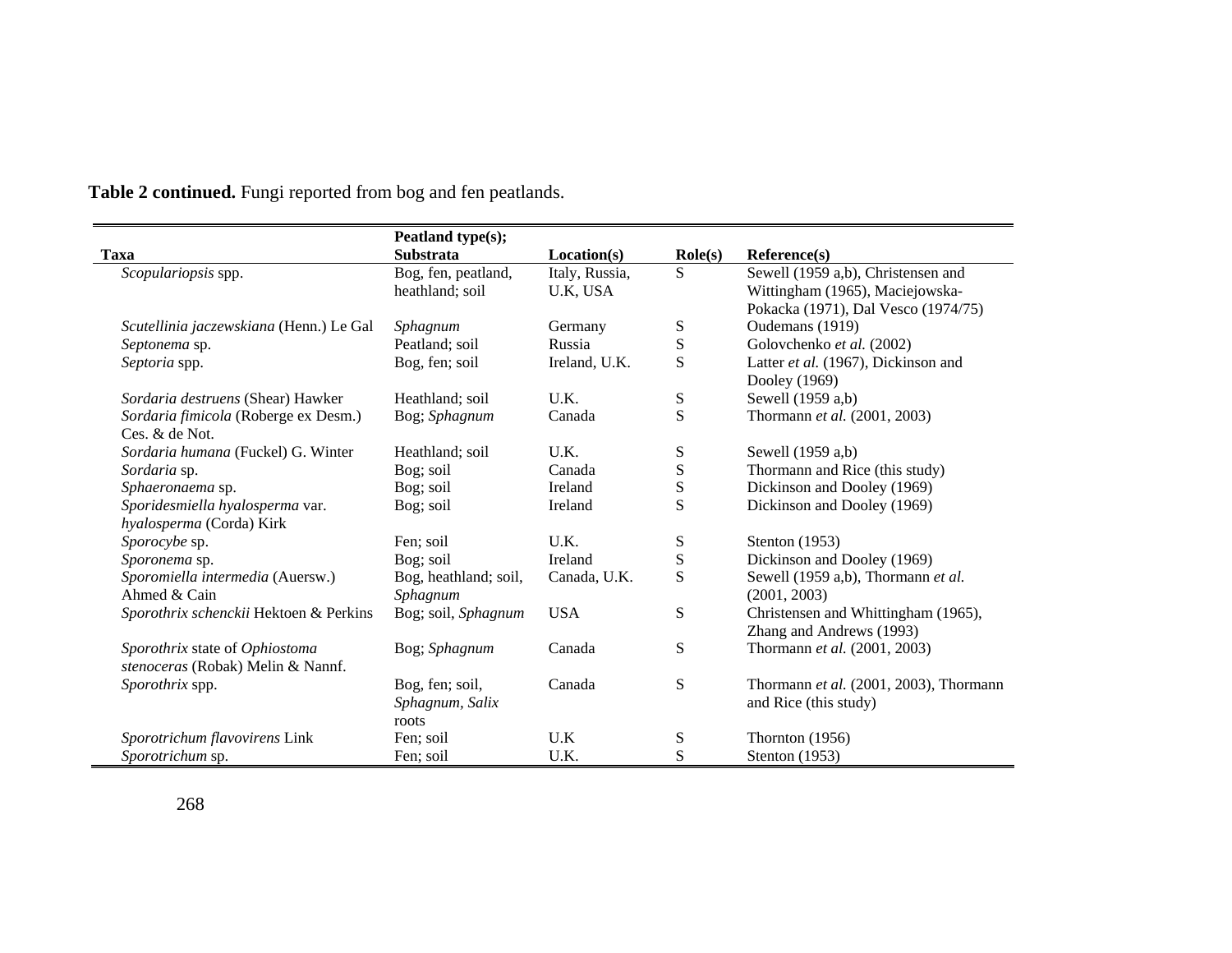|                                         | Peatland type(s);     |                |                  |                                        |
|-----------------------------------------|-----------------------|----------------|------------------|----------------------------------------|
| <b>Taxa</b>                             | <b>Substrata</b>      | Location(s)    | $\text{Role}(s)$ | Reference(s)                           |
| Scopulariopsis spp.                     | Bog, fen, peatland,   | Italy, Russia, | S                | Sewell (1959 a,b), Christensen and     |
|                                         | heathland; soil       | U.K. USA       |                  | Wittingham (1965), Maciejowska-        |
|                                         |                       |                |                  | Pokacka (1971), Dal Vesco (1974/75)    |
| Scutellinia jaczewskiana (Henn.) Le Gal | Sphagnum              | Germany        | S                | Oudemans (1919)                        |
| Septonema sp.                           | Peatland; soil        | Russia         | ${\bf S}$        | Golovchenko et al. (2002)              |
| Septoria spp.                           | Bog, fen; soil        | Ireland, U.K.  | S                | Latter et al. (1967), Dickinson and    |
|                                         |                       |                |                  | Dooley (1969)                          |
| Sordaria destruens (Shear) Hawker       | Heathland; soil       | U.K.           | S                | Sewell (1959 a,b)                      |
| Sordaria fimicola (Roberge ex Desm.)    | Bog; Sphagnum         | Canada         | S                | Thormann et al. (2001, 2003)           |
| Ces. & de Not.                          |                       |                |                  |                                        |
| Sordaria humana (Fuckel) G. Winter      | Heathland; soil       | U.K.           | S                | Sewell (1959 a,b)                      |
| Sordaria sp.                            | Bog; soil             | Canada         | ${\bf S}$        | Thormann and Rice (this study)         |
| Sphaeronaema sp.                        | Bog; soil             | Ireland        | S                | Dickinson and Dooley (1969)            |
| Sporidesmiella hyalosperma var.         | Bog; soil             | Ireland        | S                | Dickinson and Dooley (1969)            |
| hyalosperma (Corda) Kirk                |                       |                |                  |                                        |
| Sporocybe sp.                           | Fen; soil             | U.K.           | S                | Stenton (1953)                         |
| Sporonema sp.                           | Bog; soil             | Ireland        | S                | Dickinson and Dooley (1969)            |
| Sporomiella intermedia (Auersw.)        | Bog, heathland; soil, | Canada, U.K.   | S                | Sewell (1959 a,b), Thormann et al.     |
| Ahmed & Cain                            | Sphagnum              |                |                  | (2001, 2003)                           |
| Sporothrix schenckii Hektoen & Perkins  | Bog; soil, Sphagnum   | <b>USA</b>     | ${\bf S}$        | Christensen and Whittingham (1965),    |
|                                         |                       |                |                  | Zhang and Andrews (1993)               |
| Sporothrix state of Ophiostoma          | Bog; Sphagnum         | Canada         | ${\bf S}$        | Thormann et al. (2001, 2003)           |
| stenoceras (Robak) Melin & Nannf.       |                       |                |                  |                                        |
| <i>Sporothrix</i> spp.                  | Bog, fen; soil,       | Canada         | S                | Thormann et al. (2001, 2003), Thormann |
|                                         | Sphagnum, Salix       |                |                  | and Rice (this study)                  |
|                                         | roots                 |                |                  |                                        |
| Sporotrichum flavovirens Link           | Fen; soil             | U.K            | S                | Thornton $(1956)$                      |
| Sporotrichum sp.                        | Fen; soil             | U.K.           | S                | Stenton (1953)                         |

 $\blacksquare$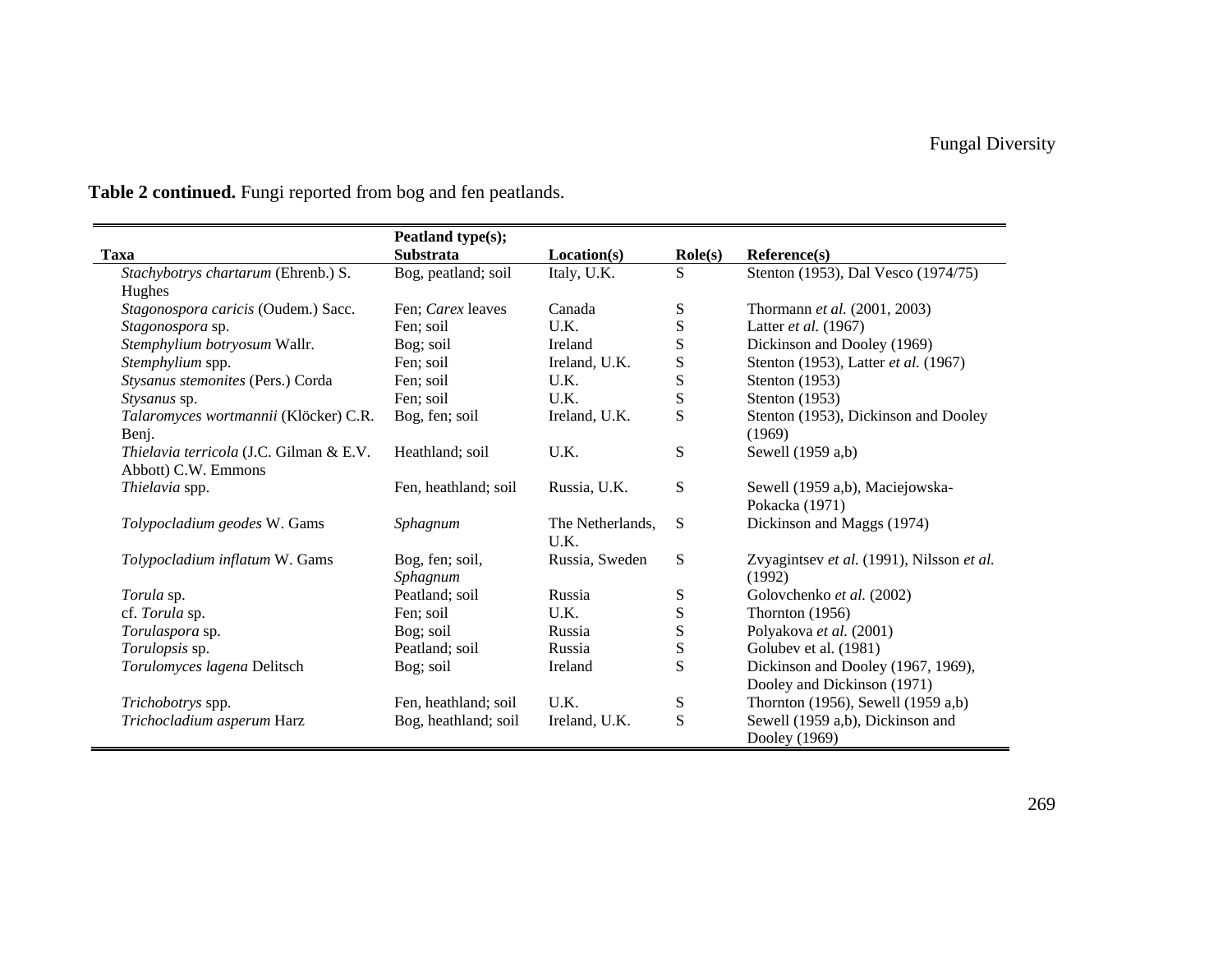|                                         | Peatland type(s);    |                  |                  |                                           |
|-----------------------------------------|----------------------|------------------|------------------|-------------------------------------------|
| Taxa                                    | <b>Substrata</b>     | Location(s)      | $\text{Role}(s)$ | Reference(s)                              |
| Stachybotrys chartarum (Ehrenb.) S.     | Bog, peatland; soil  | Italy, U.K.      | S                | Stenton (1953), Dal Vesco (1974/75)       |
| Hughes                                  |                      |                  |                  |                                           |
| Stagonospora caricis (Oudem.) Sacc.     | Fen; Carex leaves    | Canada           | S                | Thormann et al. (2001, 2003)              |
| Stagonospora sp.                        | Fen; soil            | U.K.             | ${\bf S}$        | Latter et al. (1967)                      |
| Stemphylium botryosum Wallr.            | Bog; soil            | Ireland          | ${\bf S}$        | Dickinson and Dooley (1969)               |
| Stemphylium spp.                        | Fen; soil            | Ireland, U.K.    | ${\bf S}$        | Stenton (1953), Latter et al. (1967)      |
| Stysanus stemonites (Pers.) Corda       | Fen; soil            | U.K.             | S                | Stenton $(1953)$                          |
| Stysanus sp.                            | Fen: soil            | U.K.             | ${\bf S}$        | Stenton $(1953)$                          |
| Talaromyces wortmannii (Klöcker) C.R.   | Bog, fen; soil       | Ireland, U.K.    | S                | Stenton (1953), Dickinson and Dooley      |
| Benj.                                   |                      |                  |                  | (1969)                                    |
| Thielavia terricola (J.C. Gilman & E.V. | Heathland; soil      | U.K.             | S                | Sewell (1959 a,b)                         |
| Abbott) C.W. Emmons                     |                      |                  |                  |                                           |
| Thielavia spp.                          | Fen, heathland; soil | Russia, U.K.     | S                | Sewell (1959 a,b), Maciejowska-           |
|                                         |                      |                  |                  | Pokacka (1971)                            |
| Tolypocladium geodes W. Gams            | Sphagnum             | The Netherlands, | S                | Dickinson and Maggs (1974)                |
|                                         |                      | U.K.             |                  |                                           |
| Tolypocladium inflatum W. Gams          | Bog, fen; soil,      | Russia, Sweden   | S                | Zvyagintsev et al. (1991), Nilsson et al. |
|                                         | Sphagnum             |                  |                  | (1992)                                    |
| Torula sp.                              | Peatland; soil       | Russia           | S                | Golovchenko et al. (2002)                 |
| cf. Torula sp.                          | Fen: soil            | U.K.             | S                | Thornton $(1956)$                         |
| Torulaspora sp.                         | Bog; soil            | Russia           | ${\bf S}$        | Polyakova et al. (2001)                   |
| Torulopsis sp.                          | Peatland; soil       | Russia           | S                | Golubev et al. (1981)                     |
| Torulomyces lagena Delitsch             | Bog; soil            | Ireland          | S                | Dickinson and Dooley (1967, 1969),        |
|                                         |                      |                  |                  | Dooley and Dickinson (1971)               |
| Trichobotrys spp.                       | Fen, heathland; soil | U.K.             | S                | Thornton (1956), Sewell (1959 a,b)        |
| Trichocladium asperum Harz              | Bog, heathland; soil | Ireland, U.K.    | S                | Sewell (1959 a,b), Dickinson and          |
|                                         |                      |                  |                  | Dooley (1969)                             |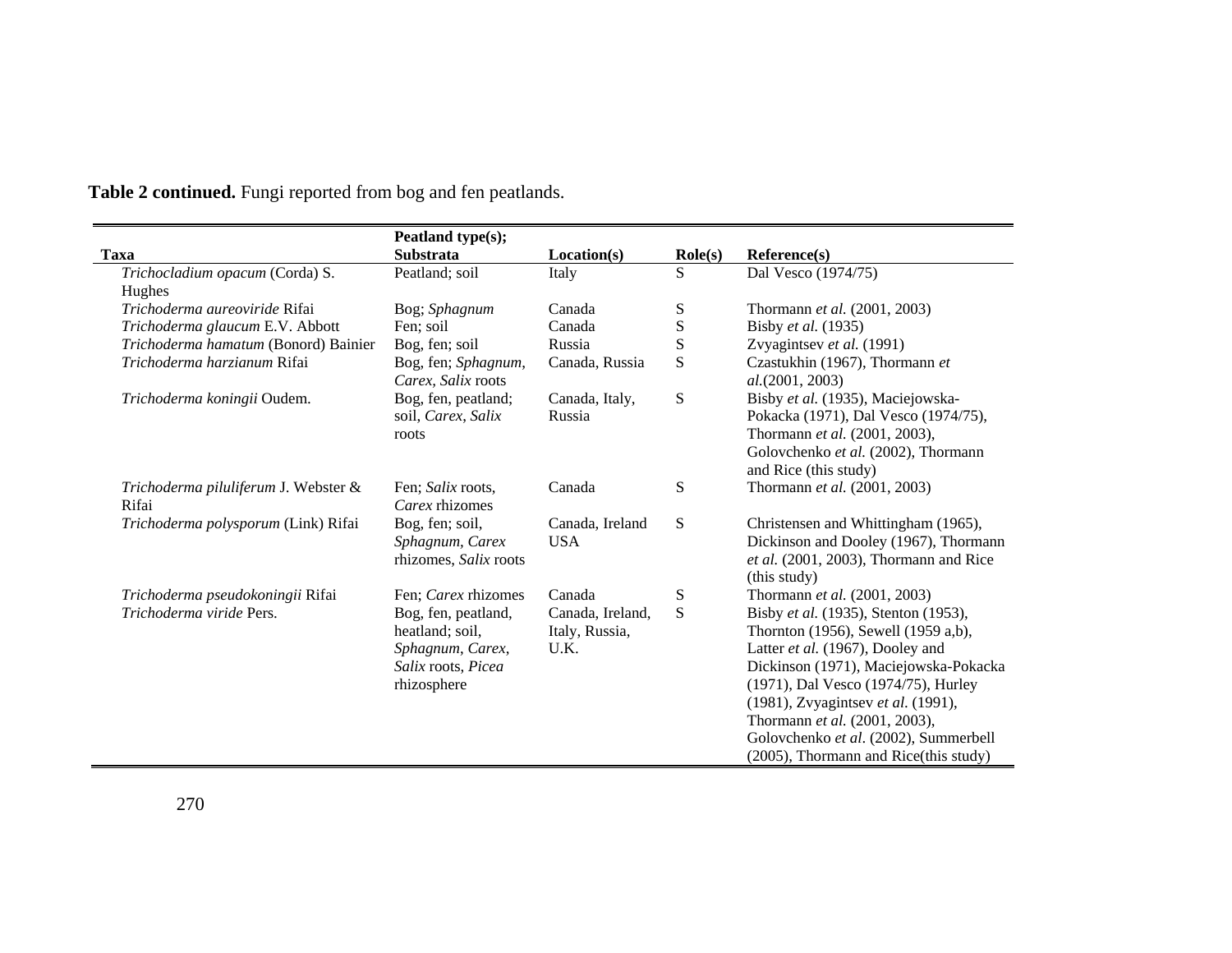|                                      | Peatland type(s);     |                  |                  |                                        |
|--------------------------------------|-----------------------|------------------|------------------|----------------------------------------|
| <b>Taxa</b>                          | Substrata             | Location(s)      | $\text{Role}(s)$ | Reference(s)                           |
| Trichocladium opacum (Corda) S.      | Peatland; soil        | Italy            | S                | Dal Vesco (1974/75)                    |
| Hughes                               |                       |                  |                  |                                        |
| Trichoderma aureoviride Rifai        | Bog; Sphagnum         | Canada           | ${\bf S}$        | Thormann et al. (2001, 2003)           |
| Trichoderma glaucum E.V. Abbott      | Fen; soil             | Canada           | ${\bf S}$        | Bisby et al. (1935)                    |
| Trichoderma hamatum (Bonord) Bainier | Bog, fen; soil        | Russia           | $\mathbf S$      | Zvyagintsev et al. (1991)              |
| Trichoderma harzianum Rifai          | Bog, fen; Sphagnum,   | Canada, Russia   | S                | Czastukhin (1967), Thormann et         |
|                                      | Carex. Salix roots    |                  |                  | al. (2001, 2003)                       |
| Trichoderma koningii Oudem.          | Bog, fen, peatland;   | Canada, Italy,   | ${\bf S}$        | Bisby et al. (1935), Maciejowska-      |
|                                      | soil, Carex, Salix    | Russia           |                  | Pokacka (1971), Dal Vesco (1974/75),   |
|                                      | roots                 |                  |                  | Thormann et al. (2001, 2003),          |
|                                      |                       |                  |                  | Golovchenko et al. (2002), Thormann    |
|                                      |                       |                  |                  | and Rice (this study)                  |
| Trichoderma piluliferum J. Webster & | Fen; Salix roots,     | Canada           | ${\bf S}$        | Thormann et al. (2001, 2003)           |
| Rifai                                | Carex rhizomes        |                  |                  |                                        |
| Trichoderma polysporum (Link) Rifai  | Bog, fen; soil,       | Canada, Ireland  | ${\bf S}$        | Christensen and Whittingham (1965),    |
|                                      | Sphagnum, Carex       | <b>USA</b>       |                  | Dickinson and Dooley (1967), Thormann  |
|                                      | rhizomes, Salix roots |                  |                  | et al. (2001, 2003), Thormann and Rice |
|                                      |                       |                  |                  | (this study)                           |
| Trichoderma pseudokoningii Rifai     | Fen; Carex rhizomes   | Canada           | ${\mathcal S}$   | Thormann et al. (2001, 2003)           |
| Trichoderma viride Pers.             | Bog, fen, peatland,   | Canada, Ireland, | S                | Bisby et al. (1935), Stenton (1953),   |
|                                      | heatland; soil,       | Italy, Russia,   |                  | Thornton (1956), Sewell (1959 a,b),    |
|                                      | Sphagnum, Carex,      | U.K.             |                  | Latter et al. (1967), Dooley and       |
|                                      | Salix roots, Picea    |                  |                  | Dickinson (1971), Maciejowska-Pokacka  |
|                                      | rhizosphere           |                  |                  | (1971), Dal Vesco (1974/75), Hurley    |
|                                      |                       |                  |                  | (1981), Zvyagintsev et al. (1991),     |
|                                      |                       |                  |                  | Thormann et al. (2001, 2003),          |
|                                      |                       |                  |                  | Golovchenko et al. (2002), Summerbell  |
|                                      |                       |                  |                  | (2005), Thormann and Rice(this study)  |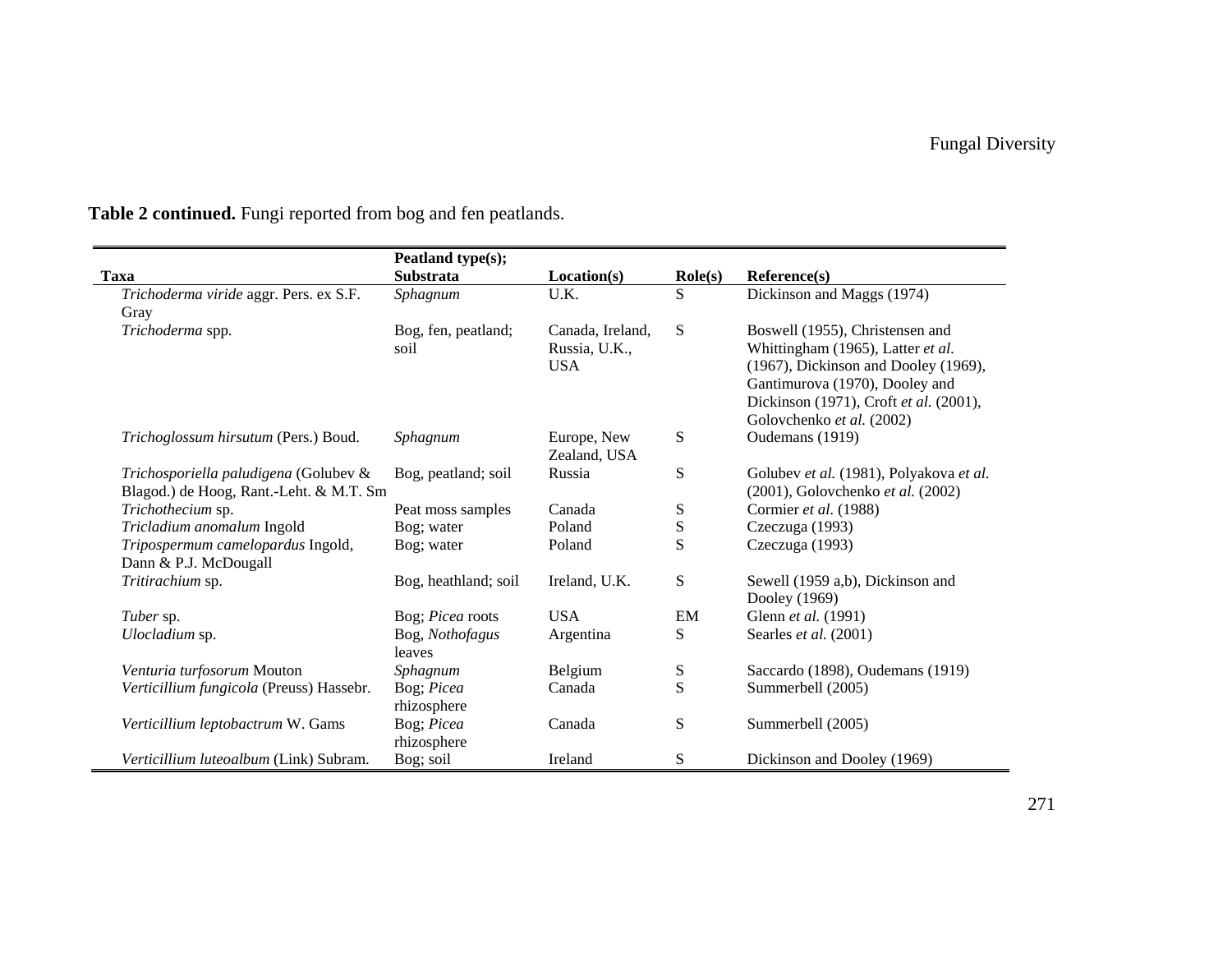|                                          | Peatland type(s);    |                  |                  |                                         |
|------------------------------------------|----------------------|------------------|------------------|-----------------------------------------|
| <b>Taxa</b>                              | <b>Substrata</b>     | Location(s)      | $\text{Role}(s)$ | Reference(s)                            |
| Trichoderma viride aggr. Pers. ex S.F.   | Sphagnum             | U.K.             | S                | Dickinson and Maggs (1974)              |
| Gray                                     |                      |                  |                  |                                         |
| Trichoderma spp.                         | Bog, fen, peatland;  | Canada, Ireland, | S                | Boswell (1955), Christensen and         |
|                                          | soil                 | Russia, U.K.,    |                  | Whittingham (1965), Latter et al.       |
|                                          |                      | <b>USA</b>       |                  | (1967), Dickinson and Dooley (1969),    |
|                                          |                      |                  |                  | Gantimurova (1970), Dooley and          |
|                                          |                      |                  |                  | Dickinson (1971), Croft et al. (2001),  |
|                                          |                      |                  |                  | Golovchenko et al. (2002)               |
| Trichoglossum hirsutum (Pers.) Boud.     | Sphagnum             | Europe, New      | S                | Oudemans (1919)                         |
|                                          |                      | Zealand, USA     |                  |                                         |
| Trichosporiella paludigena (Golubev &    | Bog, peatland; soil  | Russia           | S                | Golubev et al. (1981), Polyakova et al. |
| Blagod.) de Hoog, Rant.-Leht. & M.T. Sm  |                      |                  |                  | (2001), Golovchenko et al. (2002)       |
| Trichothecium sp.                        | Peat moss samples    | Canada           | ${\bf S}$        | Cormier et al. (1988)                   |
| Tricladium anomalum Ingold               | Bog; water           | Poland           | ${\bf S}$        | Czeczuga (1993)                         |
| Tripospermum camelopardus Ingold,        | Bog; water           | Poland           | S                | Czeczuga (1993)                         |
| Dann & P.J. McDougall                    |                      |                  |                  |                                         |
| Tritirachium sp.                         | Bog, heathland; soil | Ireland, U.K.    | ${\bf S}$        | Sewell (1959 a,b), Dickinson and        |
|                                          |                      |                  |                  | Dooley (1969)                           |
| <i>Tuber</i> sp.                         | Bog; Picea roots     | <b>USA</b>       | EM               | Glenn et al. (1991)                     |
| Ulocladium sp.                           | Bog, Nothofagus      | Argentina        | S                | Searles et al. (2001)                   |
|                                          | leaves               |                  |                  |                                         |
| Venturia turfosorum Mouton               | Sphagnum             | Belgium          | ${\bf S}$        | Saccardo (1898), Oudemans (1919)        |
| Verticillium fungicola (Preuss) Hassebr. | Bog; Picea           | Canada           | S                | Summerbell (2005)                       |
|                                          | rhizosphere          |                  |                  |                                         |
| Verticillium leptobactrum W. Gams        | Bog; Picea           | Canada           | ${\bf S}$        | Summerbell (2005)                       |
|                                          | rhizosphere          |                  |                  |                                         |
| Verticillium luteoalbum (Link) Subram.   | Bog; soil            | Ireland          | S                | Dickinson and Dooley (1969)             |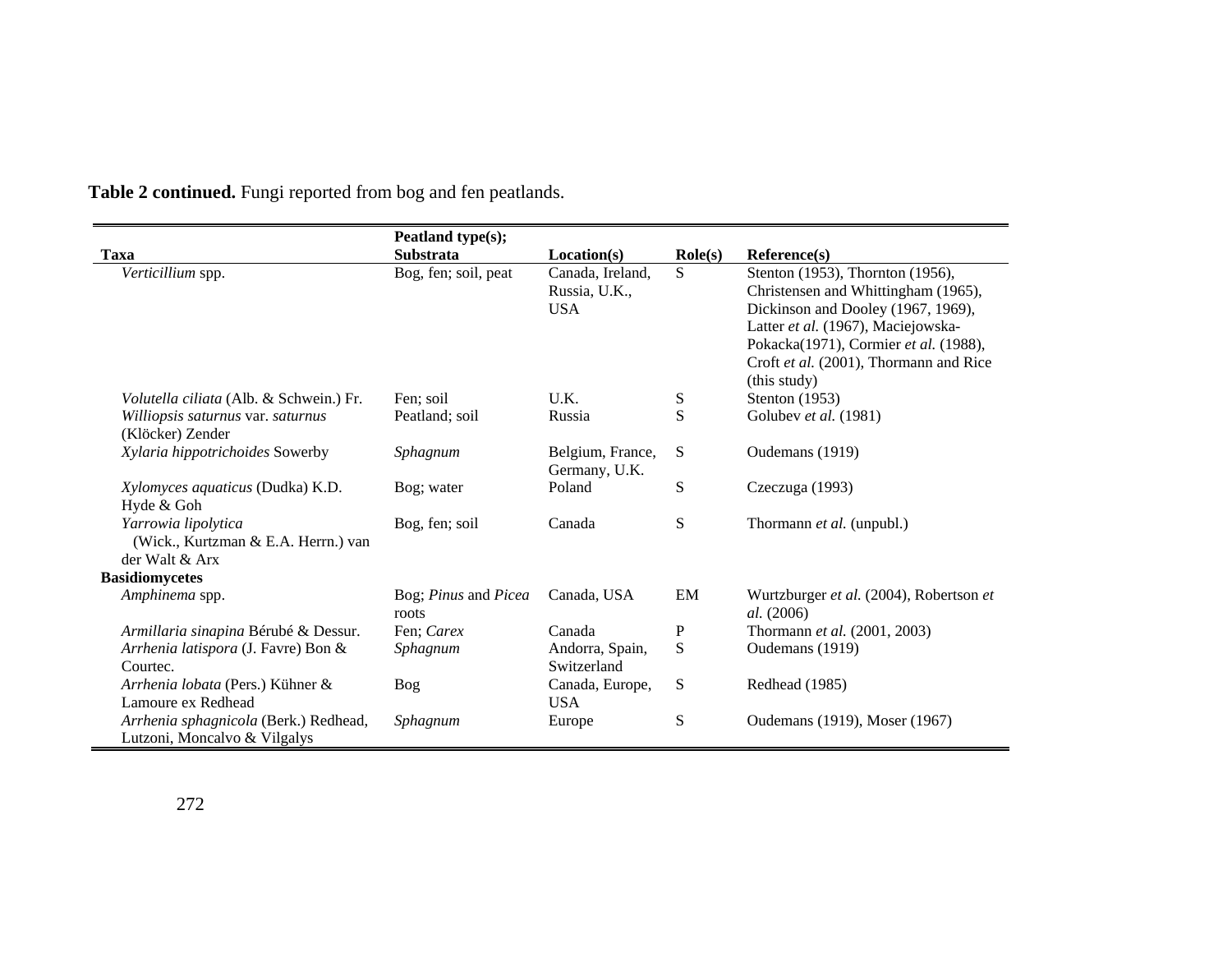|                                                                              | Peatland type(s);             |                                   |                  |                                                                                                                                                                             |
|------------------------------------------------------------------------------|-------------------------------|-----------------------------------|------------------|-----------------------------------------------------------------------------------------------------------------------------------------------------------------------------|
| Taxa                                                                         | <b>Substrata</b>              | Location(s)                       | $\text{Role}(s)$ | Reference(s)                                                                                                                                                                |
| Verticillium spp.                                                            | Bog, fen; soil, peat          | Canada, Ireland,<br>Russia, U.K., | <sub>S</sub>     | Stenton (1953), Thornton (1956),<br>Christensen and Whittingham (1965),                                                                                                     |
|                                                                              |                               | <b>USA</b>                        |                  | Dickinson and Dooley (1967, 1969),<br>Latter et al. (1967), Maciejowska-<br>Pokacka(1971), Cormier et al. (1988),<br>Croft et al. (2001), Thormann and Rice<br>(this study) |
| <i>Volutella ciliata</i> (Alb. & Schwein.) Fr.                               | Fen; soil                     | U.K.                              | ${\bf S}$        | Stenton $(1953)$                                                                                                                                                            |
| Williopsis saturnus var. saturnus<br>(Klöcker) Zender                        | Peatland; soil                | Russia                            | S                | Golubev et al. (1981)                                                                                                                                                       |
| Xylaria hippotrichoides Sowerby                                              | Sphagnum                      | Belgium, France,<br>Germany, U.K. | S                | Oudemans (1919)                                                                                                                                                             |
| Xylomyces aquaticus (Dudka) K.D.<br>Hyde & Goh                               | Bog; water                    | Poland                            | S                | Czeczuga (1993)                                                                                                                                                             |
| Yarrowia lipolytica<br>(Wick., Kurtzman & E.A. Herrn.) van<br>der Walt & Arx | Bog, fen; soil                | Canada                            | S                | Thormann <i>et al.</i> (unpubl.)                                                                                                                                            |
| <b>Basidiomycetes</b>                                                        |                               |                                   |                  |                                                                                                                                                                             |
| Amphinema spp.                                                               | Bog; Pinus and Picea<br>roots | Canada, USA                       | EM               | Wurtzburger et al. (2004), Robertson et<br>al. (2006)                                                                                                                       |
| Armillaria sinapina Bérubé & Dessur.                                         | Fen; Carex                    | Canada                            | P                | Thormann et al. (2001, 2003)                                                                                                                                                |
| Arrhenia latispora (J. Favre) Bon &<br>Courtec.                              | Sphagnum                      | Andorra, Spain,<br>Switzerland    | S                | Oudemans (1919)                                                                                                                                                             |
| Arrhenia lobata (Pers.) Kühner &<br>Lamoure ex Redhead                       | Bog                           | Canada, Europe,<br><b>USA</b>     | S                | Redhead (1985)                                                                                                                                                              |
| Arrhenia sphagnicola (Berk.) Redhead,<br>Lutzoni, Moncalvo & Vilgalys        | Sphagnum                      | Europe                            | S                | Oudemans (1919), Moser (1967)                                                                                                                                               |

 $\overline{\phantom{a}}$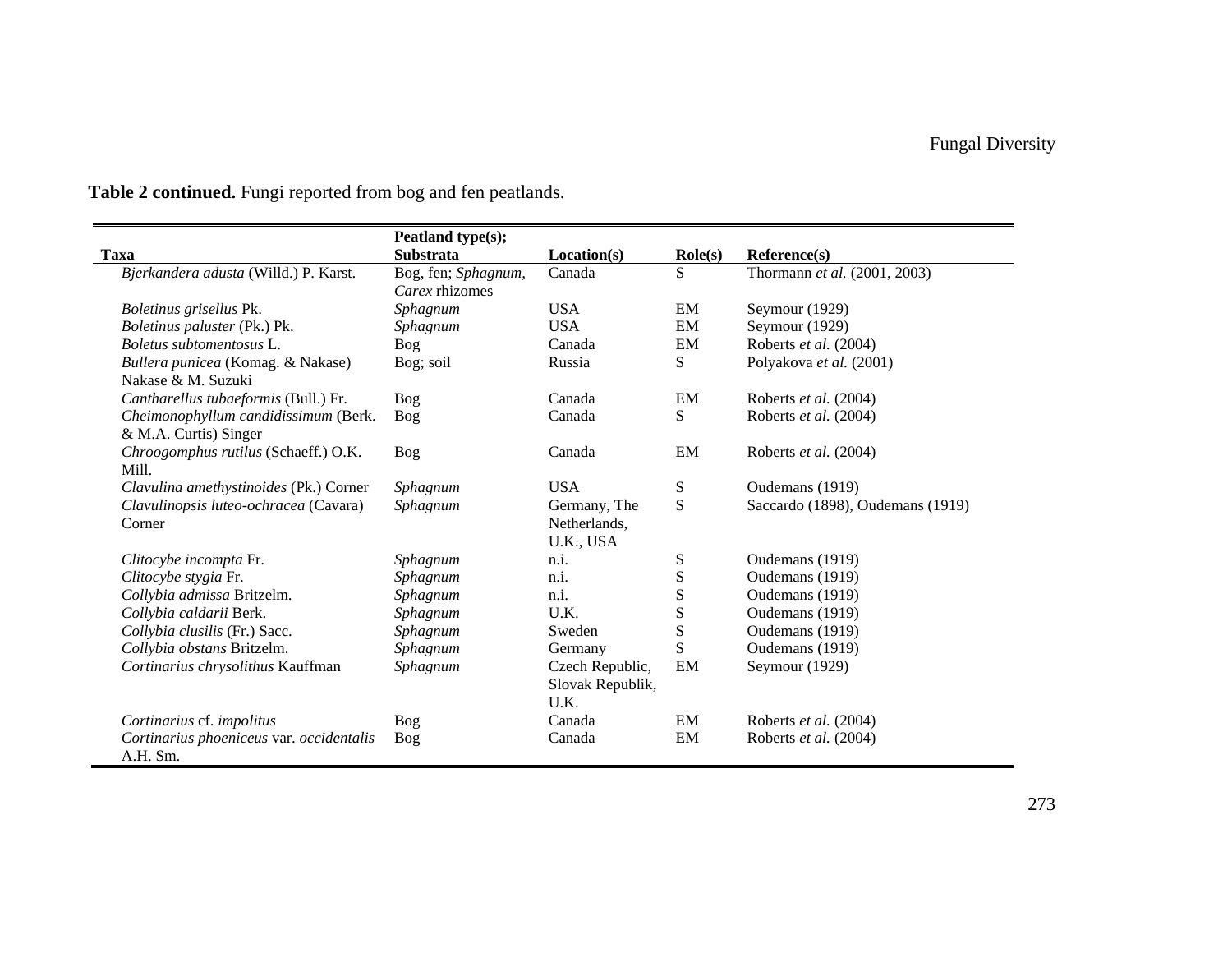|                                                               | Peatland type(s);                     |                                             |                  |                                  |
|---------------------------------------------------------------|---------------------------------------|---------------------------------------------|------------------|----------------------------------|
| <b>Taxa</b>                                                   | Substrata                             | Location(s)                                 | $\text{Role}(s)$ | Reference(s)                     |
| Bjerkandera adusta (Willd.) P. Karst.                         | Bog, fen; Sphagnum,<br>Carex rhizomes | Canada                                      | S                | Thormann et al. (2001, 2003)     |
| Boletinus grisellus Pk.                                       | Sphagnum                              | <b>USA</b>                                  | EM               | Seymour (1929)                   |
| Boletinus paluster (Pk.) Pk.                                  | Sphagnum                              | <b>USA</b>                                  | EM               | Seymour (1929)                   |
| Boletus subtomentosus L.                                      | Bog                                   | Canada                                      | EM               | Roberts et al. (2004)            |
| Bullera punicea (Komag. & Nakase)<br>Nakase & M. Suzuki       | Bog; soil                             | Russia                                      | S                | Polyakova et al. (2001)          |
| Cantharellus tubaeformis (Bull.) Fr.                          | Bog                                   | Canada                                      | EM               | Roberts et al. (2004)            |
| Cheimonophyllum candidissimum (Berk.<br>& M.A. Curtis) Singer | Bog                                   | Canada                                      | S                | Roberts et al. (2004)            |
| Chroogomphus rutilus (Schaeff.) O.K.<br>Mill.                 | <b>Bog</b>                            | Canada                                      | EM               | Roberts et al. (2004)            |
| Clavulina amethystinoides (Pk.) Corner                        | Sphagnum                              | <b>USA</b>                                  | S                | Oudemans (1919)                  |
| Clavulinopsis luteo-ochracea (Cavara)<br>Corner               | Sphagnum                              | Germany, The<br>Netherlands,<br>U.K., USA   | S                | Saccardo (1898), Oudemans (1919) |
| Clitocybe incompta Fr.                                        | Sphagnum                              | n.i.                                        | S                | Oudemans (1919)                  |
| Clitocybe stygia Fr.                                          | Sphagnum                              | n.i.                                        | ${\bf S}$        | Oudemans (1919)                  |
| Collybia admissa Britzelm.                                    | Sphagnum                              | n.i.                                        | ${\bf S}$        | Oudemans (1919)                  |
| Collybia caldarii Berk.                                       | Sphagnum                              | U.K.                                        | ${\bf S}$        | Oudemans (1919)                  |
| Collybia clusilis (Fr.) Sacc.                                 | Sphagnum                              | Sweden                                      | ${\bf S}$        | Oudemans (1919)                  |
| Collybia obstans Britzelm.                                    | Sphagnum                              | Germany                                     | S                | Oudemans (1919)                  |
| Cortinarius chrysolithus Kauffman                             | Sphagnum                              | Czech Republic,<br>Slovak Republik,<br>U.K. | EM               | Seymour (1929)                   |
| Cortinarius cf. impolitus                                     | Bog                                   | Canada                                      | EM               | Roberts et al. (2004)            |
| Cortinarius phoeniceus var. occidentalis<br>A.H. Sm.          | <b>Bog</b>                            | Canada                                      | EM               | Roberts et al. (2004)            |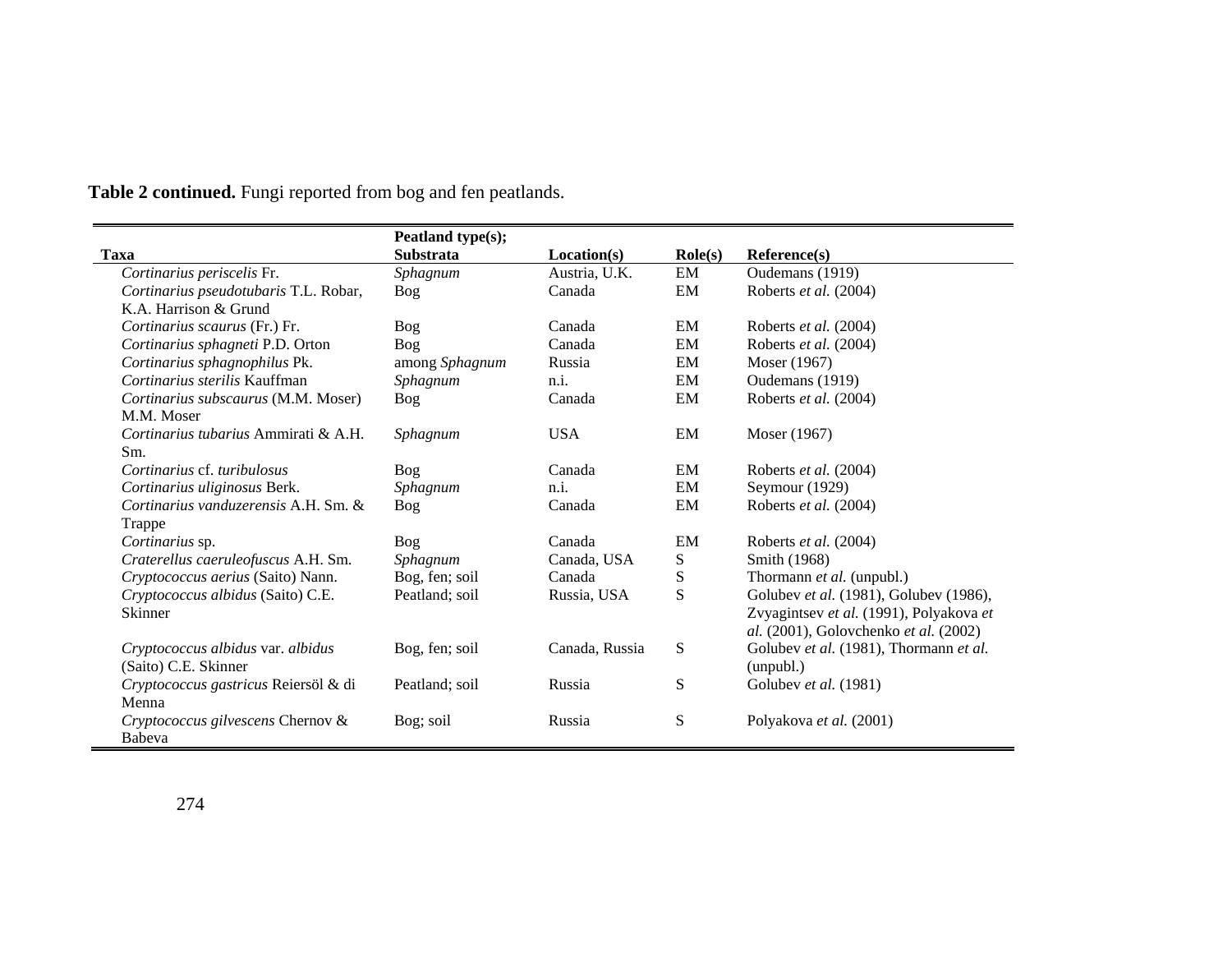|                                       | Peatland type(s); |                |                  |                                         |
|---------------------------------------|-------------------|----------------|------------------|-----------------------------------------|
| Taxa                                  | <b>Substrata</b>  | Location(s)    | $\text{Role}(s)$ | Reference(s)                            |
| Cortinarius periscelis Fr.            | Sphagnum          | Austria, U.K.  | EM               | Oudemans (1919)                         |
| Cortinarius pseudotubaris T.L. Robar, | Bog               | Canada         | EM               | Roberts et al. (2004)                   |
| K.A. Harrison & Grund                 |                   |                |                  |                                         |
| Cortinarius scaurus (Fr.) Fr.         | <b>Bog</b>        | Canada         | EM               | Roberts et al. (2004)                   |
| Cortinarius sphagneti P.D. Orton      | Bog               | Canada         | EM               | Roberts et al. (2004)                   |
| Cortinarius sphagnophilus Pk.         | among Sphagnum    | Russia         | EM               | Moser (1967)                            |
| Cortinarius sterilis Kauffman         | Sphagnum          | n.i.           | EM               | Oudemans (1919)                         |
| Cortinarius subscaurus (M.M. Moser)   | <b>Bog</b>        | Canada         | EM               | Roberts et al. (2004)                   |
| M.M. Moser                            |                   |                |                  |                                         |
| Cortinarius tubarius Ammirati & A.H.  | Sphagnum          | <b>USA</b>     | EM               | Moser (1967)                            |
| Sm.                                   |                   |                |                  |                                         |
| Cortinarius cf. turibulosus           | Bog               | Canada         | EM               | Roberts et al. (2004)                   |
| Cortinarius uliginosus Berk.          | Sphagnum          | n.i.           | EM               | Seymour (1929)                          |
| Cortinarius vanduzerensis A.H. Sm. &  | <b>Bog</b>        | Canada         | EM               | Roberts et al. (2004)                   |
| Trappe                                |                   |                |                  |                                         |
| Cortinarius sp.                       | Bog               | Canada         | EM               | Roberts et al. (2004)                   |
| Craterellus caeruleofuscus A.H. Sm.   | Sphagnum          | Canada, USA    | S                | Smith (1968)                            |
| Cryptococcus aerius (Saito) Nann.     | Bog, fen; soil    | Canada         | ${\bf S}$        | Thormann et al. (unpubl.)               |
| Cryptococcus albidus (Saito) C.E.     | Peatland; soil    | Russia, USA    | S                | Golubev et al. (1981), Golubev (1986),  |
| Skinner                               |                   |                |                  | Zvyagintsev et al. (1991), Polyakova et |
|                                       |                   |                |                  | al. (2001), Golovchenko et al. (2002)   |
| Cryptococcus albidus var. albidus     | Bog, fen; soil    | Canada, Russia | ${\bf S}$        | Golubev et al. (1981), Thormann et al.  |
| (Saito) C.E. Skinner                  |                   |                |                  | (unpubl.)                               |
| Cryptococcus gastricus Reiersöl & di  | Peatland; soil    | Russia         | S                | Golubev et al. (1981)                   |
| Menna                                 |                   |                |                  |                                         |
| Cryptococcus gilvescens Chernov &     | Bog; soil         | Russia         | ${\bf S}$        | Polyakova et al. (2001)                 |
| Babeva                                |                   |                |                  |                                         |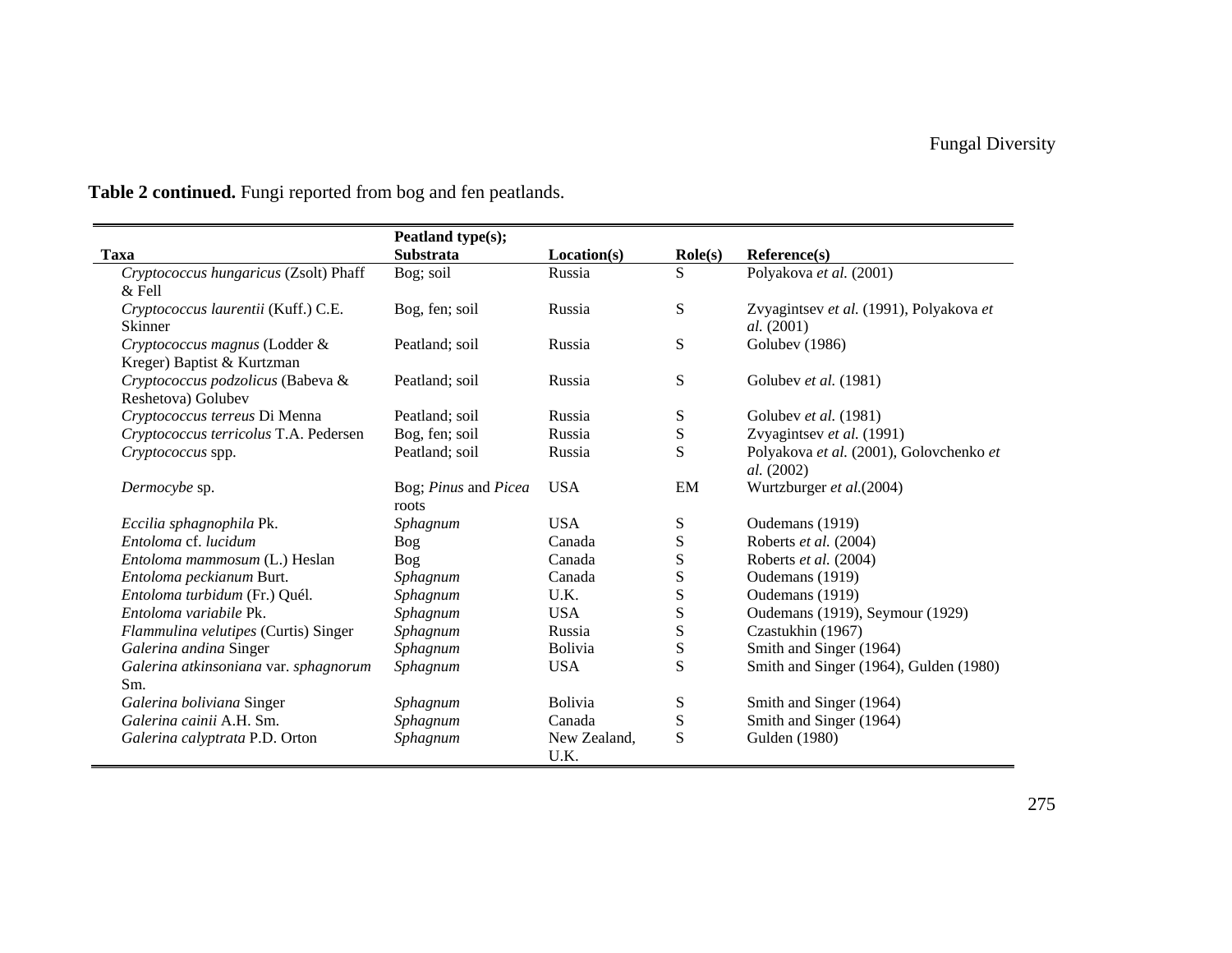$\qquad \qquad$ 

|                                                             | Peatland type(s);             |                      |                  |                                                              |
|-------------------------------------------------------------|-------------------------------|----------------------|------------------|--------------------------------------------------------------|
| Taxa                                                        | <b>Substrata</b>              | Location(s)          | $\text{Role}(s)$ | Reference(s)                                                 |
| Cryptococcus hungaricus (Zsolt) Phaff<br>$&$ Fell           | Bog; soil                     | Russia               | S                | Polyakova et al. (2001)                                      |
| Cryptococcus laurentii (Kuff.) C.E.<br><b>Skinner</b>       | Bog, fen; soil                | Russia               | S                | Zvyagintsev et al. (1991), Polyakova et<br><i>al.</i> (2001) |
| Cryptococcus magnus (Lodder &<br>Kreger) Baptist & Kurtzman | Peatland; soil                | Russia               | S                | Golubev (1986)                                               |
| Cryptococcus podzolicus (Babeva &<br>Reshetova) Golubev     | Peatland; soil                | Russia               | S                | Golubev et al. (1981)                                        |
| Cryptococcus terreus Di Menna                               | Peatland; soil                | Russia               | S                | Golubev et al. (1981)                                        |
| Cryptococcus terricolus T.A. Pedersen                       | Bog, fen; soil                | Russia               | ${\bf S}$        | Zvyagintsev et al. (1991)                                    |
| Cryptococcus spp.                                           | Peatland; soil                | Russia               | S                | Polyakova et al. (2001), Golovchenko et<br><i>al.</i> (2002) |
| Dermocybe sp.                                               | Bog; Pinus and Picea<br>roots | <b>USA</b>           | EM               | Wurtzburger et al.(2004)                                     |
| Eccilia sphagnophila Pk.                                    | Sphagnum                      | <b>USA</b>           | S                | Oudemans (1919)                                              |
| Entoloma cf. lucidum                                        | <b>Bog</b>                    | Canada               | S                | Roberts et al. (2004)                                        |
| Entoloma mammosum (L.) Heslan                               | Bog                           | Canada               | S                | Roberts et al. (2004)                                        |
| Entoloma peckianum Burt.                                    | Sphagnum                      | Canada               | S                | Oudemans (1919)                                              |
| Entoloma turbidum (Fr.) Quél.                               | Sphagnum                      | U.K.                 | S                | Oudemans (1919)                                              |
| Entoloma variabile Pk.                                      | Sphagnum                      | <b>USA</b>           | S                | Oudemans (1919), Seymour (1929)                              |
| Flammulina velutipes (Curtis) Singer                        | Sphagnum                      | Russia               | S                | Czastukhin (1967)                                            |
| Galerina andina Singer                                      | Sphagnum                      | <b>Bolivia</b>       | ${\bf S}$        | Smith and Singer (1964)                                      |
| Galerina atkinsoniana var. sphagnorum<br>Sm.                | Sphagnum                      | <b>USA</b>           | S                | Smith and Singer (1964), Gulden (1980)                       |
| Galerina boliviana Singer                                   | Sphagnum                      | <b>Bolivia</b>       | S                | Smith and Singer (1964)                                      |
| Galerina cainii A.H. Sm.                                    | Sphagnum                      | Canada               | ${\bf S}$        | Smith and Singer (1964)                                      |
| Galerina calyptrata P.D. Orton                              | Sphagnum                      | New Zealand,<br>U.K. | S                | Gulden (1980)                                                |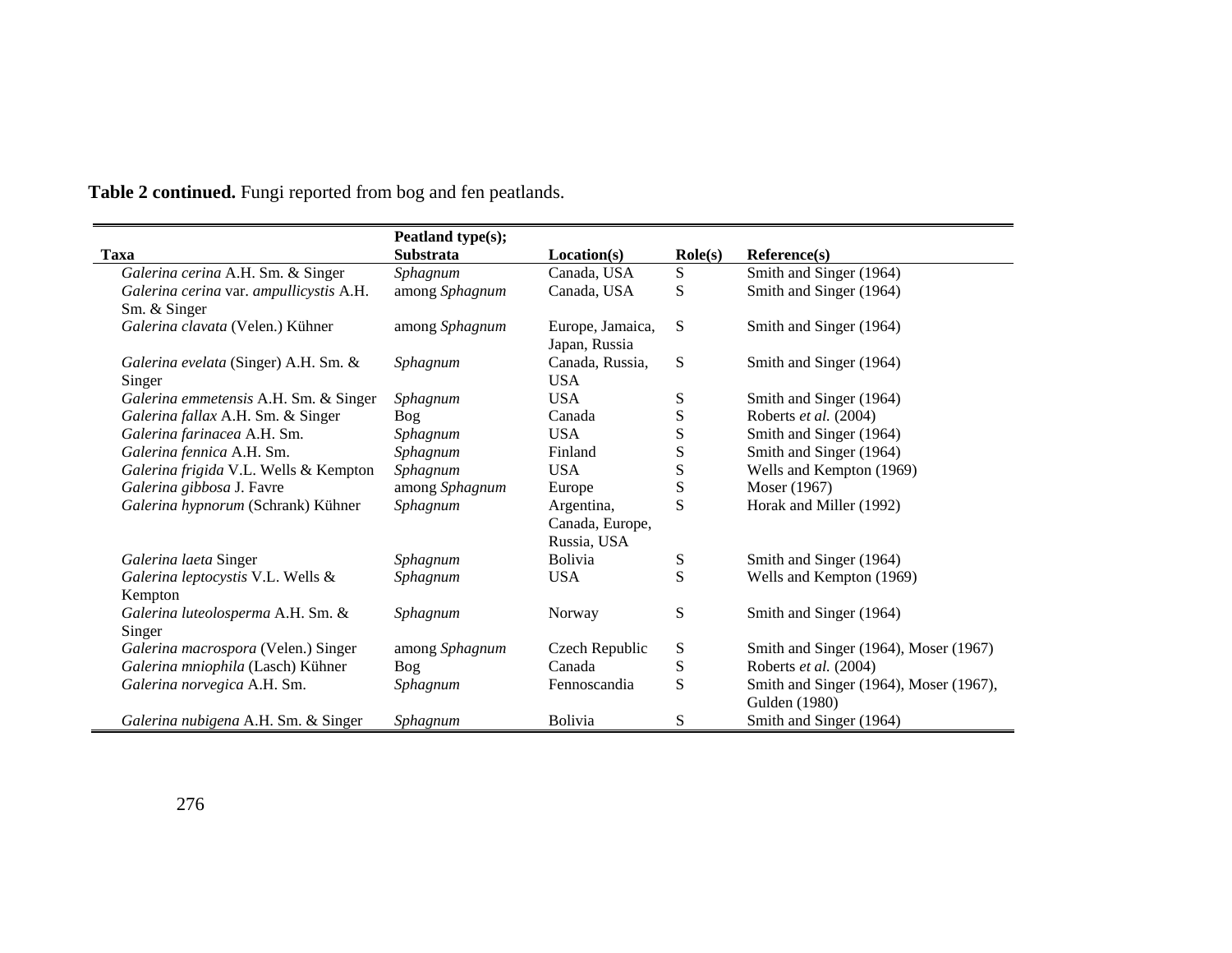|                                              | Peatland type(s); |                                   |                  |                                        |
|----------------------------------------------|-------------------|-----------------------------------|------------------|----------------------------------------|
| <b>Taxa</b>                                  | <b>Substrata</b>  | Location(s)                       | $\text{Role}(s)$ | Reference(s)                           |
| Galerina cerina A.H. Sm. & Singer            | Sphagnum          | Canada, USA                       | S                | Smith and Singer (1964)                |
| Galerina cerina var. ampullicystis A.H.      | among Sphagnum    | Canada, USA                       | S                | Smith and Singer (1964)                |
| Sm. & Singer                                 |                   |                                   |                  |                                        |
| Galerina clavata (Velen.) Kühner             | among Sphagnum    | Europe, Jamaica,<br>Japan, Russia | S                | Smith and Singer (1964)                |
| Galerina evelata (Singer) A.H. Sm. &         | Sphagnum          | Canada, Russia,                   | S                | Smith and Singer (1964)                |
| Singer                                       |                   | <b>USA</b>                        |                  |                                        |
| Galerina emmetensis A.H. Sm. & Singer        | Sphagnum          | <b>USA</b>                        | S                | Smith and Singer (1964)                |
| Galerina fallax A.H. Sm. & Singer            | Bog               | Canada                            | ${\bf S}$        | Roberts et al. (2004)                  |
| Galerina farinacea A.H. Sm.                  | Sphagnum          | <b>USA</b>                        | ${\bf S}$        | Smith and Singer (1964)                |
| Galerina fennica A.H. Sm.                    | Sphagnum          | Finland                           | ${\bf S}$        | Smith and Singer (1964)                |
| Galerina frigida V.L. Wells & Kempton        | Sphagnum          | <b>USA</b>                        | S                | Wells and Kempton (1969)               |
| Galerina gibbosa J. Favre                    | among Sphagnum    | Europe                            | ${\bf S}$        | Moser (1967)                           |
| Galerina hypnorum (Schrank) Kühner           | Sphagnum          | Argentina,                        | S                | Horak and Miller (1992)                |
|                                              |                   | Canada, Europe,                   |                  |                                        |
|                                              |                   | Russia, USA<br><b>Bolivia</b>     |                  |                                        |
| Galerina laeta Singer                        | Sphagnum          |                                   | S                | Smith and Singer (1964)                |
| Galerina leptocystis V.L. Wells &<br>Kempton | Sphagnum          | <b>USA</b>                        | S                | Wells and Kempton (1969)               |
| Galerina luteolosperma A.H. Sm. &            | Sphagnum          | Norway                            | ${\bf S}$        | Smith and Singer (1964)                |
| Singer                                       |                   |                                   |                  |                                        |
| Galerina macrospora (Velen.) Singer          | among Sphagnum    | Czech Republic                    | ${\bf S}$        | Smith and Singer (1964), Moser (1967)  |
| Galerina mniophila (Lasch) Kühner            | <b>Bog</b>        | Canada                            | ${\bf S}$        | Roberts et al. (2004)                  |
| Galerina norvegica A.H. Sm.                  | Sphagnum          | Fennoscandia                      | S                | Smith and Singer (1964), Moser (1967), |
|                                              |                   |                                   |                  | Gulden (1980)                          |
| Galerina nubigena A.H. Sm. & Singer          | Sphagnum          | <b>Bolivia</b>                    | S                | Smith and Singer (1964)                |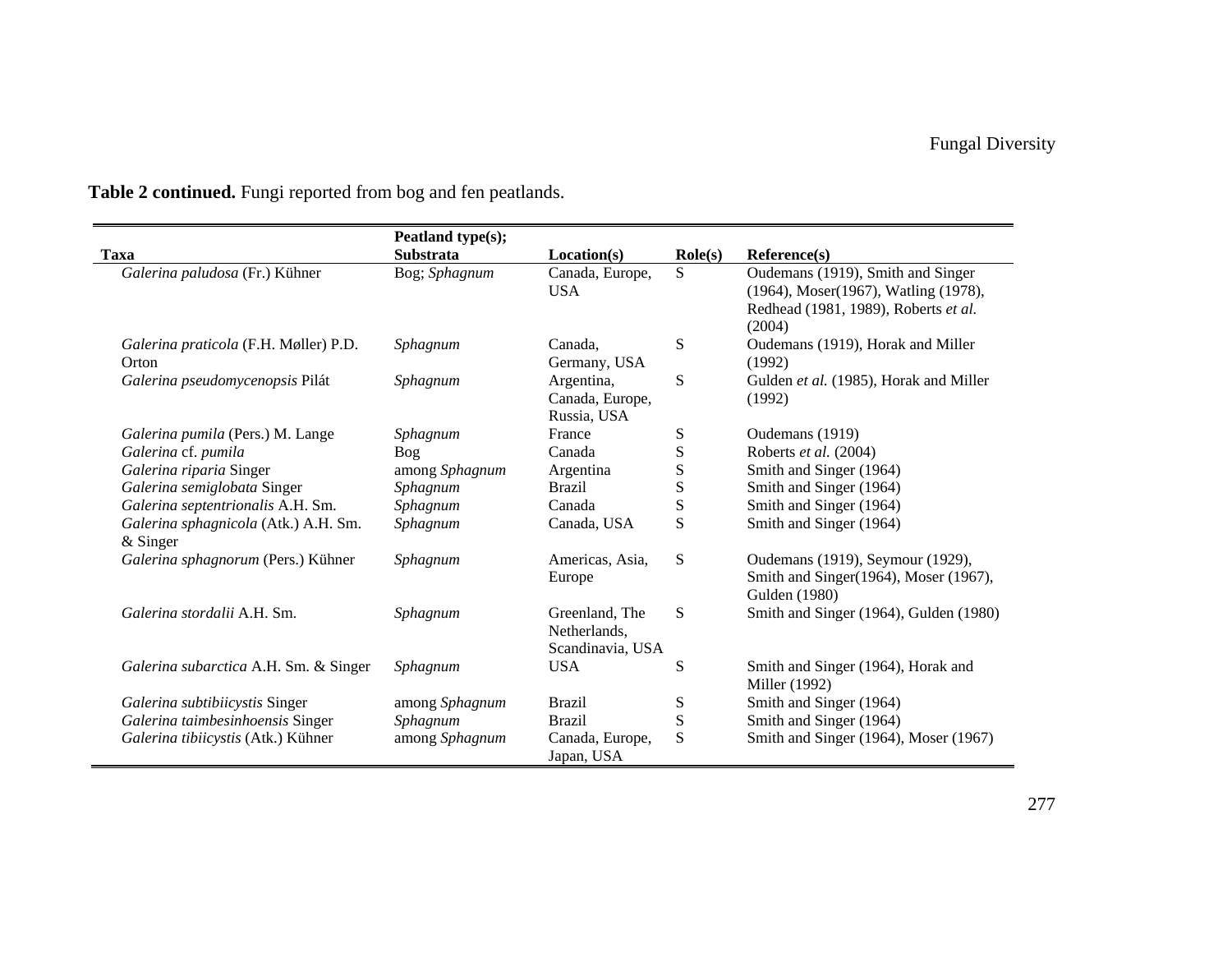|                                                    | Peatland type(s); |                                                    |                  |                                                                                                                             |
|----------------------------------------------------|-------------------|----------------------------------------------------|------------------|-----------------------------------------------------------------------------------------------------------------------------|
| <b>Taxa</b>                                        | Substrata         | Location(s)                                        | $\text{Role}(s)$ | Reference(s)                                                                                                                |
| Galerina paludosa (Fr.) Kühner                     | Bog; Sphagnum     | Canada, Europe,<br><b>USA</b>                      | S                | Oudemans (1919), Smith and Singer<br>(1964), Moser(1967), Watling (1978),<br>Redhead (1981, 1989), Roberts et al.<br>(2004) |
| Galerina praticola (F.H. Møller) P.D.<br>Orton     | Sphagnum          | Canada.<br>Germany, USA                            | ${\bf S}$        | Oudemans (1919), Horak and Miller<br>(1992)                                                                                 |
| Galerina pseudomycenopsis Pilát                    | Sphagnum          | Argentina,<br>Canada, Europe,<br>Russia, USA       | S                | Gulden et al. (1985), Horak and Miller<br>(1992)                                                                            |
| Galerina pumila (Pers.) M. Lange                   | Sphagnum          | France                                             | ${\bf S}$        | Oudemans (1919)                                                                                                             |
| Galerina cf. pumila                                | Bog               | Canada                                             | ${\bf S}$        | Roberts et al. (2004)                                                                                                       |
| Galerina riparia Singer                            | among Sphagnum    | Argentina                                          | S                | Smith and Singer (1964)                                                                                                     |
| Galerina semiglobata Singer                        | Sphagnum          | <b>Brazil</b>                                      | S                | Smith and Singer (1964)                                                                                                     |
| Galerina septentrionalis A.H. Sm.                  | Sphagnum          | Canada                                             | ${\bf S}$        | Smith and Singer (1964)                                                                                                     |
| Galerina sphagnicola (Atk.) A.H. Sm.<br>$&$ Singer | Sphagnum          | Canada, USA                                        | S                | Smith and Singer (1964)                                                                                                     |
| Galerina sphagnorum (Pers.) Kühner                 | Sphagnum          | Americas, Asia,<br>Europe                          | S                | Oudemans (1919), Seymour (1929),<br>Smith and Singer(1964), Moser (1967),<br>Gulden (1980)                                  |
| Galerina stordalii A.H. Sm.                        | Sphagnum          | Greenland, The<br>Netherlands,<br>Scandinavia, USA | S                | Smith and Singer (1964), Gulden (1980)                                                                                      |
| Galerina subarctica A.H. Sm. & Singer              | Sphagnum          | <b>USA</b>                                         | ${\bf S}$        | Smith and Singer (1964), Horak and<br>Miller (1992)                                                                         |
| Galerina subtibiicystis Singer                     | among Sphagnum    | <b>Brazil</b>                                      | S                | Smith and Singer (1964)                                                                                                     |
| Galerina taimbesinhoensis Singer                   | Sphagnum          | Brazil                                             | ${\bf S}$        | Smith and Singer (1964)                                                                                                     |
| Galerina tibiicystis (Atk.) Kühner                 | among Sphagnum    | Canada, Europe,<br>Japan, USA                      | S                | Smith and Singer (1964), Moser (1967)                                                                                       |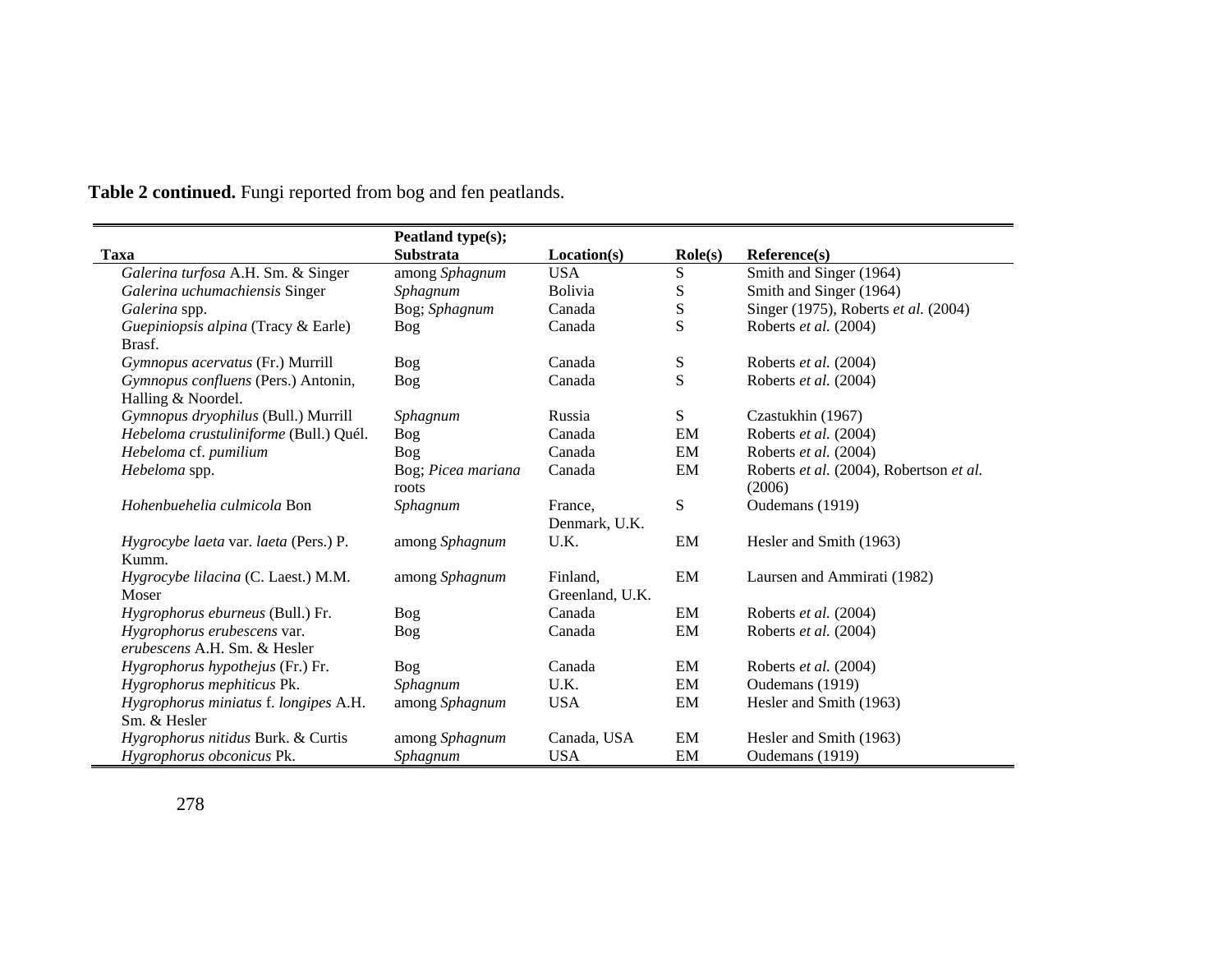|                                        | Peatland type(s);  |                 |                  |                                         |
|----------------------------------------|--------------------|-----------------|------------------|-----------------------------------------|
| <b>Taxa</b>                            | <b>Substrata</b>   | Location(s)     | $\text{Role}(s)$ | Reference(s)                            |
| Galerina turfosa A.H. Sm. & Singer     | among Sphagnum     | <b>USA</b>      | S                | Smith and Singer (1964)                 |
| Galerina uchumachiensis Singer         | Sphagnum           | <b>Bolivia</b>  | S                | Smith and Singer (1964)                 |
| Galerina spp.                          | Bog; Sphagnum      | Canada          | ${\bf S}$        | Singer (1975), Roberts et al. (2004)    |
| Guepiniopsis alpina (Tracy & Earle)    | Bog                | Canada          | S                | Roberts et al. (2004)                   |
| Brasf.                                 |                    |                 |                  |                                         |
| Gymnopus acervatus (Fr.) Murrill       | Bog                | Canada          | ${\bf S}$        | Roberts et al. (2004)                   |
| Gymnopus confluens (Pers.) Antonin,    | <b>Bog</b>         | Canada          | S                | Roberts et al. (2004)                   |
| Halling & Noordel.                     |                    |                 |                  |                                         |
| Gymnopus dryophilus (Bull.) Murrill    | Sphagnum           | Russia          | S                | Czastukhin (1967)                       |
| Hebeloma crustuliniforme (Bull.) Quél. | Bog                | Canada          | EM               | Roberts et al. (2004)                   |
| Hebeloma cf. pumilium                  | <b>Bog</b>         | Canada          | EM               | Roberts et al. (2004)                   |
| Hebeloma spp.                          | Bog; Picea mariana | Canada          | EM               | Roberts et al. (2004), Robertson et al. |
|                                        | roots              |                 |                  | (2006)                                  |
| Hohenbuehelia culmicola Bon            | Sphagnum           | France,         | S                | Oudemans (1919)                         |
|                                        |                    | Denmark, U.K.   |                  |                                         |
| Hygrocybe laeta var. laeta (Pers.) P.  | among Sphagnum     | U.K.            | EM               | Hesler and Smith (1963)                 |
| Kumm.                                  |                    |                 |                  |                                         |
| Hygrocybe lilacina (C. Laest.) M.M.    | among Sphagnum     | Finland,        | EM               | Laursen and Ammirati (1982)             |
| Moser                                  |                    | Greenland, U.K. |                  |                                         |
| Hygrophorus eburneus (Bull.) Fr.       | <b>Bog</b>         | Canada          | EM               | Roberts et al. (2004)                   |
| Hygrophorus erubescens var.            | <b>Bog</b>         | Canada          | EM               | Roberts et al. (2004)                   |
| erubescens A.H. Sm. & Hesler           |                    |                 |                  |                                         |
| Hygrophorus hypothejus (Fr.) Fr.       | Bog                | Canada          | EM               | Roberts et al. (2004)                   |
| Hygrophorus mephiticus Pk.             | Sphagnum           | U.K.            | EM               | Oudemans (1919)                         |
| Hygrophorus miniatus f. longipes A.H.  | among Sphagnum     | <b>USA</b>      | EM               | Hesler and Smith (1963)                 |
| Sm. & Hesler                           |                    |                 |                  |                                         |
| Hygrophorus nitidus Burk. & Curtis     | among Sphagnum     | Canada, USA     | EM               | Hesler and Smith (1963)                 |
| Hygrophorus obconicus Pk.              | Sphagnum           | <b>USA</b>      | EM               | Oudemans (1919)                         |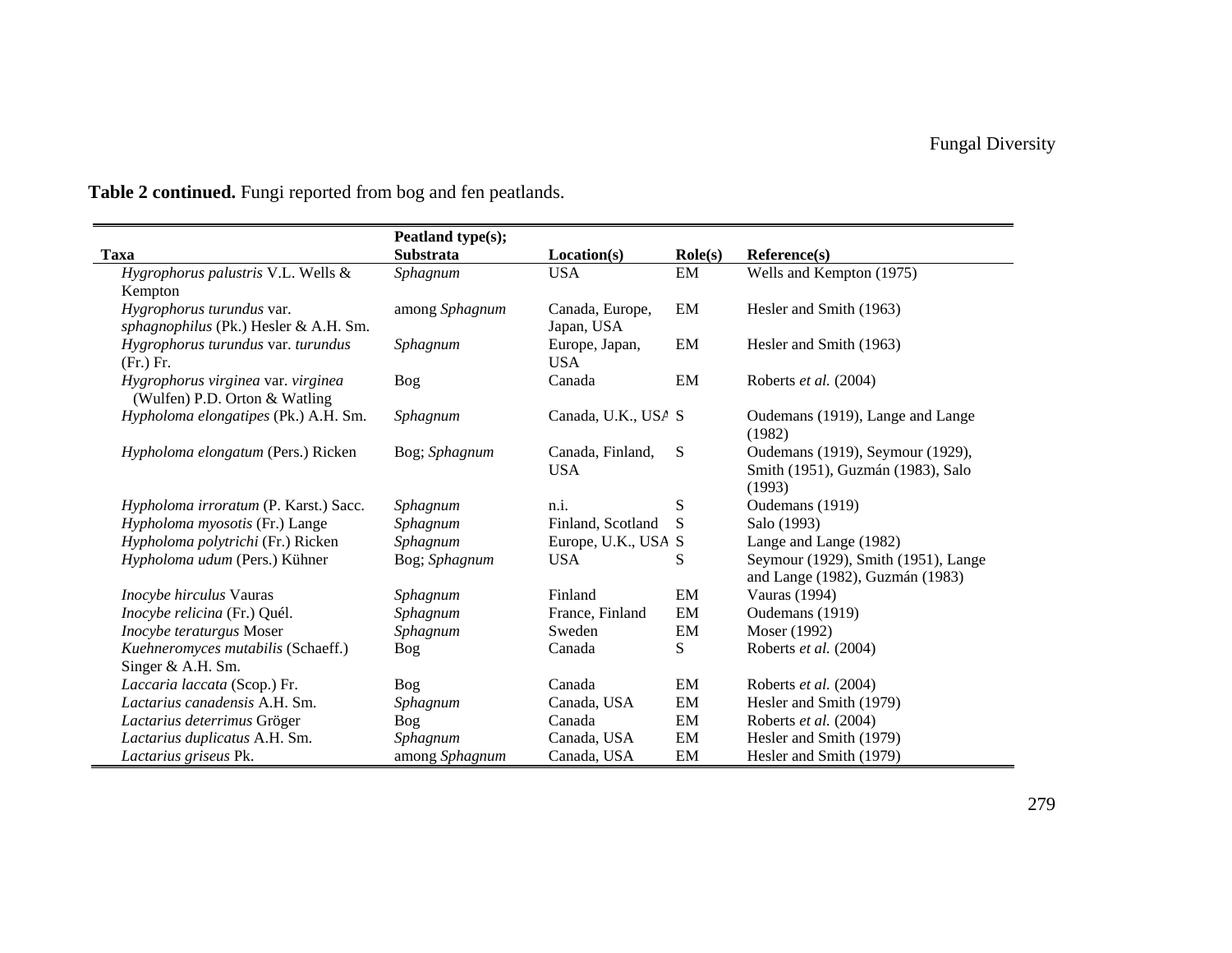|                                                                     | Peatland type(s); |                     |                  |                                            |
|---------------------------------------------------------------------|-------------------|---------------------|------------------|--------------------------------------------|
| Taxa                                                                | <b>Substrata</b>  | Location(s)         | $\text{Role}(s)$ | Reference(s)                               |
| Hygrophorus palustris V.L. Wells &                                  | Sphagnum          | <b>USA</b>          | EM               | Wells and Kempton (1975)                   |
| Kempton                                                             |                   |                     |                  |                                            |
| Hygrophorus turundus var.                                           | among Sphagnum    | Canada, Europe,     | EM               | Hesler and Smith (1963)                    |
| sphagnophilus (Pk.) Hesler & A.H. Sm.                               |                   | Japan, USA          |                  |                                            |
| Hygrophorus turundus var. turundus                                  | Sphagnum          | Europe, Japan,      | EM               | Hesler and Smith (1963)                    |
| (Fr.) Fr.                                                           |                   | <b>USA</b>          |                  |                                            |
| Hygrophorus virginea var. virginea<br>(Wulfen) P.D. Orton & Watling | Bog               | Canada              | EM               | Roberts et al. (2004)                      |
| Hypholoma elongatipes (Pk.) A.H. Sm.                                | Sphagnum          | Canada, U.K., USA S |                  | Oudemans (1919), Lange and Lange<br>(1982) |
| Hypholoma elongatum (Pers.) Ricken                                  | Bog; Sphagnum     | Canada, Finland,    | S                | Oudemans (1919), Seymour (1929),           |
|                                                                     |                   | <b>USA</b>          |                  | Smith (1951), Guzmán (1983), Salo          |
|                                                                     |                   |                     |                  | (1993)                                     |
| Hypholoma irroratum (P. Karst.) Sacc.                               | Sphagnum          | n.i.                | S                | Oudemans (1919)                            |
| Hypholoma myosotis (Fr.) Lange                                      | Sphagnum          | Finland, Scotland   | S                | Salo (1993)                                |
| Hypholoma polytrichi (Fr.) Ricken                                   | Sphagnum          | Europe, U.K., USA S |                  | Lange and Lange (1982)                     |
| Hypholoma udum (Pers.) Kühner                                       | Bog; Sphagnum     | <b>USA</b>          | S                | Seymour (1929), Smith (1951), Lange        |
|                                                                     |                   |                     |                  | and Lange (1982), Guzmán (1983)            |
| Inocybe hirculus Vauras                                             | Sphagnum          | Finland             | EM               | Vauras (1994)                              |
| Inocybe relicina (Fr.) Quél.                                        | Sphagnum          | France, Finland     | EM               | Oudemans (1919)                            |
| Inocybe teraturgus Moser                                            | Sphagnum          | Sweden              | EM               | Moser (1992)                               |
| Kuehneromyces mutabilis (Schaeff.)                                  | <b>Bog</b>        | Canada              | S                | Roberts et al. (2004)                      |
| Singer & A.H. Sm.                                                   |                   |                     |                  |                                            |
| Laccaria laccata (Scop.) Fr.                                        | Bog               | Canada              | EM               | Roberts et al. (2004)                      |
| Lactarius canadensis A.H. Sm.                                       | Sphagnum          | Canada, USA         | EM               | Hesler and Smith (1979)                    |
| Lactarius deterrimus Gröger                                         | Bog               | Canada              | EM               | Roberts et al. (2004)                      |
| Lactarius duplicatus A.H. Sm.                                       | Sphagnum          | Canada, USA         | EM               | Hesler and Smith (1979)                    |
| Lactarius griseus Pk.                                               | among Sphagnum    | Canada, USA         | EM               | Hesler and Smith (1979)                    |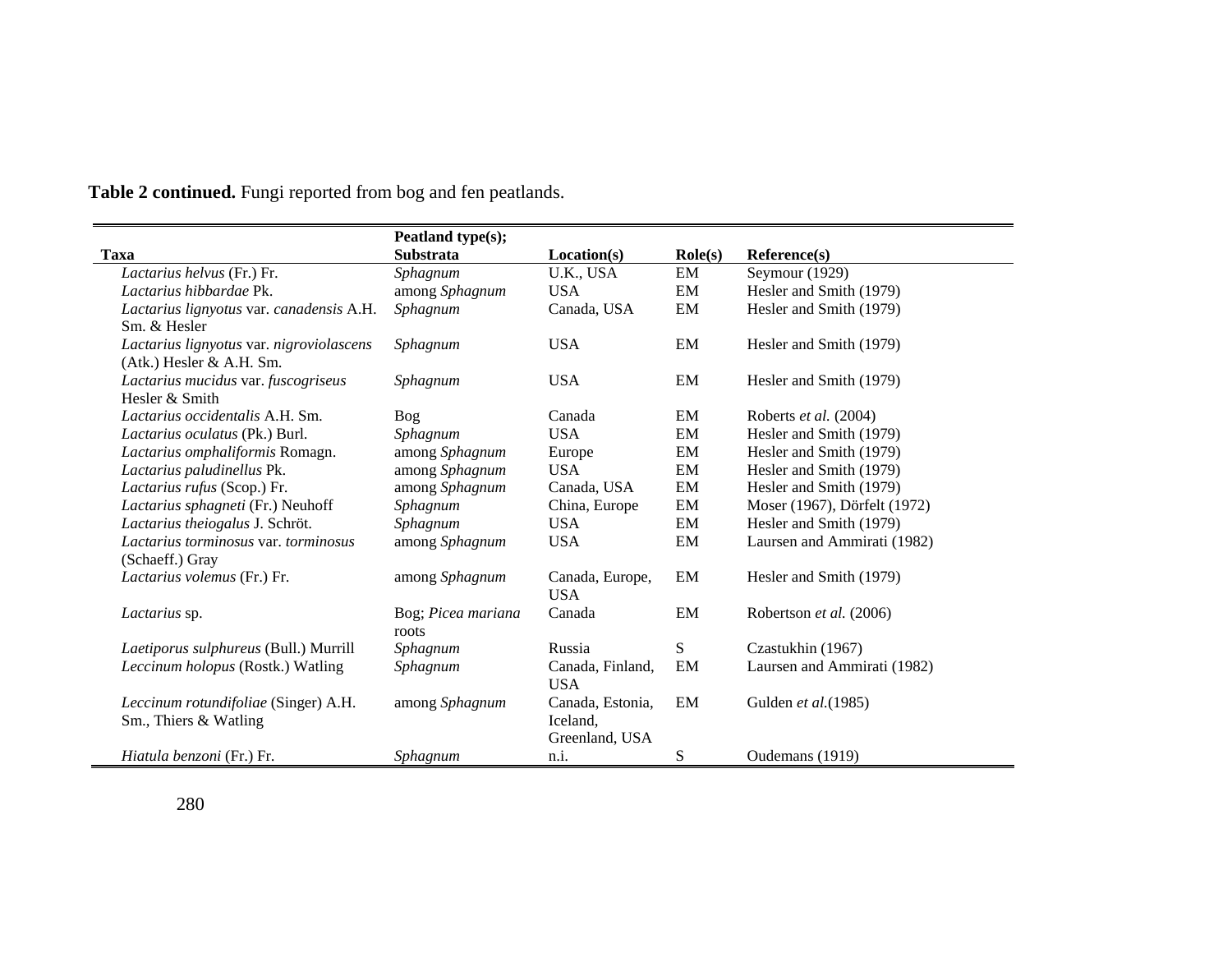|                                          | Peatland type(s);  |                  |                  |                              |
|------------------------------------------|--------------------|------------------|------------------|------------------------------|
| Taxa                                     | <b>Substrata</b>   | Location(s)      | $\text{Role}(s)$ | Reference(s)                 |
| Lactarius helvus (Fr.) Fr.               | Sphagnum           | U.K., USA        | EM               | Seymour (1929)               |
| Lactarius hibbardae Pk.                  | among Sphagnum     | <b>USA</b>       | EM               | Hesler and Smith (1979)      |
| Lactarius lignyotus var. canadensis A.H. | Sphagnum           | Canada, USA      | EM               | Hesler and Smith (1979)      |
| Sm. & Hesler                             |                    |                  |                  |                              |
| Lactarius lignyotus var. nigroviolascens | Sphagnum           | <b>USA</b>       | EM               | Hesler and Smith (1979)      |
| (Atk.) Hesler & A.H. Sm.                 |                    |                  |                  |                              |
| Lactarius mucidus var. fuscogriseus      | Sphagnum           | <b>USA</b>       | EM               | Hesler and Smith (1979)      |
| Hesler & Smith                           |                    |                  |                  |                              |
| Lactarius occidentalis A.H. Sm.          | Bog                | Canada           | EM               | Roberts et al. (2004)        |
| Lactarius oculatus (Pk.) Burl.           | Sphagnum           | <b>USA</b>       | EM               | Hesler and Smith (1979)      |
| Lactarius omphaliformis Romagn.          | among Sphagnum     | Europe           | EM               | Hesler and Smith (1979)      |
| Lactarius paludinellus Pk.               | among Sphagnum     | <b>USA</b>       | EM               | Hesler and Smith (1979)      |
| Lactarius rufus (Scop.) Fr.              | among Sphagnum     | Canada, USA      | EM               | Hesler and Smith (1979)      |
| Lactarius sphagneti (Fr.) Neuhoff        | Sphagnum           | China, Europe    | EM               | Moser (1967), Dörfelt (1972) |
| Lactarius theiogalus J. Schröt.          | Sphagnum           | <b>USA</b>       | EM               | Hesler and Smith (1979)      |
| Lactarius torminosus var. torminosus     | among Sphagnum     | <b>USA</b>       | EM               | Laursen and Ammirati (1982)  |
| (Schaeff.) Gray                          |                    |                  |                  |                              |
| Lactarius volemus (Fr.) Fr.              | among Sphagnum     | Canada, Europe,  | EM               | Hesler and Smith (1979)      |
|                                          |                    | <b>USA</b>       |                  |                              |
| Lactarius sp.                            | Bog; Picea mariana | Canada           | EM               | Robertson et al. (2006)      |
|                                          | roots              |                  |                  |                              |
| Laetiporus sulphureus (Bull.) Murrill    | Sphagnum           | Russia           | S                | Czastukhin (1967)            |
| Leccinum holopus (Rostk.) Watling        | Sphagnum           | Canada, Finland, | EM               | Laursen and Ammirati (1982)  |
|                                          |                    | <b>USA</b>       |                  |                              |
| Leccinum rotundifoliae (Singer) A.H.     | among Sphagnum     | Canada, Estonia, | EM               | Gulden et al.(1985)          |
| Sm., Thiers & Watling                    |                    | Iceland,         |                  |                              |
|                                          |                    | Greenland, USA   |                  |                              |
| <i>Hiatula benzoni</i> (Fr.) Fr.         | Sphagnum           | n.i.             | S                | Oudemans (1919)              |

 $\overline{\phantom{a}}$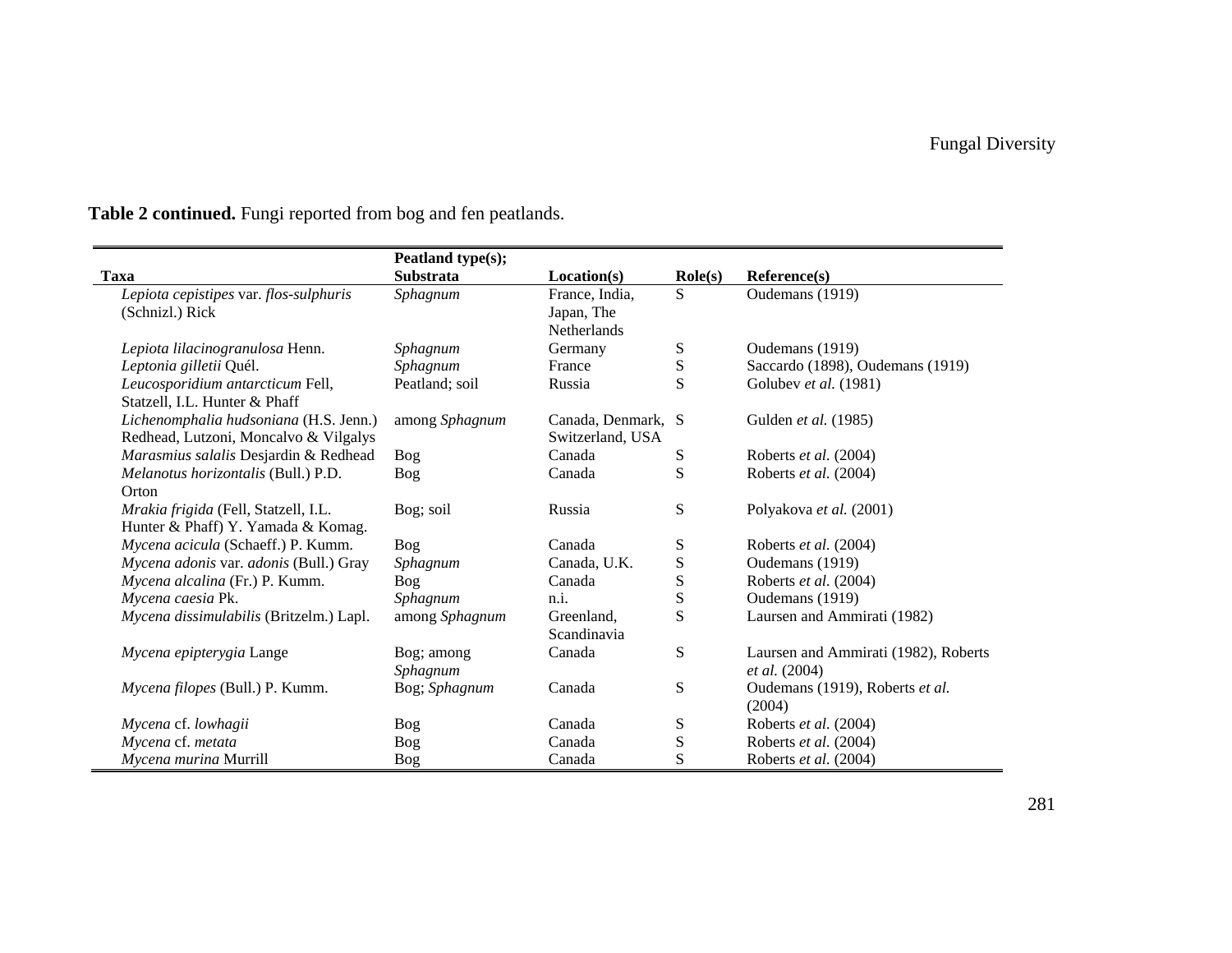|                                         | Peatland type(s); |                    |                  |                                      |
|-----------------------------------------|-------------------|--------------------|------------------|--------------------------------------|
| <b>Taxa</b>                             | <b>Substrata</b>  | Location(s)        | $\text{Role}(s)$ | Reference(s)                         |
| Lepiota cepistipes var. flos-sulphuris  | Sphagnum          | France, India,     | S                | Oudemans (1919)                      |
| (Schnizl.) Rick                         |                   | Japan, The         |                  |                                      |
|                                         |                   | <b>Netherlands</b> |                  |                                      |
| Lepiota lilacinogranulosa Henn.         | Sphagnum          | Germany            | ${\bf S}$        | Oudemans (1919)                      |
| Leptonia gilletii Quél.                 | Sphagnum          | France             | ${\bf S}$        | Saccardo (1898), Oudemans (1919)     |
| Leucosporidium antarcticum Fell,        | Peatland; soil    | Russia             | S                | Golubev et al. (1981)                |
| Statzell, I.L. Hunter & Phaff           |                   |                    |                  |                                      |
| Lichenomphalia hudsoniana (H.S. Jenn.)  | among Sphagnum    | Canada, Denmark, S |                  | Gulden et al. (1985)                 |
| Redhead, Lutzoni, Moncalvo & Vilgalys   |                   | Switzerland, USA   |                  |                                      |
| Marasmius salalis Desjardin & Redhead   | <b>Bog</b>        | Canada             | ${\bf S}$        | Roberts et al. (2004)                |
| Melanotus horizontalis (Bull.) P.D.     | <b>Bog</b>        | Canada             | S                | Roberts et al. (2004)                |
| Orton                                   |                   |                    |                  |                                      |
| Mrakia frigida (Fell, Statzell, I.L.    | Bog; soil         | Russia             | S                | Polyakova et al. (2001)              |
| Hunter & Phaff) Y. Yamada & Komag.      |                   |                    |                  |                                      |
| Mycena acicula (Schaeff.) P. Kumm.      | Bog               | Canada             | S                | Roberts et al. (2004)                |
| Mycena adonis var. adonis (Bull.) Gray  | Sphagnum          | Canada, U.K.       | ${\bf S}$        | Oudemans (1919)                      |
| Mycena alcalina (Fr.) P. Kumm.          | <b>Bog</b>        | Canada             | ${\bf S}$        | Roberts et al. (2004)                |
| Mycena caesia Pk.                       | Sphagnum          | n.i.               | S                | Oudemans (1919)                      |
| Mycena dissimulabilis (Britzelm.) Lapl. | among Sphagnum    | Greenland,         | ${\bf S}$        | Laursen and Ammirati (1982)          |
|                                         |                   | Scandinavia        |                  |                                      |
| Mycena epipterygia Lange                | Bog; among        | Canada             | S                | Laursen and Ammirati (1982), Roberts |
|                                         | Sphagnum          |                    |                  | et al. (2004)                        |
| Mycena filopes (Bull.) P. Kumm.         | Bog; Sphagnum     | Canada             | ${\bf S}$        | Oudemans (1919), Roberts et al.      |
|                                         |                   |                    |                  | (2004)                               |
| Mycena cf. lowhagii                     | Bog               | Canada             | ${\bf S}$        | Roberts et al. (2004)                |
| Mycena cf. metata                       | <b>Bog</b>        | Canada             | ${\bf S}$        | Roberts et al. (2004)                |
| Mycena murina Murrill                   | <b>Bog</b>        | Canada             | ${\bf S}$        | Roberts et al. (2004)                |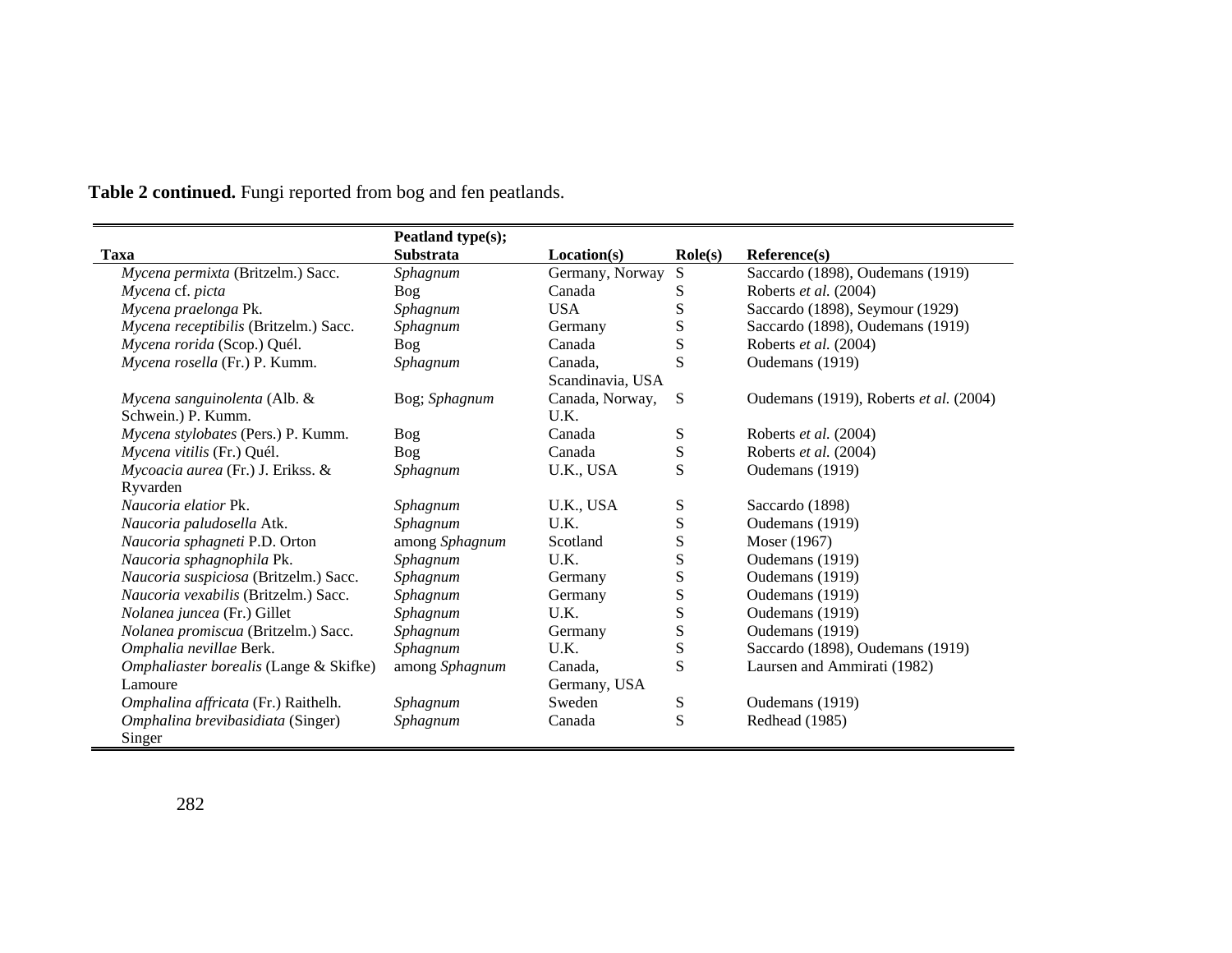|                                        | Peatland type(s); |                  |                  |                                        |
|----------------------------------------|-------------------|------------------|------------------|----------------------------------------|
| Taxa                                   | <b>Substrata</b>  | Location(s)      | $\text{Role}(s)$ | Reference(s)                           |
| Mycena permixta (Britzelm.) Sacc.      | Sphagnum          | Germany, Norway  | S                | Saccardo (1898), Oudemans (1919)       |
| Mycena cf. picta                       | Bog               | Canada           | S                | Roberts et al. (2004)                  |
| Mycena praelonga Pk.                   | Sphagnum          | <b>USA</b>       | ${\bf S}$        | Saccardo (1898), Seymour (1929)        |
| Mycena receptibilis (Britzelm.) Sacc.  | Sphagnum          | Germany          | ${\bf S}$        | Saccardo (1898), Oudemans (1919)       |
| Mycena rorida (Scop.) Quél.            | Bog               | Canada           | S                | Roberts et al. (2004)                  |
| Mycena rosella (Fr.) P. Kumm.          | Sphagnum          | Canada,          | S                | Oudemans (1919)                        |
|                                        |                   | Scandinavia, USA |                  |                                        |
| Mycena sanguinolenta (Alb. &           | Bog; Sphagnum     | Canada, Norway,  | S                | Oudemans (1919), Roberts et al. (2004) |
| Schwein.) P. Kumm.                     |                   | U.K.             |                  |                                        |
| Mycena stylobates (Pers.) P. Kumm.     | Bog               | Canada           | ${\bf S}$        | Roberts et al. (2004)                  |
| Mycena vitilis (Fr.) Quél.             | <b>Bog</b>        | Canada           | ${\bf S}$        | Roberts et al. (2004)                  |
| Mycoacia aurea (Fr.) J. Erikss. &      | Sphagnum          | U.K., USA        | S                | Oudemans (1919)                        |
| Ryvarden                               |                   |                  |                  |                                        |
| <i>Naucoria elatior</i> Pk.            | Sphagnum          | U.K., USA        | ${\bf S}$        | Saccardo (1898)                        |
| Naucoria paludosella Atk.              | Sphagnum          | U.K.             | ${\bf S}$        | Oudemans (1919)                        |
| Naucoria sphagneti P.D. Orton          | among Sphagnum    | Scotland         | $\mathbf S$      | Moser (1967)                           |
| Naucoria sphagnophila Pk.              | Sphagnum          | U.K.             | S                | Oudemans (1919)                        |
| Naucoria suspiciosa (Britzelm.) Sacc.  | Sphagnum          | Germany          | S                | Oudemans (1919)                        |
| Naucoria vexabilis (Britzelm.) Sacc.   | Sphagnum          | Germany          | ${\bf S}$        | Oudemans (1919)                        |
| Nolanea juncea (Fr.) Gillet            | Sphagnum          | U.K.             | S                | Oudemans (1919)                        |
| Nolanea promiscua (Britzelm.) Sacc.    | Sphagnum          | Germany          | ${\bf S}$        | Oudemans (1919)                        |
| Omphalia nevillae Berk.                | Sphagnum          | U.K.             | S                | Saccardo (1898), Oudemans (1919)       |
| Omphaliaster borealis (Lange & Skifke) | among Sphagnum    | Canada,          | S                | Laursen and Ammirati (1982)            |
| Lamoure                                |                   | Germany, USA     |                  |                                        |
| Omphalina affricata (Fr.) Raithelh.    | Sphagnum          | Sweden           | S                | Oudemans (1919)                        |
| Omphalina brevibasidiata (Singer)      | Sphagnum          | Canada           | S                | Redhead (1985)                         |
| Singer                                 |                   |                  |                  |                                        |

 $\blacksquare$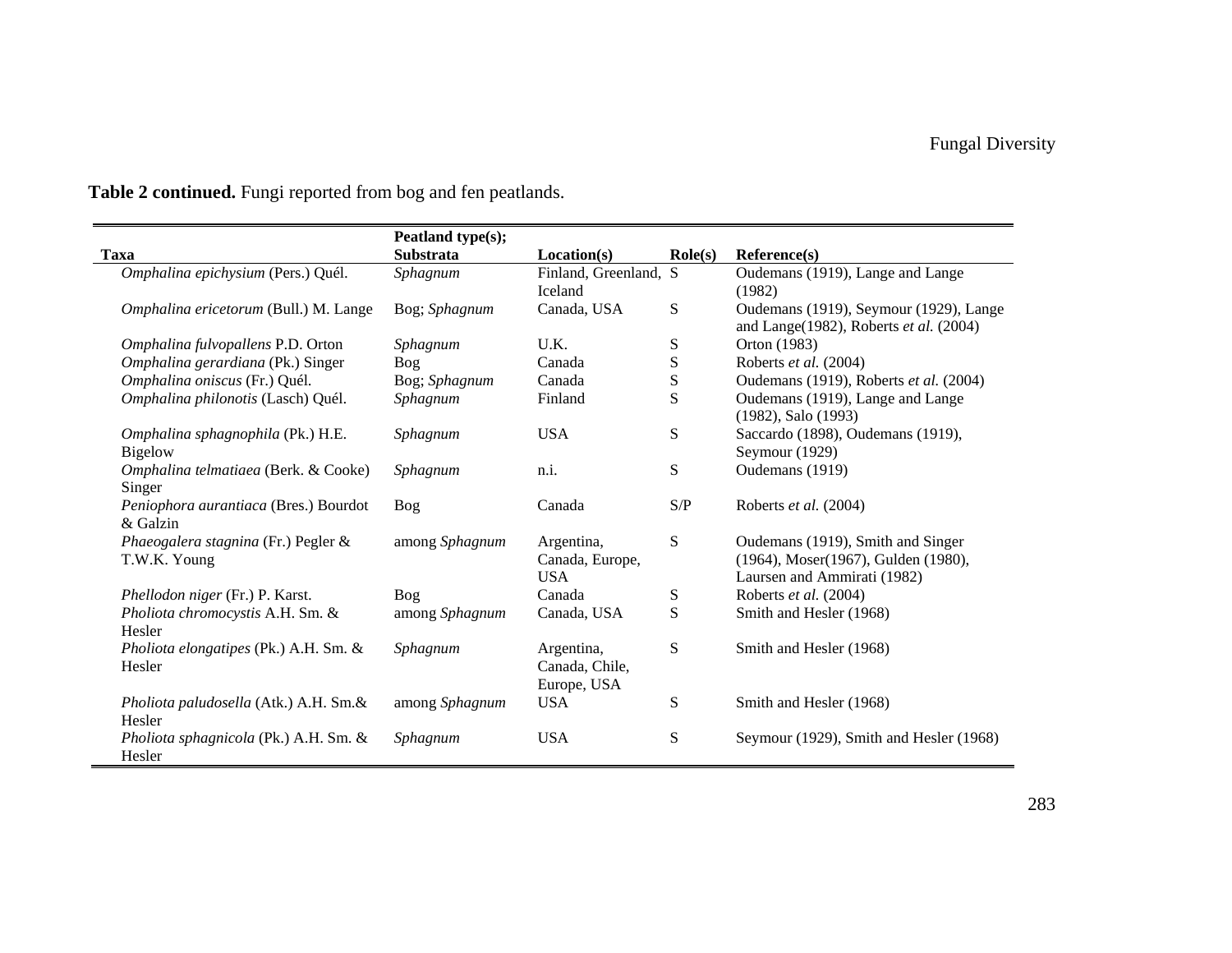| Table 2 continued. Fungi reported from bog and fen peatlands. |  |  |
|---------------------------------------------------------------|--|--|
|---------------------------------------------------------------|--|--|

|                                                     | Peatland type(s); |                                             |                  |                                                                                                         |
|-----------------------------------------------------|-------------------|---------------------------------------------|------------------|---------------------------------------------------------------------------------------------------------|
| <b>Taxa</b>                                         | <b>Substrata</b>  | Location(s)                                 | $\text{Role}(s)$ | Reference(s)                                                                                            |
| Omphalina epichysium (Pers.) Quél.                  | Sphagnum          | Finland, Greenland, S<br>Iceland            |                  | Oudemans (1919), Lange and Lange<br>(1982)                                                              |
| Omphalina ericetorum (Bull.) M. Lange               | Bog; Sphagnum     | Canada, USA                                 | S                | Oudemans (1919), Seymour (1929), Lange<br>and Lange(1982), Roberts et al. (2004)                        |
| Omphalina fulvopallens P.D. Orton                   | Sphagnum          | U.K.                                        | S                | Orton (1983)                                                                                            |
| Omphalina gerardiana (Pk.) Singer                   | Bog               | Canada                                      | ${\bf S}$        | Roberts et al. (2004)                                                                                   |
| Omphalina oniscus (Fr.) Quél.                       | Bog; Sphagnum     | Canada                                      | ${\bf S}$        | Oudemans (1919), Roberts et al. (2004)                                                                  |
| Omphalina philonotis (Lasch) Quél.                  | Sphagnum          | Finland                                     | S                | Oudemans (1919), Lange and Lange<br>(1982), Salo (1993)                                                 |
| Omphalina sphagnophila (Pk.) H.E.<br><b>Bigelow</b> | Sphagnum          | <b>USA</b>                                  | S                | Saccardo (1898), Oudemans (1919),<br>Seymour (1929)                                                     |
| Omphalina telmatiaea (Berk. & Cooke)<br>Singer      | Sphagnum          | n.i.                                        | S                | Oudemans (1919)                                                                                         |
| Peniophora aurantiaca (Bres.) Bourdot<br>& Galzin   | <b>Bog</b>        | Canada                                      | S/P              | Roberts et al. (2004)                                                                                   |
| Phaeogalera stagnina (Fr.) Pegler &<br>T.W.K. Young | among Sphagnum    | Argentina,<br>Canada, Europe,<br><b>USA</b> | S                | Oudemans (1919), Smith and Singer<br>(1964), Moser(1967), Gulden (1980),<br>Laursen and Ammirati (1982) |
| Phellodon niger (Fr.) P. Karst.                     | Bog               | Canada                                      | S                | Roberts et al. (2004)                                                                                   |
| Pholiota chromocystis A.H. Sm. &<br>Hesler          | among Sphagnum    | Canada, USA                                 | S                | Smith and Hesler (1968)                                                                                 |
| Pholiota elongatipes (Pk.) A.H. Sm. &<br>Hesler     | Sphagnum          | Argentina,<br>Canada, Chile,<br>Europe, USA | S                | Smith and Hesler (1968)                                                                                 |
| Pholiota paludosella (Atk.) A.H. Sm.&<br>Hesler     | among Sphagnum    | <b>USA</b>                                  | S                | Smith and Hesler (1968)                                                                                 |
| Pholiota sphagnicola (Pk.) A.H. Sm. &<br>Hesler     | Sphagnum          | <b>USA</b>                                  | S                | Seymour (1929), Smith and Hesler (1968)                                                                 |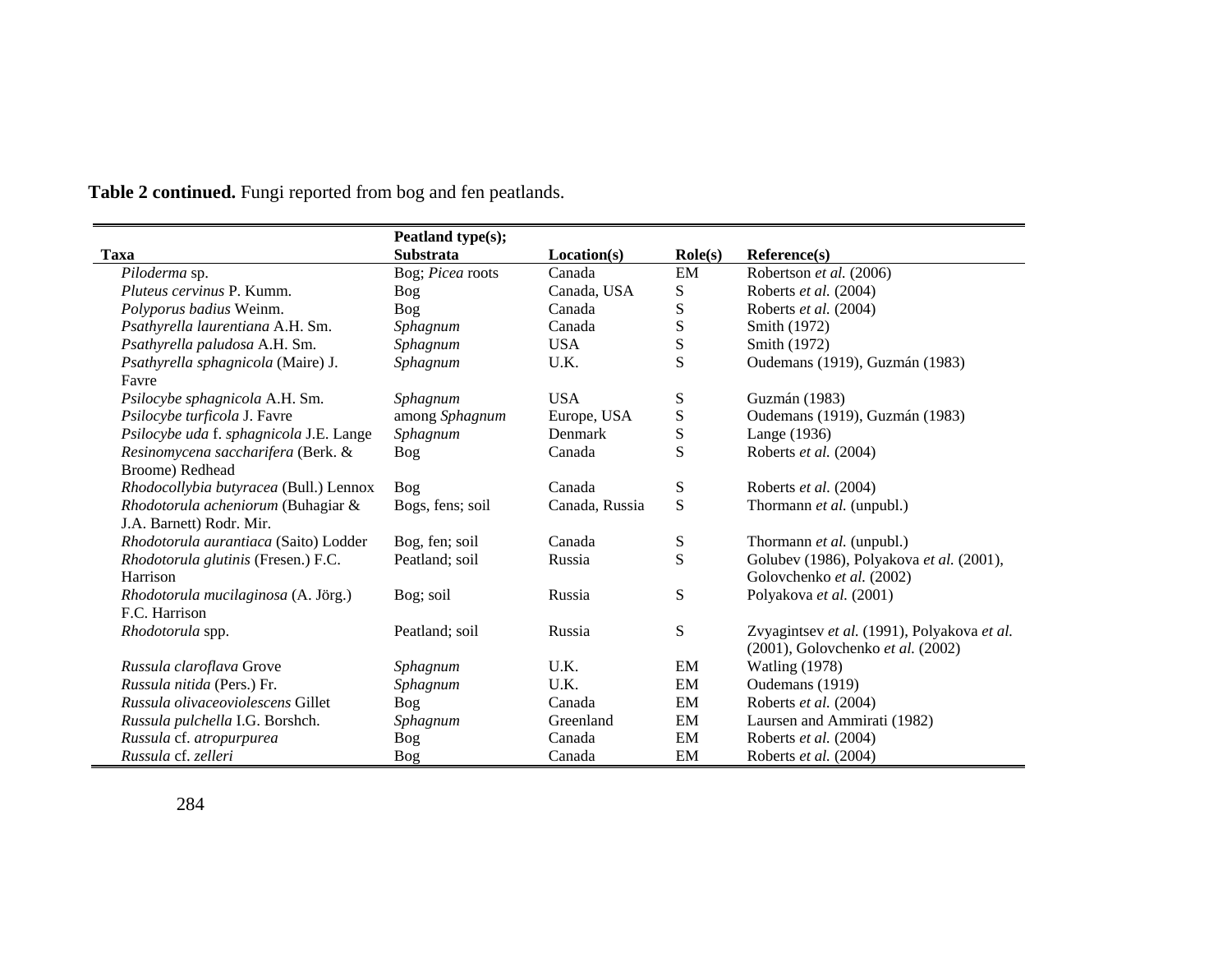|                                                                | Peatland type(s); |                |                  |                                                                                  |
|----------------------------------------------------------------|-------------------|----------------|------------------|----------------------------------------------------------------------------------|
| <b>Taxa</b>                                                    | <b>Substrata</b>  | Location(s)    | $\text{Role}(s)$ | Reference(s)                                                                     |
| Piloderma sp.                                                  | Bog; Picea roots  | Canada         | EM               | Robertson et al. (2006)                                                          |
| <i>Pluteus cervinus</i> P. Kumm.                               | <b>Bog</b>        | Canada, USA    | S                | Roberts et al. (2004)                                                            |
| Polyporus badius Weinm.                                        | Bog               | Canada         | S                | Roberts et al. (2004)                                                            |
| Psathyrella laurentiana A.H. Sm.                               | Sphagnum          | Canada         | ${\bf S}$        | Smith (1972)                                                                     |
| Psathyrella paludosa A.H. Sm.                                  | Sphagnum          | <b>USA</b>     | ${\bf S}$        | Smith (1972)                                                                     |
| Psathyrella sphagnicola (Maire) J.<br>Favre                    | Sphagnum          | U.K.           | S                | Oudemans (1919), Guzmán (1983)                                                   |
| Psilocybe sphagnicola A.H. Sm.                                 | Sphagnum          | <b>USA</b>     | S                | Guzmán (1983)                                                                    |
| Psilocybe turficola J. Favre                                   | among Sphagnum    | Europe, USA    | ${\bf S}$        | Oudemans (1919), Guzmán (1983)                                                   |
| Psilocybe uda f. sphagnicola J.E. Lange                        | Sphagnum          | Denmark        | ${\bf S}$        | Lange (1936)                                                                     |
| Resinomycena saccharifera (Berk. &<br>Broome) Redhead          | Bog               | Canada         | S                | Roberts et al. (2004)                                                            |
| Rhodocollybia butyracea (Bull.) Lennox                         | Bog               | Canada         | S                | Roberts et al. (2004)                                                            |
| Rhodotorula acheniorum (Buhagiar &<br>J.A. Barnett) Rodr. Mir. | Bogs, fens; soil  | Canada, Russia | S                | Thormann et al. (unpubl.)                                                        |
| Rhodotorula aurantiaca (Saito) Lodder                          | Bog, fen; soil    | Canada         | S                | Thormann et al. (unpubl.)                                                        |
| Rhodotorula glutinis (Fresen.) F.C.<br>Harrison                | Peatland; soil    | Russia         | S                | Golubev (1986), Polyakova et al. (2001),<br>Golovchenko et al. (2002)            |
| Rhodotorula mucilaginosa (A. Jörg.)                            | Bog; soil         | Russia         | S                | Polyakova et al. (2001)                                                          |
| F.C. Harrison                                                  |                   |                |                  |                                                                                  |
| Rhodotorula spp.                                               | Peatland; soil    | Russia         | ${\bf S}$        | Zvyagintsev et al. (1991), Polyakova et al.<br>(2001), Golovchenko et al. (2002) |
| Russula claroflava Grove                                       | Sphagnum          | U.K.           | EM               | <b>Watling (1978)</b>                                                            |
| Russula nitida (Pers.) Fr.                                     | Sphagnum          | U.K.           | EM               | Oudemans (1919)                                                                  |
| Russula olivaceoviolescens Gillet                              | Bog               | Canada         | EM               | Roberts et al. (2004)                                                            |
| Russula pulchella I.G. Borshch.                                | Sphagnum          | Greenland      | EM               | Laursen and Ammirati (1982)                                                      |
| Russula cf. atropurpurea                                       | Bog               | Canada         | EM               | Roberts et al. (2004)                                                            |
| Russula cf. zelleri                                            | Bog               | Canada         | EM               | Roberts et al. (2004)                                                            |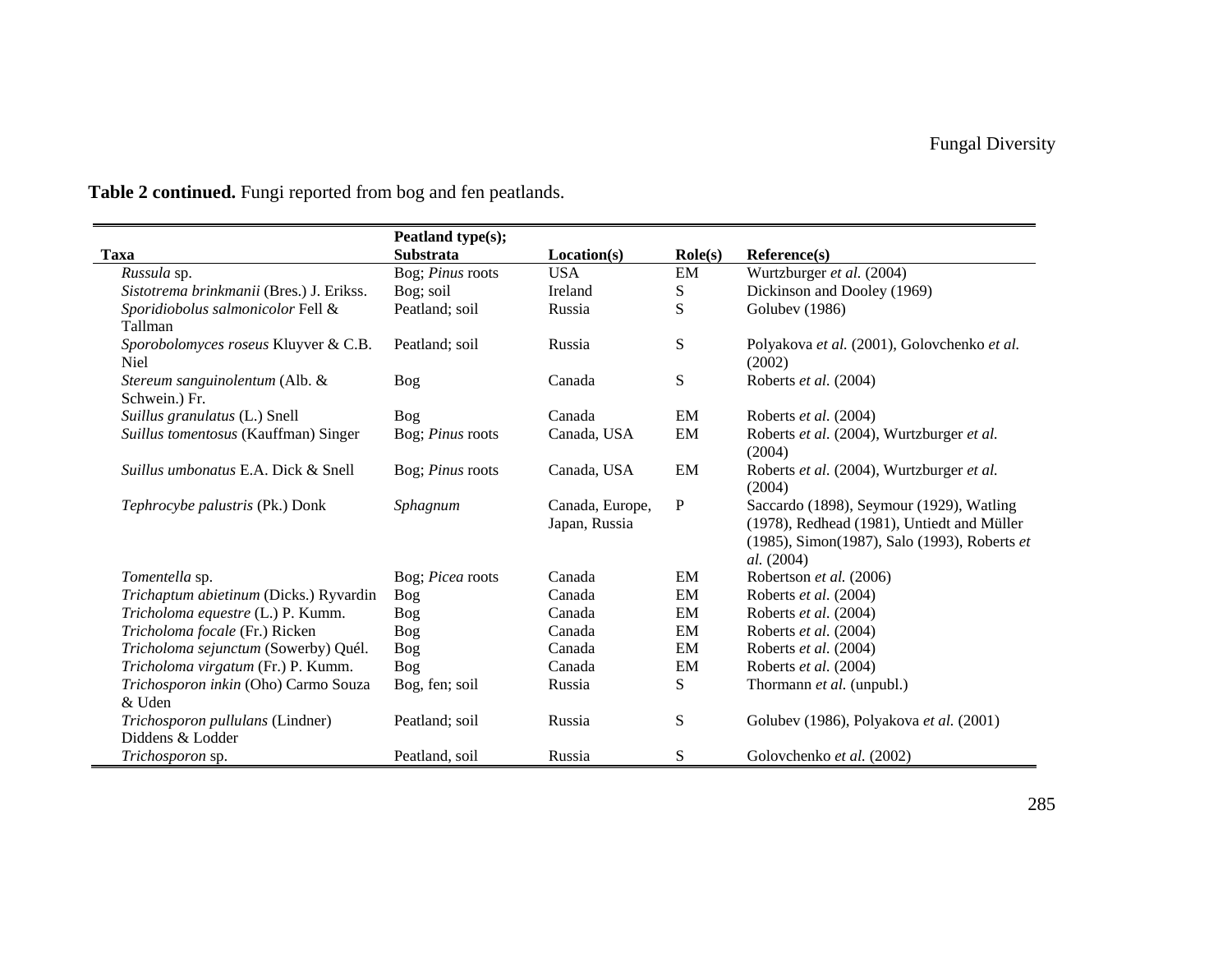|                                            | Peatland type(s);       |                 |                  |                                              |
|--------------------------------------------|-------------------------|-----------------|------------------|----------------------------------------------|
| <b>Taxa</b>                                | <b>Substrata</b>        | Location(s)     | $\text{Role}(s)$ | Reference(s)                                 |
| Russula sp.                                | Bog; Pinus roots        | <b>USA</b>      | EM               | Wurtzburger et al. (2004)                    |
| Sistotrema brinkmanii (Bres.) J. Erikss.   | Bog; soil               | Ireland         | S                | Dickinson and Dooley (1969)                  |
| Sporidiobolus salmonicolor Fell &          | Peatland; soil          | Russia          | ${\bf S}$        | Golubev (1986)                               |
| Tallman                                    |                         |                 |                  |                                              |
| Sporobolomyces roseus Kluyver & C.B.       | Peatland; soil          | Russia          | ${\bf S}$        | Polyakova et al. (2001), Golovchenko et al.  |
| <b>Niel</b>                                |                         |                 |                  | (2002)                                       |
| Stereum sanguinolentum (Alb. &             | Bog                     | Canada          | ${\bf S}$        | Roberts et al. (2004)                        |
| Schwein.) Fr.                              |                         |                 |                  |                                              |
| Suillus granulatus (L.) Snell              | Bog                     | Canada          | EM               | Roberts et al. (2004)                        |
| Suillus tomentosus (Kauffman) Singer       | Bog; Pinus roots        | Canada, USA     | EM               | Roberts et al. (2004), Wurtzburger et al.    |
|                                            |                         |                 |                  | (2004)                                       |
| <i>Suillus umbonatus</i> E.A. Dick & Snell | Bog; <i>Pinus</i> roots | Canada, USA     | EM               | Roberts et al. (2004), Wurtzburger et al.    |
|                                            |                         |                 |                  | (2004)                                       |
| Tephrocybe palustris (Pk.) Donk            | Sphagnum                | Canada, Europe, | ${\bf P}$        | Saccardo (1898), Seymour (1929), Watling     |
|                                            |                         | Japan, Russia   |                  | (1978), Redhead (1981), Untiedt and Müller   |
|                                            |                         |                 |                  | (1985), Simon(1987), Salo (1993), Roberts et |
|                                            |                         |                 |                  | <i>al.</i> (2004)                            |
| Tomentella sp.                             | Bog; Picea roots        | Canada          | EM               | Robertson et al. (2006)                      |
| Trichaptum abietinum (Dicks.) Ryvardin     | Bog                     | Canada          | EM               | Roberts et al. (2004)                        |
| Tricholoma equestre (L.) P. Kumm.          | Bog                     | Canada          | EM               | Roberts et al. (2004)                        |
| Tricholoma focale (Fr.) Ricken             | <b>Bog</b>              | Canada          | EM               | Roberts et al. (2004)                        |
| Tricholoma sejunctum (Sowerby) Quél.       | Bog                     | Canada          | EM               | Roberts et al. (2004)                        |
| Tricholoma virgatum (Fr.) P. Kumm.         | <b>Bog</b>              | Canada          | EM               | Roberts et al. (2004)                        |
| Trichosporon inkin (Oho) Carmo Souza       | Bog, fen; soil          | Russia          | S                | Thormann et al. (unpubl.)                    |
| & Uden                                     |                         |                 |                  |                                              |
| Trichosporon pullulans (Lindner)           | Peatland; soil          | Russia          | S                | Golubev (1986), Polyakova et al. (2001)      |
| Diddens & Lodder                           |                         |                 |                  |                                              |
| Trichosporon sp.                           | Peatland, soil          | Russia          | S                | Golovchenko et al. (2002)                    |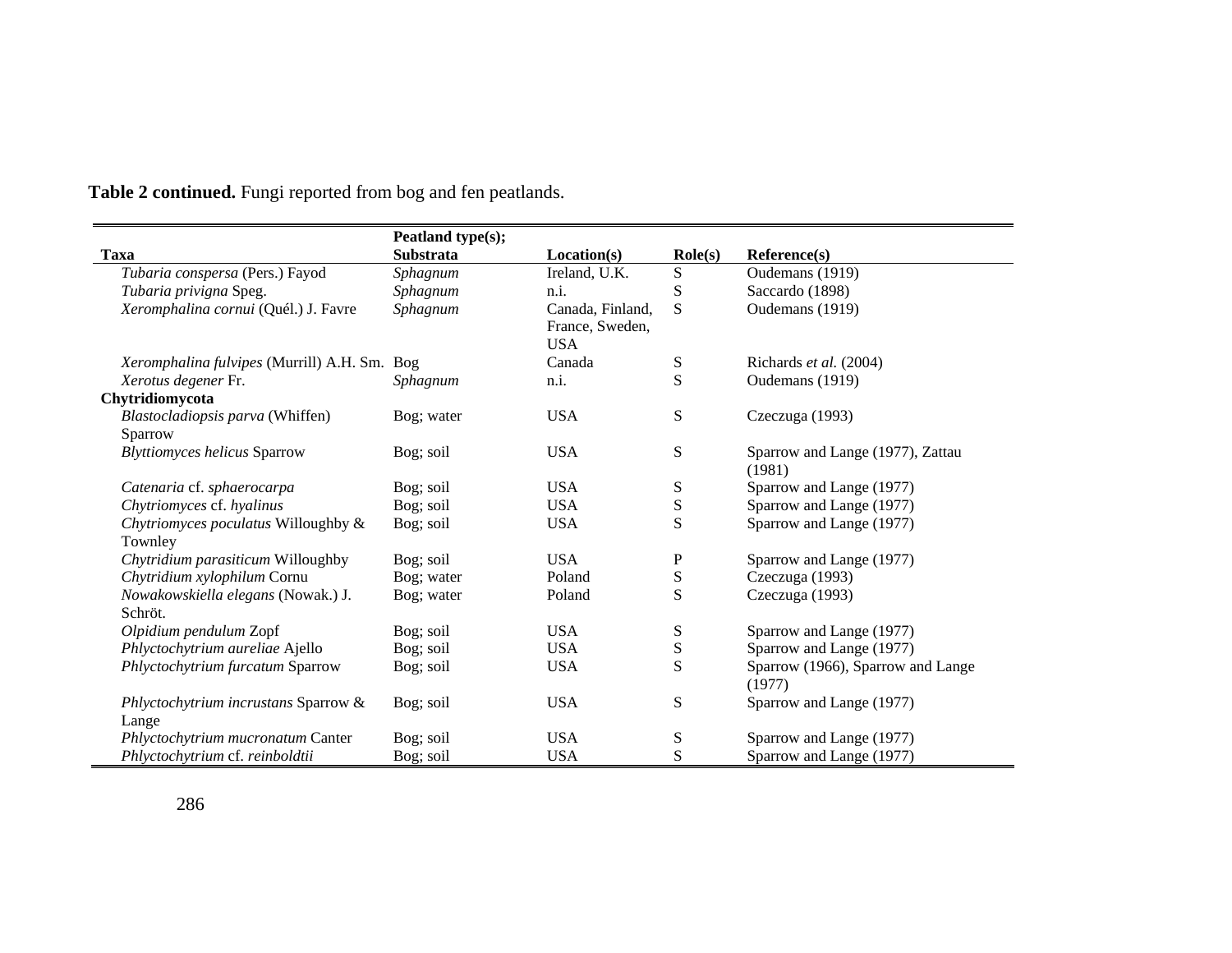|                                                | Peatland type(s); |                                                   |                  |                                             |
|------------------------------------------------|-------------------|---------------------------------------------------|------------------|---------------------------------------------|
| <b>Taxa</b>                                    | <b>Substrata</b>  | Location(s)                                       | $\text{Role}(s)$ | Reference(s)                                |
| Tubaria conspersa (Pers.) Fayod                | Sphagnum          | Ireland, U.K.                                     | ${\bf S}$        | Oudemans (1919)                             |
| Tubaria privigna Speg.                         | Sphagnum          | n.i.                                              | S                | Saccardo (1898)                             |
| Xeromphalina cornui (Quél.) J. Favre           | Sphagnum          | Canada, Finland,<br>France, Sweden,<br><b>USA</b> | S                | Oudemans (1919)                             |
| Xeromphalina fulvipes (Murrill) A.H. Sm. Bog   |                   | Canada                                            | ${\bf S}$        | Richards et al. (2004)                      |
| Xerotus degener Fr.                            | Sphagnum          | n.i.                                              | S                | Oudemans (1919)                             |
| Chytridiomycota                                |                   |                                                   |                  |                                             |
| Blastocladiopsis parva (Whiffen)<br>Sparrow    | Bog; water        | <b>USA</b>                                        | S                | Czeczuga (1993)                             |
| <b>Blyttiomyces helicus Sparrow</b>            | Bog; soil         | <b>USA</b>                                        | ${\bf S}$        | Sparrow and Lange (1977), Zattau<br>(1981)  |
| Catenaria cf. sphaerocarpa                     | Bog; soil         | <b>USA</b>                                        | ${\bf S}$        | Sparrow and Lange (1977)                    |
| Chytriomyces cf. hyalinus                      | Bog; soil         | <b>USA</b>                                        | ${\bf S}$        | Sparrow and Lange (1977)                    |
| Chytriomyces poculatus Willoughby &<br>Townley | Bog; soil         | <b>USA</b>                                        | S                | Sparrow and Lange (1977)                    |
| Chytridium parasiticum Willoughby              | Bog; soil         | <b>USA</b>                                        | P                | Sparrow and Lange (1977)                    |
| Chytridium xylophilum Cornu                    | Bog; water        | Poland                                            | ${\bf S}$        | Czeczuga (1993)                             |
| Nowakowskiella elegans (Nowak.) J.<br>Schröt.  | Bog; water        | Poland                                            | S                | Czeczuga (1993)                             |
| Olpidium pendulum Zopf                         | Bog; soil         | <b>USA</b>                                        | ${\bf S}$        | Sparrow and Lange (1977)                    |
| Phlyctochytrium aureliae Ajello                | Bog; soil         | <b>USA</b>                                        | ${\bf S}$        | Sparrow and Lange (1977)                    |
| Phlyctochytrium furcatum Sparrow               | Bog; soil         | <b>USA</b>                                        | S                | Sparrow (1966), Sparrow and Lange<br>(1977) |
| Phlyctochytrium incrustans Sparrow &<br>Lange  | Bog; soil         | <b>USA</b>                                        | ${\bf S}$        | Sparrow and Lange (1977)                    |
| Phlyctochytrium mucronatum Canter              | Bog; soil         | <b>USA</b>                                        | ${\bf S}$        | Sparrow and Lange (1977)                    |
| Phlyctochytrium cf. reinboldtii                | Bog; soil         | <b>USA</b>                                        | S                | Sparrow and Lange (1977)                    |

 $\blacksquare$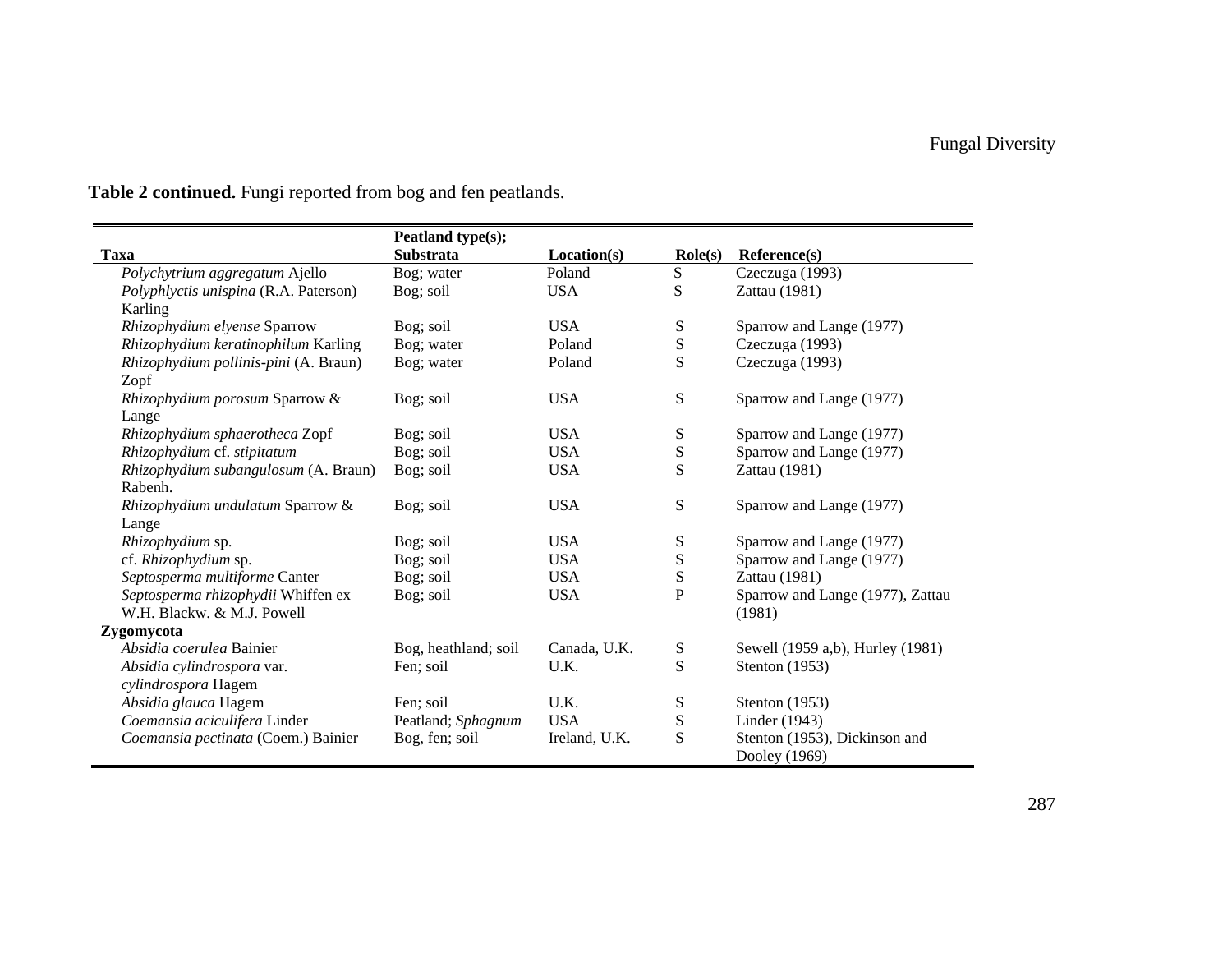|                                       | Peatland type(s);    |               |                  |                                  |
|---------------------------------------|----------------------|---------------|------------------|----------------------------------|
| Taxa                                  | <b>Substrata</b>     | Location(s)   | $\text{Role}(s)$ | Reference(s)                     |
| Polychytrium aggregatum Ajello        | Bog; water           | Poland        | ${\bf S}$        | Czeczuga (1993)                  |
| Polyphlyctis unispina (R.A. Paterson) | Bog; soil            | <b>USA</b>    | S                | Zattau (1981)                    |
| Karling                               |                      |               |                  |                                  |
| Rhizophydium elyense Sparrow          | Bog; soil            | <b>USA</b>    | S                | Sparrow and Lange (1977)         |
| Rhizophydium keratinophilum Karling   | Bog; water           | Poland        | ${\bf S}$        | Czeczuga (1993)                  |
| Rhizophydium pollinis-pini (A. Braun) | Bog; water           | Poland        | S                | Czeczuga (1993)                  |
| Zopf                                  |                      |               |                  |                                  |
| Rhizophydium porosum Sparrow &        | Bog; soil            | <b>USA</b>    | ${\bf S}$        | Sparrow and Lange (1977)         |
| Lange                                 |                      |               |                  |                                  |
| Rhizophydium sphaerotheca Zopf        | Bog; soil            | <b>USA</b>    | S                | Sparrow and Lange (1977)         |
| Rhizophydium cf. stipitatum           | Bog; soil            | <b>USA</b>    | ${\bf S}$        | Sparrow and Lange (1977)         |
| Rhizophydium subangulosum (A. Braun)  | Bog; soil            | <b>USA</b>    | S                | Zattau (1981)                    |
| Rabenh.                               |                      |               |                  |                                  |
| Rhizophydium undulatum Sparrow &      | Bog; soil            | <b>USA</b>    | ${\bf S}$        | Sparrow and Lange (1977)         |
| Lange                                 |                      |               |                  |                                  |
| Rhizophydium sp.                      | Bog; soil            | <b>USA</b>    | S                | Sparrow and Lange (1977)         |
| cf. Rhizophydium sp.                  | Bog; soil            | <b>USA</b>    | ${\bf S}$        | Sparrow and Lange (1977)         |
| Septosperma multiforme Canter         | Bog; soil            | <b>USA</b>    | ${\bf S}$        | Zattau (1981)                    |
| Septosperma rhizophydii Whiffen ex    | Bog; soil            | <b>USA</b>    | $\mathbf P$      | Sparrow and Lange (1977), Zattau |
| W.H. Blackw. & M.J. Powell            |                      |               |                  | (1981)                           |
| Zygomycota                            |                      |               |                  |                                  |
| Absidia coerulea Bainier              | Bog, heathland; soil | Canada, U.K.  | S                | Sewell (1959 a,b), Hurley (1981) |
| Absidia cylindrospora var.            | Fen; soil            | U.K.          | S                | Stenton (1953)                   |
| cylindrospora Hagem                   |                      |               |                  |                                  |
| Absidia glauca Hagem                  | Fen; soil            | U.K.          | ${\bf S}$        | Stenton (1953)                   |
| Coemansia aciculifera Linder          | Peatland; Sphagnum   | <b>USA</b>    | ${\bf S}$        | Linder $(1943)$                  |
| Coemansia pectinata (Coem.) Bainier   | Bog, fen; soil       | Ireland, U.K. | S                | Stenton (1953), Dickinson and    |
|                                       |                      |               |                  | Dooley (1969)                    |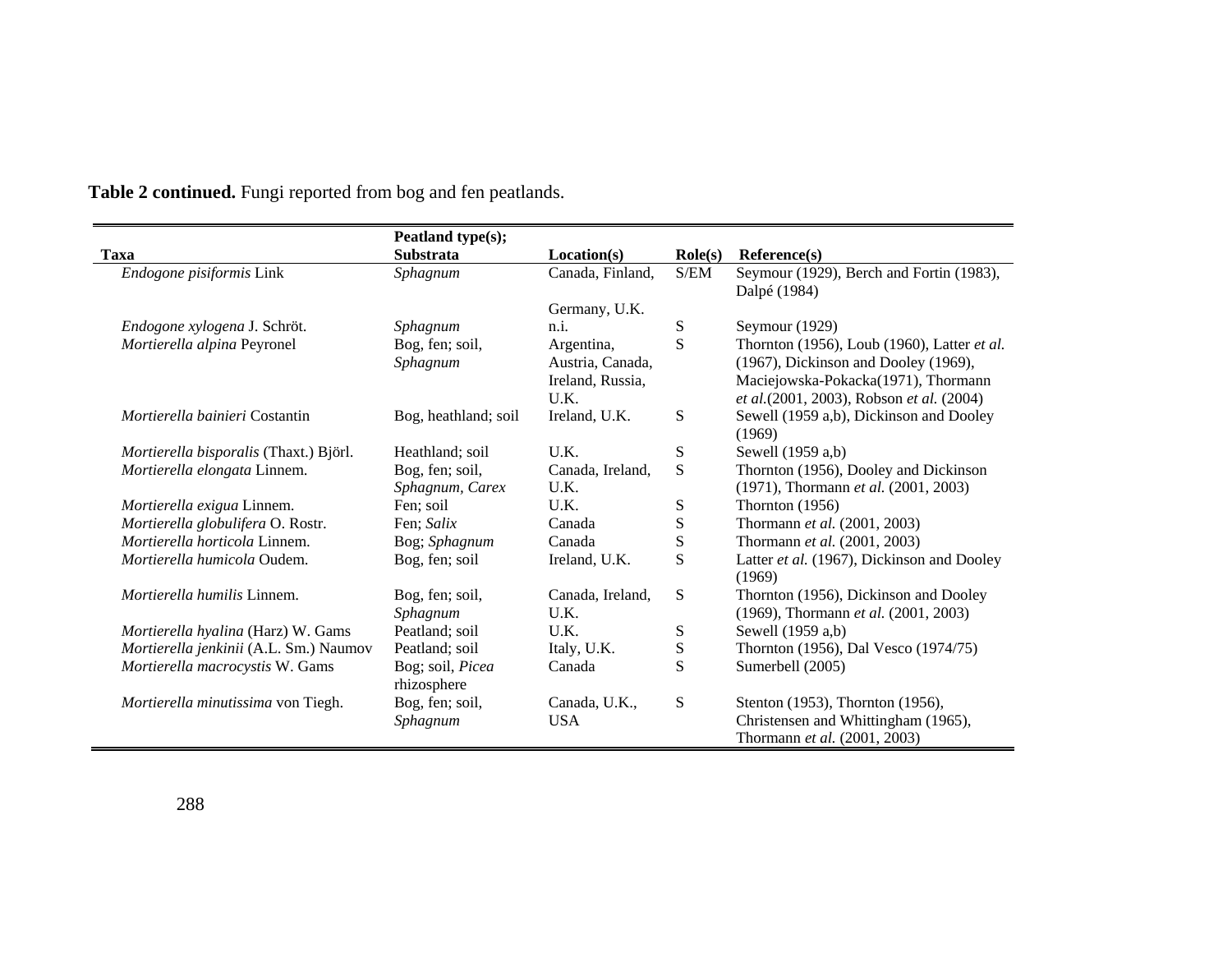|                                        | Peatland type(s);    |                  |                  |                                                          |
|----------------------------------------|----------------------|------------------|------------------|----------------------------------------------------------|
| Taxa                                   | <b>Substrata</b>     | Location(s)      | $\text{Role}(s)$ | Reference(s)                                             |
| Endogone pisiformis Link               | Sphagnum             | Canada, Finland, | S/EM             | Seymour (1929), Berch and Fortin (1983),<br>Dalpé (1984) |
|                                        |                      | Germany, U.K.    |                  |                                                          |
| Endogone xylogena J. Schröt.           | Sphagnum             | n.i.             | ${\bf S}$        | Seymour (1929)                                           |
| Mortierella alpina Peyronel            | Bog, fen; soil,      | Argentina,       | S                | Thornton (1956), Loub (1960), Latter et al.              |
|                                        | Sphagnum             | Austria, Canada, |                  | (1967), Dickinson and Dooley (1969),                     |
|                                        |                      | Ireland, Russia, |                  | Maciejowska-Pokacka(1971), Thormann                      |
|                                        |                      | U.K.             |                  | et al.(2001, 2003), Robson et al. (2004)                 |
| <i>Mortierella bainieri</i> Costantin  | Bog, heathland; soil | Ireland, U.K.    | S                | Sewell (1959 a,b), Dickinson and Dooley                  |
|                                        |                      |                  |                  | (1969)                                                   |
| Mortierella bisporalis (Thaxt.) Björl. | Heathland; soil      | U.K.             | S                | Sewell (1959 a,b)                                        |
| Mortierella elongata Linnem.           | Bog, fen; soil,      | Canada, Ireland, | S                | Thornton (1956), Dooley and Dickinson                    |
|                                        | Sphagnum, Carex      | U.K.             |                  | (1971), Thormann et al. (2001, 2003)                     |
| Mortierella exigua Linnem.             | Fen; soil            | U.K.             | ${\bf S}$        | Thornton $(1956)$                                        |
| Mortierella globulifera O. Rostr.      | Fen: Salix           | Canada           | S                | Thormann et al. (2001, 2003)                             |
| Mortierella horticola Linnem.          | Bog; Sphagnum        | Canada           | S                | Thormann et al. (2001, 2003)                             |
| Mortierella humicola Oudem.            | Bog, fen; soil       | Ireland, U.K.    | S                | Latter et al. (1967), Dickinson and Dooley               |
|                                        |                      |                  |                  | (1969)                                                   |
| <i>Mortierella humilis</i> Linnem.     | Bog, fen; soil,      | Canada, Ireland, | S                | Thornton (1956), Dickinson and Dooley                    |
|                                        | Sphagnum             | U.K.             |                  | (1969), Thormann et al. (2001, 2003)                     |
| Mortierella hyalina (Harz) W. Gams     | Peatland; soil       | U.K.             | S                | Sewell (1959 a,b)                                        |
| Mortierella jenkinii (A.L. Sm.) Naumov | Peatland; soil       | Italy, U.K.      | S                | Thornton (1956), Dal Vesco (1974/75)                     |
| Mortierella macrocystis W. Gams        | Bog; soil, Picea     | Canada           | S                | Sumerbell (2005)                                         |
|                                        | rhizosphere          |                  |                  |                                                          |
| Mortierella minutissima von Tiegh.     | Bog, fen; soil,      | Canada, U.K.,    | S                | Stenton (1953), Thornton (1956),                         |
|                                        | Sphagnum             | <b>USA</b>       |                  | Christensen and Whittingham (1965),                      |
|                                        |                      |                  |                  | Thormann et al. (2001, 2003)                             |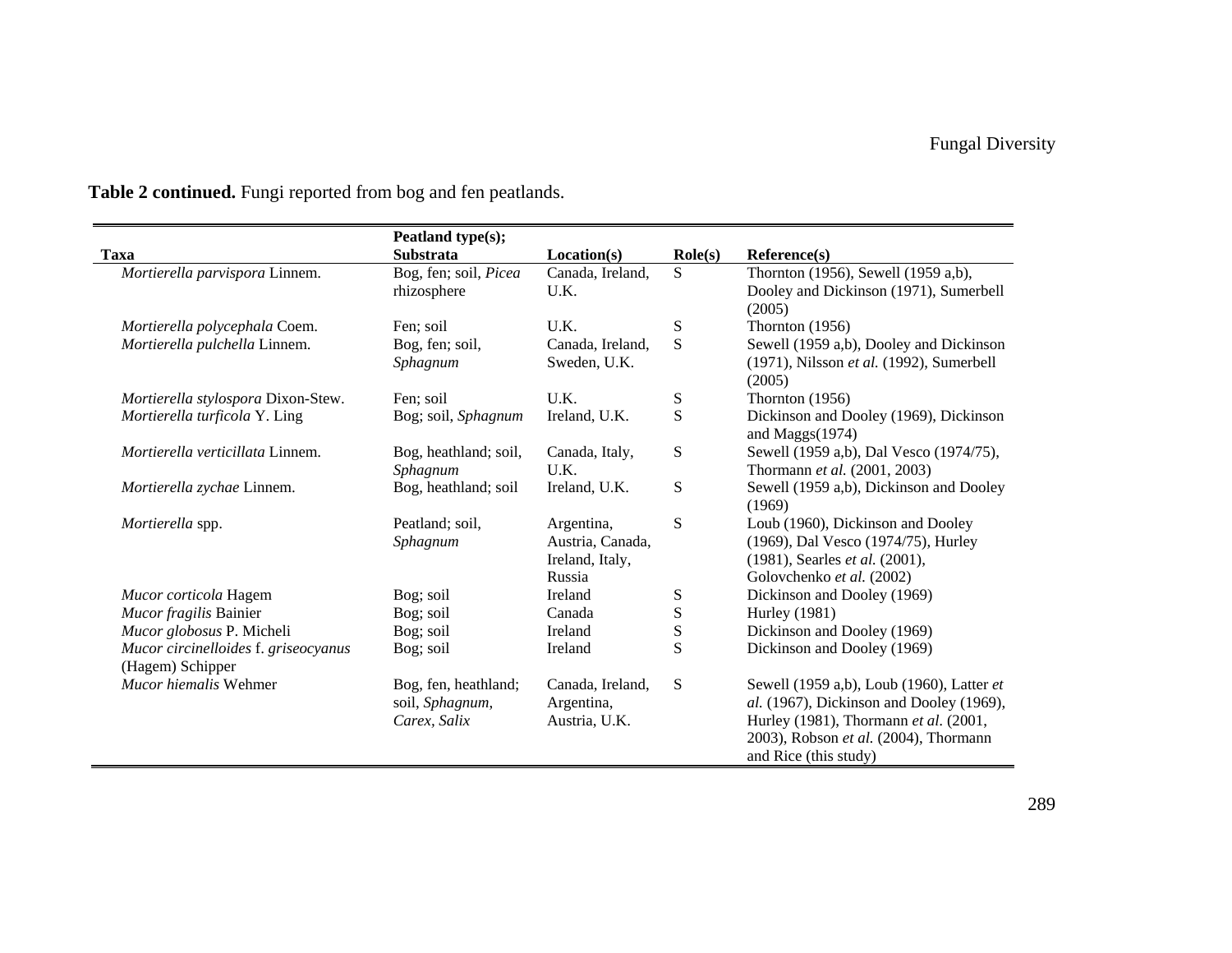|                                         | Peatland type(s);     |                  |                  |                                                          |
|-----------------------------------------|-----------------------|------------------|------------------|----------------------------------------------------------|
| <b>Taxa</b>                             | <b>Substrata</b>      | Location(s)      | $\text{Role}(s)$ | Reference(s)                                             |
| Mortierella parvispora Linnem.          | Bog, fen; soil, Picea | Canada, Ireland, | S.               | Thornton (1956), Sewell (1959 a,b),                      |
|                                         | rhizosphere           | U.K.             |                  | Dooley and Dickinson (1971), Sumerbell                   |
|                                         |                       |                  |                  | (2005)                                                   |
| Mortierella polycephala Coem.           | Fen; soil             | U.K.             | ${\bf S}$        | Thornton $(1956)$                                        |
| Mortierella pulchella Linnem.           | Bog, fen; soil,       | Canada, Ireland, | S                | Sewell (1959 a,b), Dooley and Dickinson                  |
|                                         | Sphagnum              | Sweden, U.K.     |                  | $(1971)$ , Nilsson et al. $(1992)$ , Sumerbell<br>(2005) |
| Mortierella stylospora Dixon-Stew.      | Fen; soil             | U.K.             | ${\bf S}$        | Thornton $(1956)$                                        |
| Mortierella turficola Y. Ling           | Bog; soil, Sphagnum   | Ireland, U.K.    | $\mathbf S$      | Dickinson and Dooley (1969), Dickinson                   |
|                                         |                       |                  |                  | and Maggs(1974)                                          |
| <i>Mortierella verticillata</i> Linnem. | Bog, heathland; soil, | Canada, Italy,   | ${\bf S}$        | Sewell (1959 a,b), Dal Vesco (1974/75),                  |
|                                         | Sphagnum              | U.K.             |                  | Thormann et al. (2001, 2003)                             |
| Mortierella zychae Linnem.              | Bog, heathland; soil  | Ireland, U.K.    | ${\bf S}$        | Sewell (1959 a,b), Dickinson and Dooley<br>(1969)        |
| <i>Mortierella</i> spp.                 | Peatland; soil,       | Argentina,       | ${\bf S}$        | Loub (1960), Dickinson and Dooley                        |
|                                         | Sphagnum              | Austria, Canada, |                  | (1969), Dal Vesco (1974/75), Hurley                      |
|                                         |                       | Ireland, Italy,  |                  | (1981), Searles et al. (2001),                           |
|                                         |                       | Russia           |                  | Golovchenko et al. (2002)                                |
| Mucor corticola Hagem                   | Bog; soil             | Ireland          | ${\bf S}$        | Dickinson and Dooley (1969)                              |
| Mucor fragilis Bainier                  | Bog; soil             | Canada           | ${\bf S}$        | <b>Hurley</b> (1981)                                     |
| Mucor globosus P. Micheli               | Bog; soil             | Ireland          | ${\bf S}$        | Dickinson and Dooley (1969)                              |
| Mucor circinelloides f. griseocyanus    | Bog; soil             | Ireland          | S                | Dickinson and Dooley (1969)                              |
| (Hagem) Schipper                        |                       |                  |                  |                                                          |
| <i>Mucor hiemalis</i> Wehmer            | Bog, fen, heathland;  | Canada, Ireland, | S                | Sewell (1959 a,b), Loub (1960), Latter et                |
|                                         | soil, Sphagnum,       | Argentina,       |                  | al. (1967), Dickinson and Dooley (1969),                 |
|                                         | Carex, Salix          | Austria, U.K.    |                  | Hurley (1981), Thormann et al. (2001,                    |
|                                         |                       |                  |                  | 2003), Robson et al. (2004), Thormann                    |
|                                         |                       |                  |                  | and Rice (this study)                                    |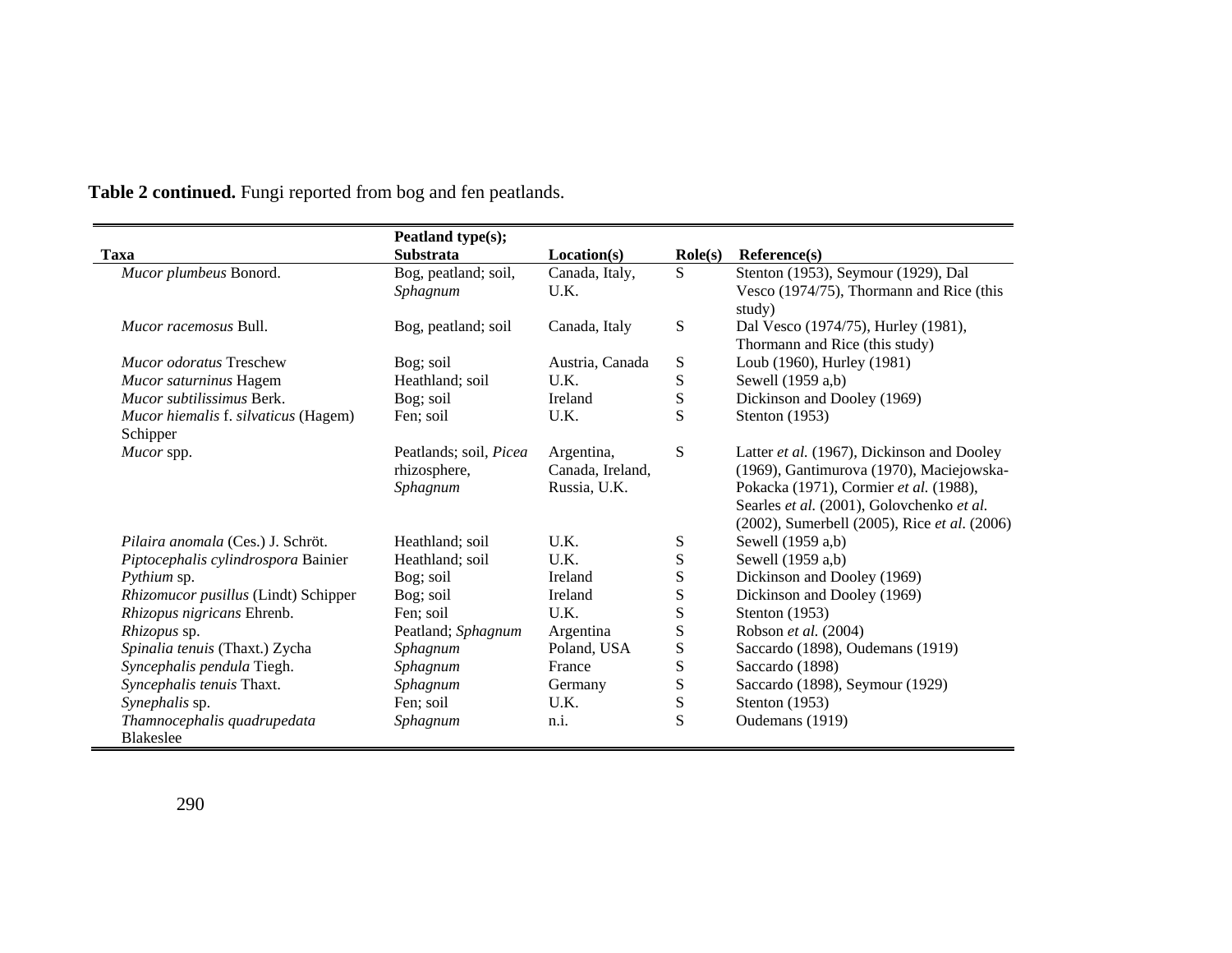|                                                  | Peatland type(s);                                  |                                                |                  |                                                                                                                                                                               |
|--------------------------------------------------|----------------------------------------------------|------------------------------------------------|------------------|-------------------------------------------------------------------------------------------------------------------------------------------------------------------------------|
| Taxa                                             | <b>Substrata</b>                                   | Location(s)                                    | $\text{Role}(s)$ | Reference(s)                                                                                                                                                                  |
| Mucor plumbeus Bonord.                           | Bog, peatland; soil,<br>Sphagnum                   | Canada, Italy,<br>U.K.                         | S                | Stenton (1953), Seymour (1929), Dal<br>Vesco (1974/75), Thormann and Rice (this<br>study)                                                                                     |
| <i>Mucor racemosus Bull.</i>                     | Bog, peatland; soil                                | Canada, Italy                                  | ${\bf S}$        | Dal Vesco (1974/75), Hurley (1981),<br>Thormann and Rice (this study)                                                                                                         |
| <i>Mucor odoratus</i> Treschew                   | Bog; soil                                          | Austria, Canada                                | S                | Loub (1960), Hurley (1981)                                                                                                                                                    |
| Mucor saturninus Hagem                           | Heathland; soil                                    | U.K.                                           | S                | Sewell (1959 a,b)                                                                                                                                                             |
| Mucor subtilissimus Berk.                        | Bog; soil                                          | Ireland                                        | S                | Dickinson and Dooley (1969)                                                                                                                                                   |
| Mucor hiemalis f. silvaticus (Hagem)<br>Schipper | Fen; soil                                          | U.K.                                           | S                | Stenton $(1953)$                                                                                                                                                              |
| Mucor spp.                                       | Peatlands; soil, Picea<br>rhizosphere,<br>Sphagnum | Argentina,<br>Canada, Ireland,<br>Russia, U.K. | ${\bf S}$        | Latter et al. (1967), Dickinson and Dooley<br>(1969), Gantimurova (1970), Maciejowska-<br>Pokacka (1971), Cormier et al. (1988),<br>Searles et al. (2001), Golovchenko et al. |
| Pilaira anomala (Ces.) J. Schröt.                | Heathland; soil                                    | U.K.                                           | S                | (2002), Sumerbell (2005), Rice et al. (2006)<br>Sewell (1959 a,b)                                                                                                             |
| Piptocephalis cylindrospora Bainier              | Heathland; soil                                    | U.K.                                           | ${\bf S}$        | Sewell (1959 a,b)                                                                                                                                                             |
| Pythium sp.                                      | Bog; soil                                          | Ireland                                        | S                | Dickinson and Dooley (1969)                                                                                                                                                   |
| Rhizomucor pusillus (Lindt) Schipper             | Bog; soil                                          | Ireland                                        | ${\bf S}$        | Dickinson and Dooley (1969)                                                                                                                                                   |
| Rhizopus nigricans Ehrenb.                       | Fen; soil                                          | U.K.                                           | S                | Stenton (1953)                                                                                                                                                                |
| Rhizopus sp.                                     | Peatland; Sphagnum                                 | Argentina                                      | S                | Robson et al. (2004)                                                                                                                                                          |
| Spinalia tenuis (Thaxt.) Zycha                   | Sphagnum                                           | Poland, USA                                    | $\mathbf S$      | Saccardo (1898), Oudemans (1919)                                                                                                                                              |
| Syncephalis pendula Tiegh.                       | Sphagnum                                           | France                                         | S                | Saccardo (1898)                                                                                                                                                               |
| Syncephalis tenuis Thaxt.                        | Sphagnum                                           | Germany                                        | ${\bf S}$        | Saccardo (1898), Seymour (1929)                                                                                                                                               |
| Synephalis sp.                                   | Fen; soil                                          | U.K.                                           | ${\bf S}$        | Stenton $(1953)$                                                                                                                                                              |
| Thamnocephalis quadrupedata<br><b>Blakeslee</b>  | Sphagnum                                           | n.i.                                           | S                | Oudemans (1919)                                                                                                                                                               |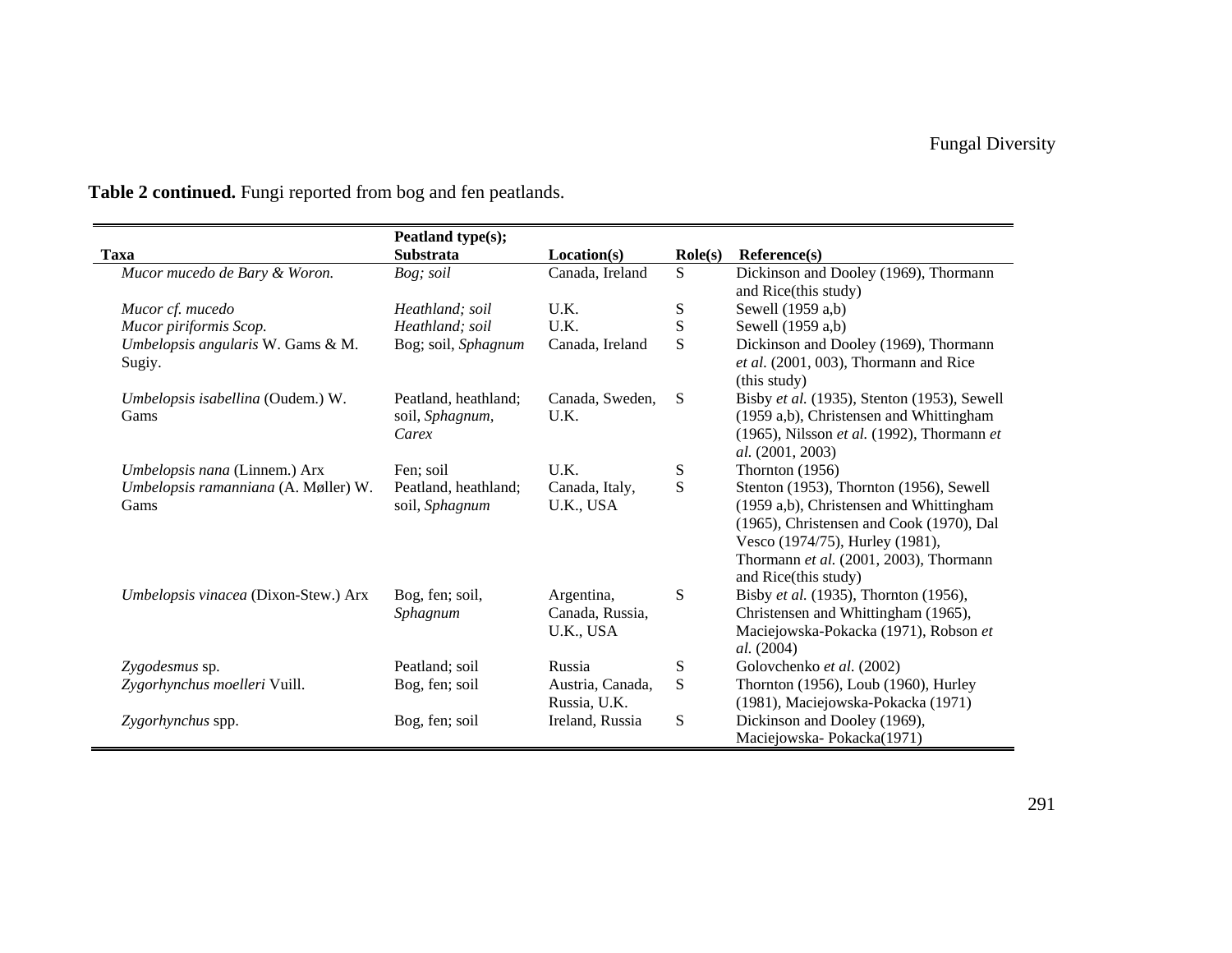|                                              | Peatland type(s);                                |                                            |                  |                                                                                                                                                                                                                                     |
|----------------------------------------------|--------------------------------------------------|--------------------------------------------|------------------|-------------------------------------------------------------------------------------------------------------------------------------------------------------------------------------------------------------------------------------|
| Taxa                                         | <b>Substrata</b>                                 | Location(s)                                | $\text{Role}(s)$ | Reference(s)                                                                                                                                                                                                                        |
| Mucor mucedo de Bary & Woron.                | Bog; soil                                        | Canada, Ireland                            | S                | Dickinson and Dooley (1969), Thormann<br>and Rice(this study)                                                                                                                                                                       |
| Mucor cf. mucedo                             | Heathland; soil                                  | U.K.                                       | ${\bf S}$        | Sewell (1959 a,b)                                                                                                                                                                                                                   |
| Mucor piriformis Scop.                       | Heathland; soil                                  | U.K.                                       | S                | Sewell (1959 a,b)                                                                                                                                                                                                                   |
| Umbelopsis angularis W. Gams & M.<br>Sugiy.  | Bog; soil, Sphagnum                              | Canada, Ireland                            | S                | Dickinson and Dooley (1969), Thormann<br>et al. (2001, 003), Thormann and Rice<br>(this study)                                                                                                                                      |
| Umbelopsis isabellina (Oudem.) W.<br>Gams    | Peatland, heathland;<br>soil, Sphagnum,<br>Carex | Canada, Sweden,<br>U.K.                    | S                | Bisby et al. (1935), Stenton (1953), Sewell<br>(1959 a,b), Christensen and Whittingham<br>(1965), Nilsson et al. (1992), Thormann et<br>al. (2001, 2003)                                                                            |
| Umbelopsis nana (Linnem.) Arx                | Fen; soil                                        | U.K.                                       | S                | Thornton $(1956)$                                                                                                                                                                                                                   |
| Umbelopsis ramanniana (A. Møller) W.<br>Gams | Peatland, heathland;<br>soil, Sphagnum           | Canada, Italy,<br>U.K., USA                | S                | Stenton (1953), Thornton (1956), Sewell<br>(1959 a,b), Christensen and Whittingham<br>(1965), Christensen and Cook (1970), Dal<br>Vesco (1974/75), Hurley (1981),<br>Thormann et al. (2001, 2003), Thormann<br>and Rice(this study) |
| Umbelopsis vinacea (Dixon-Stew.) Arx         | Bog, fen; soil,<br>Sphagnum                      | Argentina,<br>Canada, Russia,<br>U.K., USA | S                | Bisby et al. (1935), Thornton (1956),<br>Christensen and Whittingham (1965),<br>Maciejowska-Pokacka (1971), Robson et<br><i>al.</i> (2004)                                                                                          |
| Zygodesmus sp.                               | Peatland; soil                                   | Russia                                     | ${\bf S}$        | Golovchenko et al. (2002)                                                                                                                                                                                                           |
| Zygorhynchus moelleri Vuill.                 | Bog, fen; soil                                   | Austria, Canada,<br>Russia, U.K.           | ${\bf S}$        | Thornton (1956), Loub (1960), Hurley<br>(1981), Maciejowska-Pokacka (1971)                                                                                                                                                          |
| Zygorhynchus spp.                            | Bog, fen; soil                                   | Ireland, Russia                            | ${\bf S}$        | Dickinson and Dooley (1969),<br>Maciejowska-Pokacka(1971)                                                                                                                                                                           |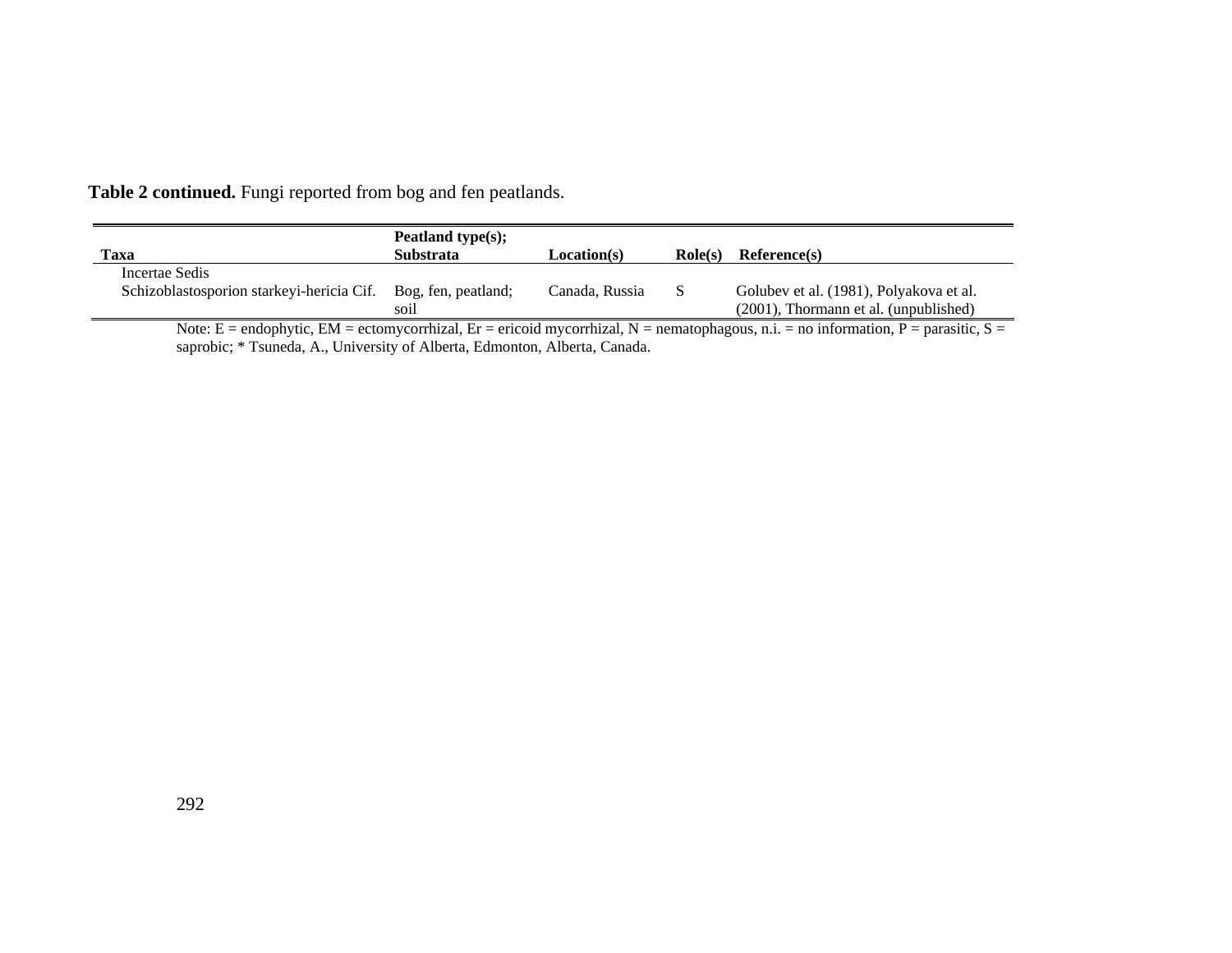|  |  | Table 2 continued. Fungi reported from bog and fen peatlands. |
|--|--|---------------------------------------------------------------|
|--|--|---------------------------------------------------------------|

| Taxa                                                                                                                                                                              | Peatland type $(s)$ ;<br><b>Substrata</b> | Location(s)    | $\textbf{Role}(s)$ | Reference(s)                                                                     |
|-----------------------------------------------------------------------------------------------------------------------------------------------------------------------------------|-------------------------------------------|----------------|--------------------|----------------------------------------------------------------------------------|
| Incertae Sedis<br>Schizoblastosporion starkeyi-hericia Cif.                                                                                                                       | Bog, fen, peatland;<br>soil               | Canada, Russia | S.                 | Golubev et al. (1981), Polyakova et al.<br>(2001), Thormann et al. (unpublished) |
| Note: $F = \text{endophytic EM} = \text{ectomycorrhizal}$ $Fr = \text{ericoid mycorrhizal}$ $N = \text{nematophagous}$ $n_i = \text{no information}$ $P = \text{nargistic}$ $S =$ |                                           |                |                    |                                                                                  |

Note: E = endophytic, EM = ectomycorrhizal, Er = ericoid mycorrhizal, N = nematophagous, n.i. = no information, P = parasitic, S = saprobic; \* Tsuneda, A., University of Alberta, Edmonton, Alberta, Canada.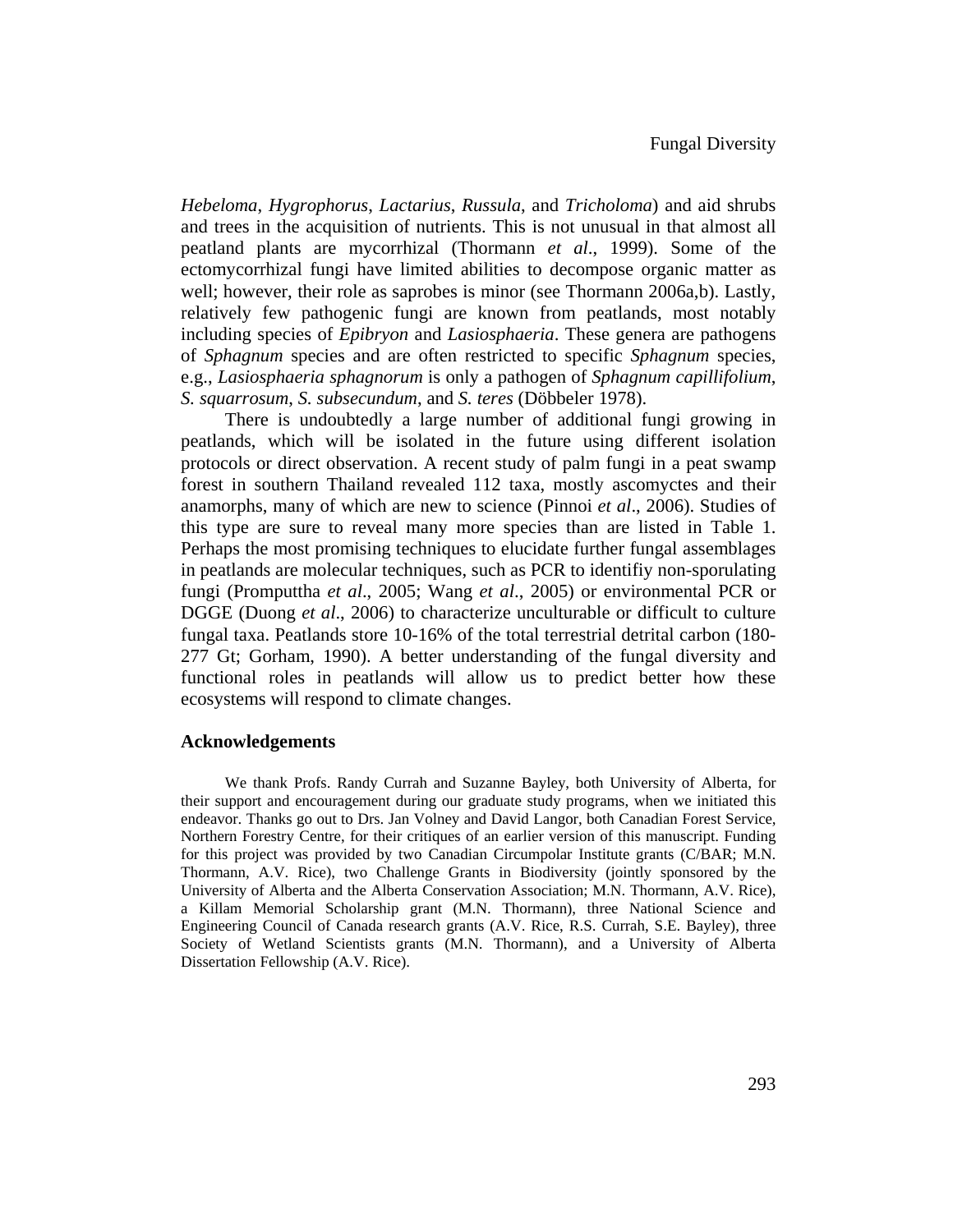*Hebeloma*, *Hygrophorus*, *Lactarius*, *Russula*, and *Tricholoma*) and aid shrubs and trees in the acquisition of nutrients. This is not unusual in that almost all peatland plants are mycorrhizal (Thormann *et al*., 1999). Some of the ectomycorrhizal fungi have limited abilities to decompose organic matter as well; however, their role as saprobes is minor (see Thormann 2006a,b). Lastly, relatively few pathogenic fungi are known from peatlands, most notably including species of *Epibryon* and *Lasiosphaeria*. These genera are pathogens of *Sphagnum* species and are often restricted to specific *Sphagnum* species, e.g., *Lasiosphaeria sphagnorum* is only a pathogen of *Sphagnum capillifolium*, *S. squarrosum*, *S. subsecundum*, and *S. teres* (Döbbeler 1978).

There is undoubtedly a large number of additional fungi growing in peatlands, which will be isolated in the future using different isolation protocols or direct observation. A recent study of palm fungi in a peat swamp forest in southern Thailand revealed 112 taxa, mostly ascomyctes and their anamorphs, many of which are new to science (Pinnoi *et al*., 2006). Studies of this type are sure to reveal many more species than are listed in Table 1. Perhaps the most promising techniques to elucidate further fungal assemblages in peatlands are molecular techniques, such as PCR to identifiy non-sporulating fungi (Promputtha *et al*., 2005; Wang *et al*., 2005) or environmental PCR or DGGE (Duong *et al*., 2006) to characterize unculturable or difficult to culture fungal taxa. Peatlands store 10-16% of the total terrestrial detrital carbon (180- 277 Gt; Gorham, 1990). A better understanding of the fungal diversity and functional roles in peatlands will allow us to predict better how these ecosystems will respond to climate changes.

### **Acknowledgements**

We thank Profs. Randy Currah and Suzanne Bayley, both University of Alberta, for their support and encouragement during our graduate study programs, when we initiated this endeavor. Thanks go out to Drs. Jan Volney and David Langor, both Canadian Forest Service, Northern Forestry Centre, for their critiques of an earlier version of this manuscript. Funding for this project was provided by two Canadian Circumpolar Institute grants (C/BAR; M.N. Thormann, A.V. Rice), two Challenge Grants in Biodiversity (jointly sponsored by the University of Alberta and the Alberta Conservation Association; M.N. Thormann, A.V. Rice), a Killam Memorial Scholarship grant (M.N. Thormann), three National Science and Engineering Council of Canada research grants (A.V. Rice, R.S. Currah, S.E. Bayley), three Society of Wetland Scientists grants (M.N. Thormann), and a University of Alberta Dissertation Fellowship (A.V. Rice).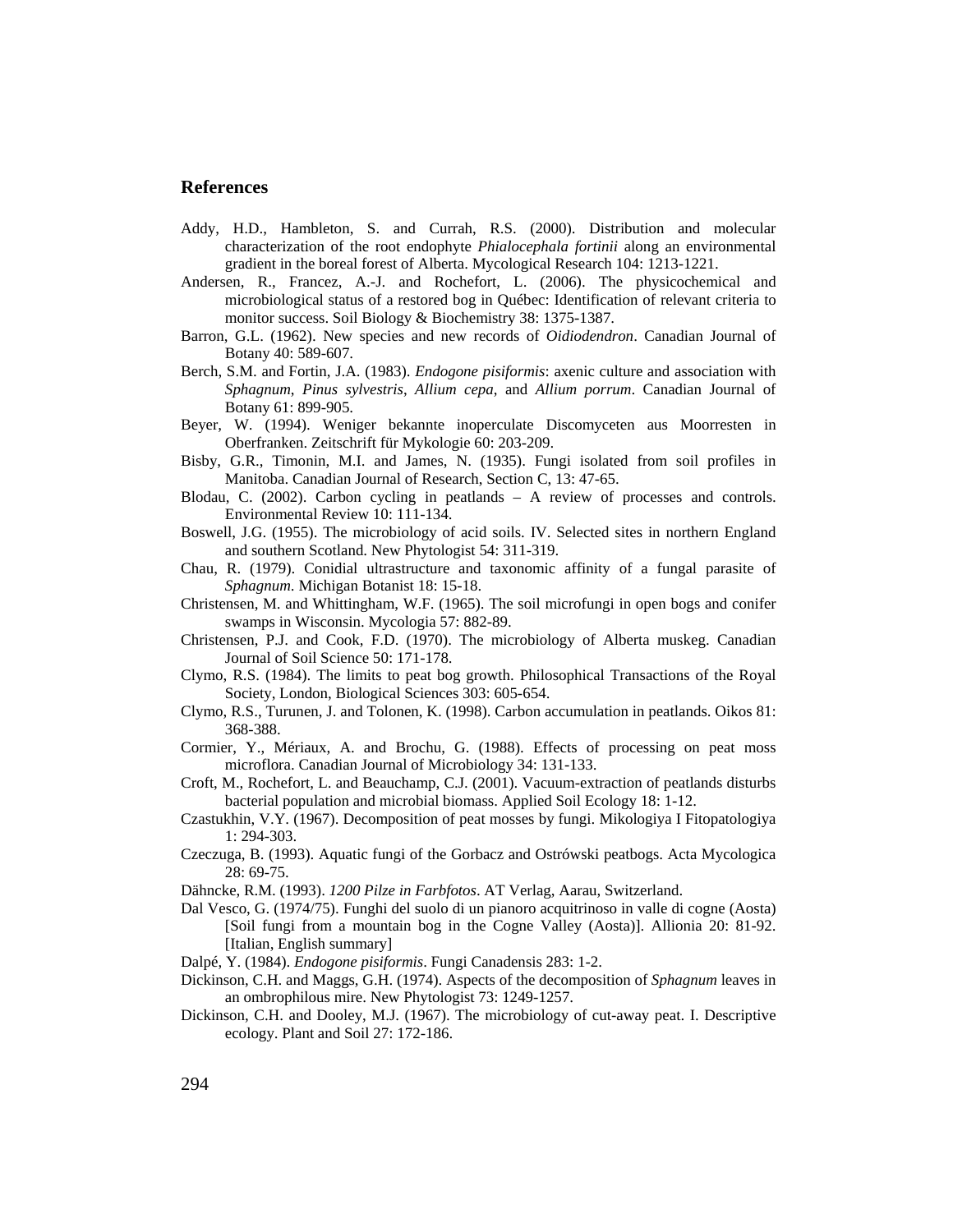### **References**

- Addy, H.D., Hambleton, S. and Currah, R.S. (2000). Distribution and molecular characterization of the root endophyte *Phialocephala fortinii* along an environmental gradient in the boreal forest of Alberta. Mycological Research 104: 1213-1221.
- Andersen, R., Francez, A.-J. and Rochefort, L. (2006). The physicochemical and microbiological status of a restored bog in Québec: Identification of relevant criteria to monitor success. Soil Biology & Biochemistry 38: 1375-1387.
- Barron, G.L. (1962). New species and new records of *Oidiodendron*. Canadian Journal of Botany 40: 589-607.
- Berch, S.M. and Fortin, J.A. (1983). *Endogone pisiformis*: axenic culture and association with *Sphagnum*, *Pinus sylvestris*, *Allium cepa*, and *Allium porrum*. Canadian Journal of Botany 61: 899-905.
- Beyer, W. (1994). Weniger bekannte inoperculate Discomyceten aus Moorresten in Oberfranken. Zeitschrift für Mykologie 60: 203-209.
- Bisby, G.R., Timonin, M.I. and James, N. (1935). Fungi isolated from soil profiles in Manitoba. Canadian Journal of Research, Section C, 13: 47-65.
- Blodau, C. (2002). Carbon cycling in peatlands A review of processes and controls. Environmental Review 10: 111-134.
- Boswell, J.G. (1955). The microbiology of acid soils. IV. Selected sites in northern England and southern Scotland. New Phytologist 54: 311-319.
- Chau, R. (1979). Conidial ultrastructure and taxonomic affinity of a fungal parasite of *Sphagnum*. Michigan Botanist 18: 15-18.
- Christensen, M. and Whittingham, W.F. (1965). The soil microfungi in open bogs and conifer swamps in Wisconsin. Mycologia 57: 882-89.
- Christensen, P.J. and Cook, F.D. (1970). The microbiology of Alberta muskeg. Canadian Journal of Soil Science 50: 171-178.
- Clymo, R.S. (1984). The limits to peat bog growth. Philosophical Transactions of the Royal Society, London, Biological Sciences 303: 605-654.
- Clymo, R.S., Turunen, J. and Tolonen, K. (1998). Carbon accumulation in peatlands. Oikos 81: 368-388.
- Cormier, Y., Mériaux, A. and Brochu, G. (1988). Effects of processing on peat moss microflora. Canadian Journal of Microbiology 34: 131-133.
- Croft, M., Rochefort, L. and Beauchamp, C.J. (2001). Vacuum-extraction of peatlands disturbs bacterial population and microbial biomass. Applied Soil Ecology 18: 1-12.
- Czastukhin, V.Y. (1967). Decomposition of peat mosses by fungi. Mikologiya I Fitopatologiya 1: 294-303.
- Czeczuga, B. (1993). Aquatic fungi of the Gorbacz and Ostrówski peatbogs. Acta Mycologica 28: 69-75.
- Dähncke, R.M. (1993). *1200 Pilze in Farbfotos*. AT Verlag, Aarau, Switzerland.
- Dal Vesco, G. (1974/75). Funghi del suolo di un pianoro acquitrinoso in valle di cogne (Aosta) [Soil fungi from a mountain bog in the Cogne Valley (Aosta)]. Allionia 20: 81-92. [Italian, English summary]
- Dalpé, Y. (1984). *Endogone pisiformis*. Fungi Canadensis 283: 1-2.
- Dickinson, C.H. and Maggs, G.H. (1974). Aspects of the decomposition of *Sphagnum* leaves in an ombrophilous mire. New Phytologist 73: 1249-1257.
- Dickinson, C.H. and Dooley, M.J. (1967). The microbiology of cut-away peat. I. Descriptive ecology. Plant and Soil 27: 172-186.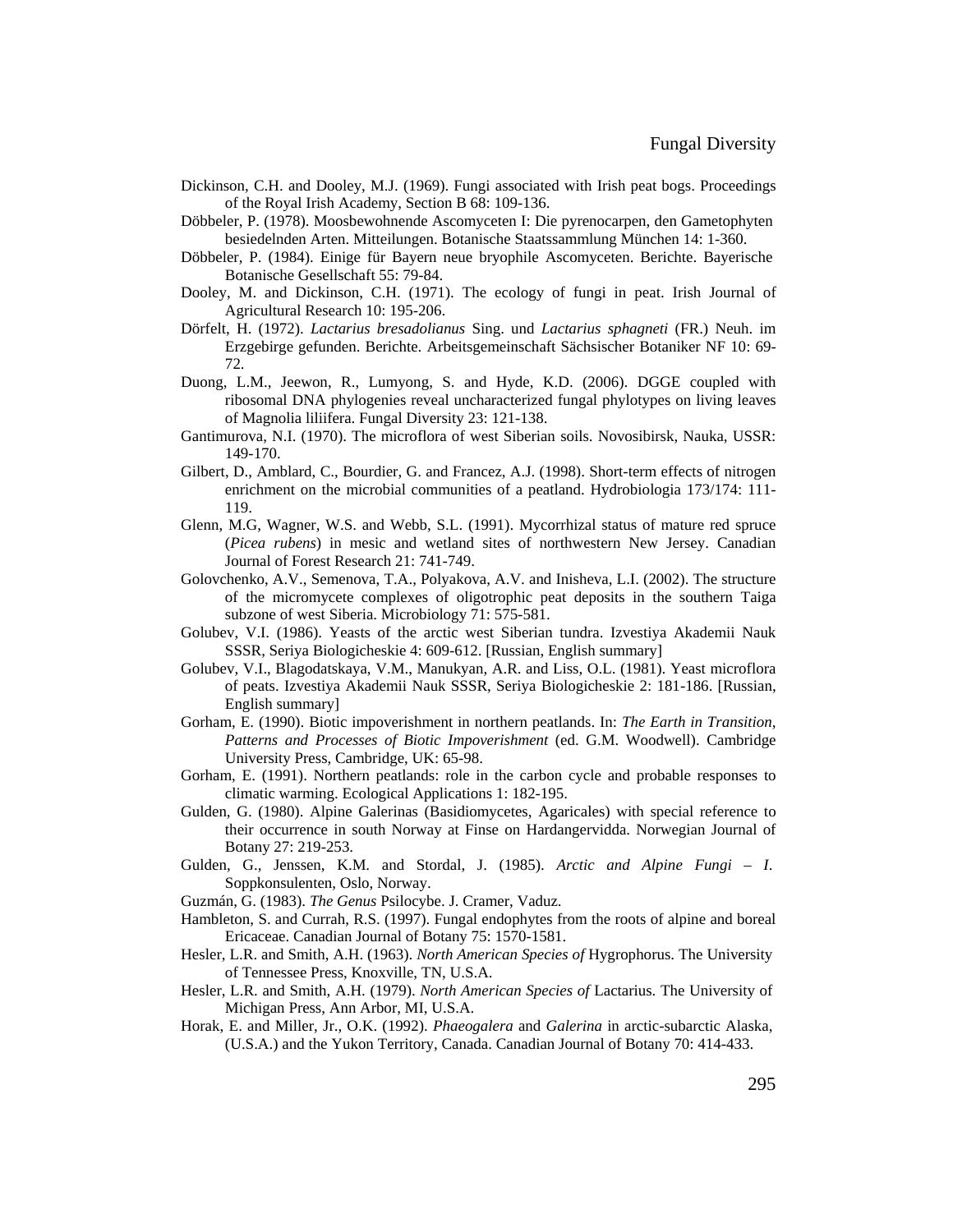- Dickinson, C.H. and Dooley, M.J. (1969). Fungi associated with Irish peat bogs. Proceedings of the Royal Irish Academy, Section B 68: 109-136.
- Döbbeler, P. (1978). Moosbewohnende Ascomyceten I: Die pyrenocarpen, den Gametophyten besiedelnden Arten. Mitteilungen. Botanische Staatssammlung München 14: 1-360.
- Döbbeler, P. (1984). Einige für Bayern neue bryophile Ascomyceten. Berichte. Bayerische Botanische Gesellschaft 55: 79-84.
- Dooley, M. and Dickinson, C.H. (1971). The ecology of fungi in peat. Irish Journal of Agricultural Research 10: 195-206.
- Dörfelt, H. (1972). *Lactarius bresadolianus* Sing. und *Lactarius sphagneti* (FR.) Neuh. im Erzgebirge gefunden. Berichte. Arbeitsgemeinschaft Sächsischer Botaniker NF 10: 69- 72.
- Duong, L.M., Jeewon, R., Lumyong, S. and Hyde, K.D. (2006). DGGE coupled with ribosomal DNA phylogenies reveal uncharacterized fungal phylotypes on living leaves of Magnolia liliifera. Fungal Diversity 23: 121-138.
- Gantimurova, N.I. (1970). The microflora of west Siberian soils. Novosibirsk, Nauka, USSR: 149-170.
- Gilbert, D., Amblard, C., Bourdier, G. and Francez, A.J. (1998). Short-term effects of nitrogen enrichment on the microbial communities of a peatland. Hydrobiologia 173/174: 111- 119.
- Glenn, M.G, Wagner, W.S. and Webb, S.L. (1991). Mycorrhizal status of mature red spruce (*Picea rubens*) in mesic and wetland sites of northwestern New Jersey. Canadian Journal of Forest Research 21: 741-749.
- Golovchenko, A.V., Semenova, T.A., Polyakova, A.V. and Inisheva, L.I. (2002). The structure of the micromycete complexes of oligotrophic peat deposits in the southern Taiga subzone of west Siberia. Microbiology 71: 575-581.
- Golubev, V.I. (1986). Yeasts of the arctic west Siberian tundra. Izvestiya Akademii Nauk SSSR, Seriya Biologicheskie 4: 609-612. [Russian, English summary]
- Golubev, V.I., Blagodatskaya, V.M., Manukyan, A.R. and Liss, O.L. (1981). Yeast microflora of peats. Izvestiya Akademii Nauk SSSR, Seriya Biologicheskie 2: 181-186. [Russian, English summary]
- Gorham, E. (1990). Biotic impoverishment in northern peatlands. In: *The Earth in Transition, Patterns and Processes of Biotic Impoverishment* (ed. G.M. Woodwell). Cambridge University Press, Cambridge, UK: 65-98.
- Gorham, E. (1991). Northern peatlands: role in the carbon cycle and probable responses to climatic warming. Ecological Applications 1: 182-195.
- Gulden, G. (1980). Alpine Galerinas (Basidiomycetes, Agaricales) with special reference to their occurrence in south Norway at Finse on Hardangervidda. Norwegian Journal of Botany 27: 219-253.
- Gulden, G., Jenssen, K.M. and Stordal, J. (1985). *Arctic and Alpine Fungi – I*. Soppkonsulenten, Oslo, Norway.
- Guzmán, G. (1983). *The Genus* Psilocybe. J. Cramer, Vaduz.
- Hambleton, S. and Currah, R.S. (1997). Fungal endophytes from the roots of alpine and boreal Ericaceae. Canadian Journal of Botany 75: 1570-1581.
- Hesler, L.R. and Smith, A.H. (1963). *North American Species of* Hygrophorus. The University of Tennessee Press, Knoxville, TN, U.S.A.
- Hesler, L.R. and Smith, A.H. (1979). *North American Species of* Lactarius. The University of Michigan Press, Ann Arbor, MI, U.S.A.
- Horak, E. and Miller, Jr., O.K. (1992). *Phaeogalera* and *Galerina* in arctic-subarctic Alaska, (U.S.A.) and the Yukon Territory, Canada. Canadian Journal of Botany 70: 414-433.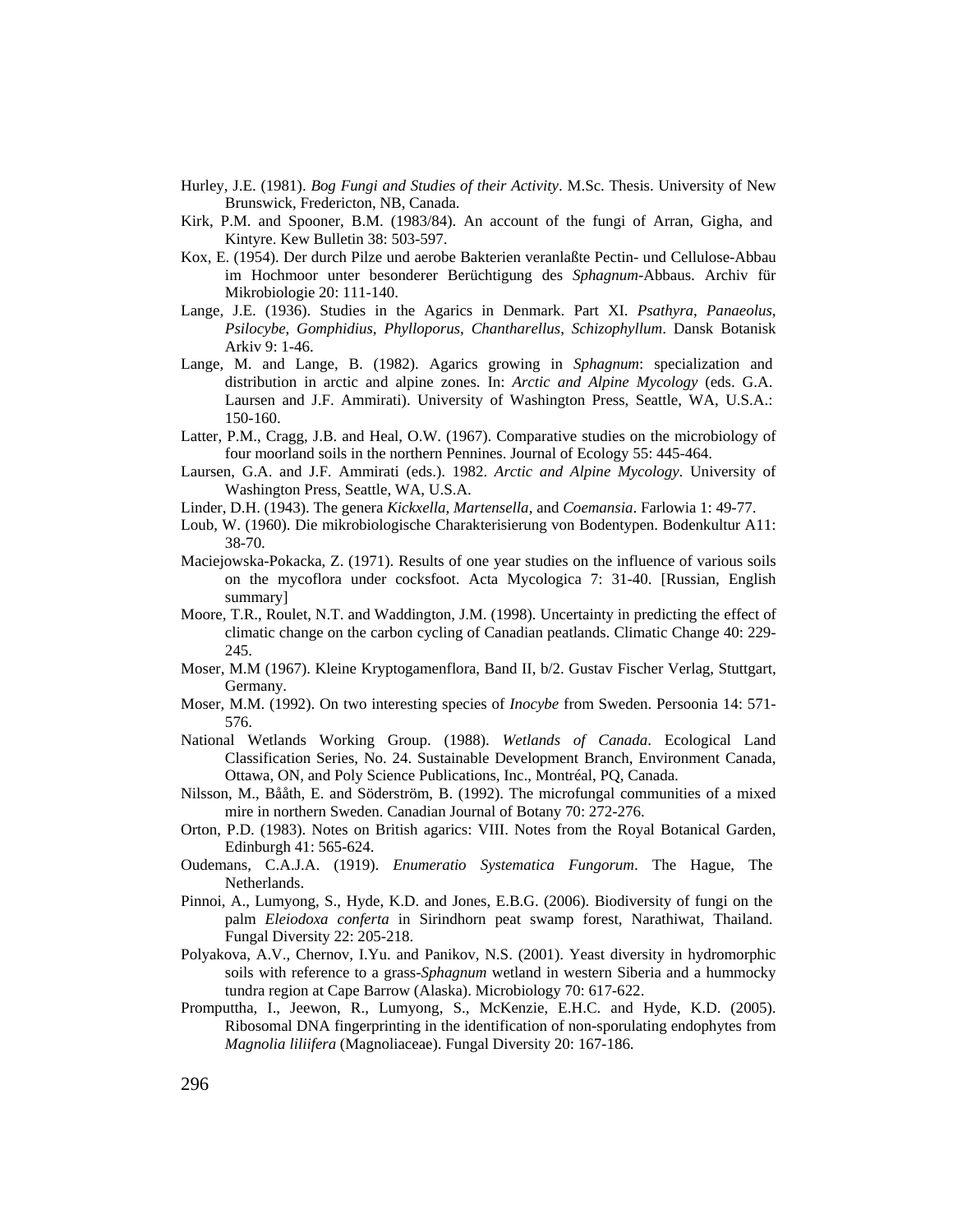- Hurley, J.E. (1981). *Bog Fungi and Studies of their Activity*. M.Sc. Thesis. University of New Brunswick, Fredericton, NB, Canada.
- Kirk, P.M. and Spooner, B.M. (1983/84). An account of the fungi of Arran, Gigha, and Kintyre. Kew Bulletin 38: 503-597.
- Kox, E. (1954). Der durch Pilze und aerobe Bakterien veranlaßte Pectin- und Cellulose-Abbau im Hochmoor unter besonderer Berüchtigung des *Sphagnum*-Abbaus. Archiv für Mikrobiologie 20: 111-140.
- Lange, J.E. (1936). Studies in the Agarics in Denmark. Part XI. *Psathyra*, *Panaeolus*, *Psilocybe*, *Gomphidius*, *Phylloporus*, *Chantharellus*, *Schizophyllum*. Dansk Botanisk Arkiv 9: 1-46.
- Lange, M. and Lange, B. (1982). Agarics growing in *Sphagnum*: specialization and distribution in arctic and alpine zones. In: *Arctic and Alpine Mycology* (eds. G.A. Laursen and J.F. Ammirati). University of Washington Press, Seattle, WA, U.S.A.: 150-160.
- Latter, P.M., Cragg, J.B. and Heal, O.W. (1967). Comparative studies on the microbiology of four moorland soils in the northern Pennines. Journal of Ecology 55: 445-464.
- Laursen, G.A. and J.F. Ammirati (eds.). 1982. *Arctic and Alpine Mycology*. University of Washington Press, Seattle, WA, U.S.A.
- Linder, D.H. (1943). The genera *Kickxella*, *Martensella*, and *Coemansia*. Farlowia 1: 49-77.
- Loub, W. (1960). Die mikrobiologische Charakterisierung von Bodentypen. Bodenkultur A11: 38-70.
- Maciejowska-Pokacka, Z. (1971). Results of one year studies on the influence of various soils on the mycoflora under cocksfoot. Acta Mycologica 7: 31-40. [Russian, English summary]
- Moore, T.R., Roulet, N.T. and Waddington, J.M. (1998). Uncertainty in predicting the effect of climatic change on the carbon cycling of Canadian peatlands. Climatic Change 40: 229- 245.
- Moser, M.M (1967). Kleine Kryptogamenflora, Band II, b/2. Gustav Fischer Verlag, Stuttgart, Germany.
- Moser, M.M. (1992). On two interesting species of *Inocybe* from Sweden. Persoonia 14: 571- 576.
- National Wetlands Working Group. (1988). *Wetlands of Canada*. Ecological Land Classification Series, No. 24. Sustainable Development Branch, Environment Canada, Ottawa, ON, and Poly Science Publications, Inc., Montréal, PQ, Canada.
- Nilsson, M., Bååth, E. and Söderström, B. (1992). The microfungal communities of a mixed mire in northern Sweden. Canadian Journal of Botany 70: 272-276.
- Orton, P.D. (1983). Notes on British agarics: VIII. Notes from the Royal Botanical Garden, Edinburgh 41: 565-624.
- Oudemans, C.A.J.A. (1919). *Enumeratio Systematica Fungorum*. The Hague, The Netherlands.
- Pinnoi, A., Lumyong, S., Hyde, K.D. and Jones, E.B.G. (2006). Biodiversity of fungi on the palm *Eleiodoxa conferta* in Sirindhorn peat swamp forest, Narathiwat, Thailand. Fungal Diversity 22: 205-218.
- Polyakova, A.V., Chernov, I.Yu. and Panikov, N.S. (2001). Yeast diversity in hydromorphic soils with reference to a grass-*Sphagnum* wetland in western Siberia and a hummocky tundra region at Cape Barrow (Alaska). Microbiology 70: 617-622.
- Promputtha, I., Jeewon, R., Lumyong, S., McKenzie, E.H.C. and Hyde, K.D. (2005). Ribosomal DNA fingerprinting in the identification of non-sporulating endophytes from *Magnolia liliifera* (Magnoliaceae). Fungal Diversity 20: 167-186.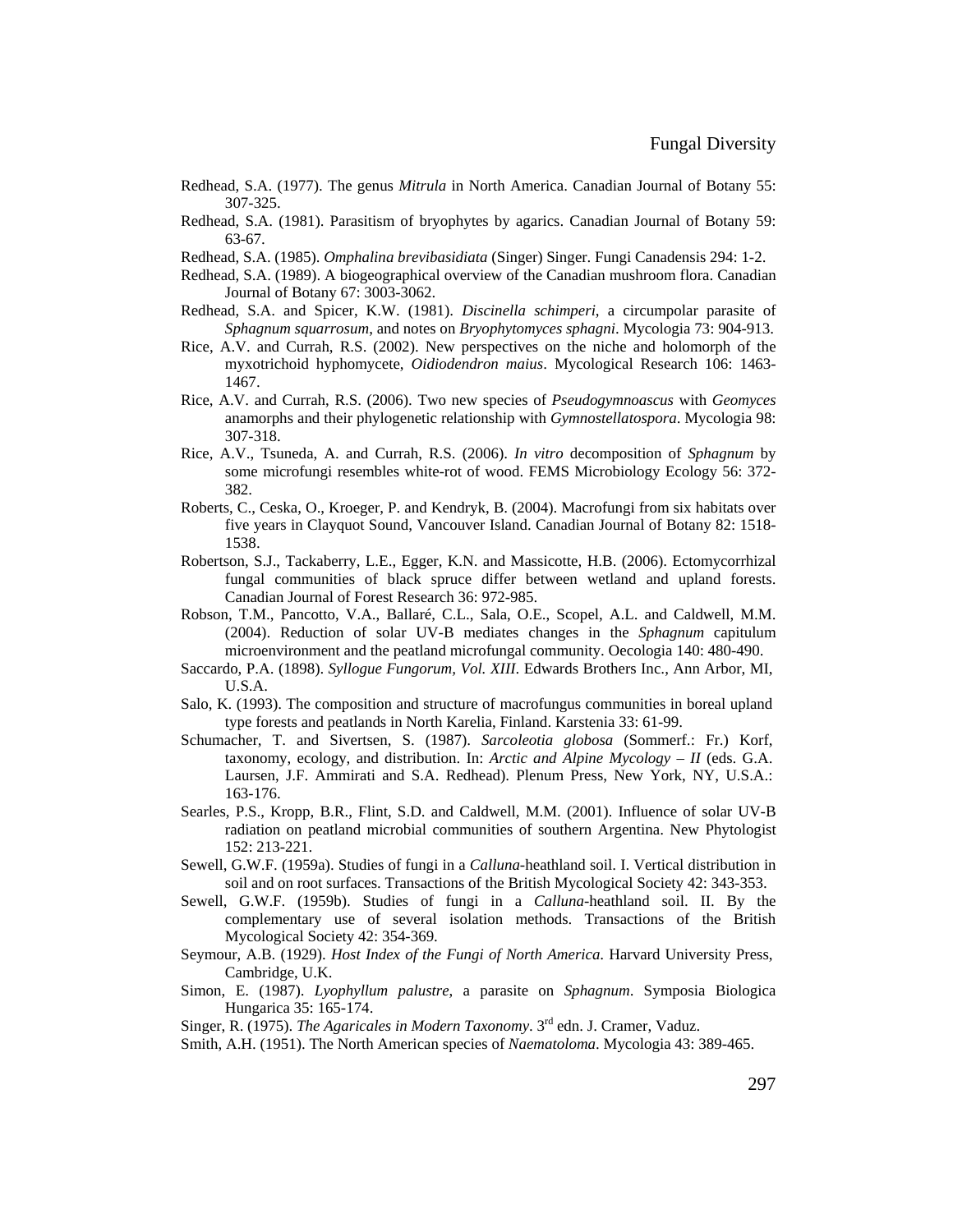- Redhead, S.A. (1977). The genus *Mitrula* in North America. Canadian Journal of Botany 55: 307-325.
- Redhead, S.A. (1981). Parasitism of bryophytes by agarics. Canadian Journal of Botany 59: 63-67.
- Redhead, S.A. (1985). *Omphalina brevibasidiata* (Singer) Singer. Fungi Canadensis 294: 1-2.
- Redhead, S.A. (1989). A biogeographical overview of the Canadian mushroom flora. Canadian Journal of Botany 67: 3003-3062.
- Redhead, S.A. and Spicer, K.W. (1981). *Discinella schimperi*, a circumpolar parasite of *Sphagnum squarrosum*, and notes on *Bryophytomyces sphagni*. Mycologia 73: 904-913.
- Rice, A.V. and Currah, R.S. (2002). New perspectives on the niche and holomorph of the myxotrichoid hyphomycete, *Oidiodendron maius*. Mycological Research 106: 1463- 1467.
- Rice, A.V. and Currah, R.S. (2006). Two new species of *Pseudogymnoascus* with *Geomyces* anamorphs and their phylogenetic relationship with *Gymnostellatospora*. Mycologia 98: 307-318.
- Rice, A.V., Tsuneda, A. and Currah, R.S. (2006). *In vitro* decomposition of *Sphagnum* by some microfungi resembles white-rot of wood. FEMS Microbiology Ecology 56: 372- 382.
- Roberts, C., Ceska, O., Kroeger, P. and Kendryk, B. (2004). Macrofungi from six habitats over five years in Clayquot Sound, Vancouver Island. Canadian Journal of Botany 82: 1518- 1538.
- Robertson, S.J., Tackaberry, L.E., Egger, K.N. and Massicotte, H.B. (2006). Ectomycorrhizal fungal communities of black spruce differ between wetland and upland forests. Canadian Journal of Forest Research 36: 972-985.
- Robson, T.M., Pancotto, V.A., Ballaré, C.L., Sala, O.E., Scopel, A.L. and Caldwell, M.M. (2004). Reduction of solar UV-B mediates changes in the *Sphagnum* capitulum microenvironment and the peatland microfungal community. Oecologia 140: 480-490.
- Saccardo, P.A. (1898). *Syllogue Fungorum, Vol. XIII*. Edwards Brothers Inc., Ann Arbor, MI, U.S.A.
- Salo, K. (1993). The composition and structure of macrofungus communities in boreal upland type forests and peatlands in North Karelia, Finland. Karstenia 33: 61-99.
- Schumacher, T. and Sivertsen, S. (1987). *Sarcoleotia globosa* (Sommerf.: Fr.) Korf, taxonomy, ecology, and distribution. In: *Arctic and Alpine Mycology – II* (eds. G.A. Laursen, J.F. Ammirati and S.A. Redhead). Plenum Press, New York, NY, U.S.A.: 163-176.
- Searles, P.S., Kropp, B.R., Flint, S.D. and Caldwell, M.M. (2001). Influence of solar UV-B radiation on peatland microbial communities of southern Argentina. New Phytologist 152: 213-221.
- Sewell, G.W.F. (1959a). Studies of fungi in a *Calluna*-heathland soil. I. Vertical distribution in soil and on root surfaces. Transactions of the British Mycological Society 42: 343-353.
- Sewell, G.W.F. (1959b). Studies of fungi in a *Calluna*-heathland soil. II. By the complementary use of several isolation methods. Transactions of the British Mycological Society 42: 354-369.
- Seymour, A.B. (1929). *Host Index of the Fungi of North America*. Harvard University Press, Cambridge, U.K.
- Simon, E. (1987). *Lyophyllum palustre*, a parasite on *Sphagnum*. Symposia Biologica Hungarica 35: 165-174.
- Singer, R. (1975). *The Agaricales in Modern Taxonomy*. 3rd edn. J. Cramer, Vaduz.
- Smith, A.H. (1951). The North American species of *Naematoloma*. Mycologia 43: 389-465.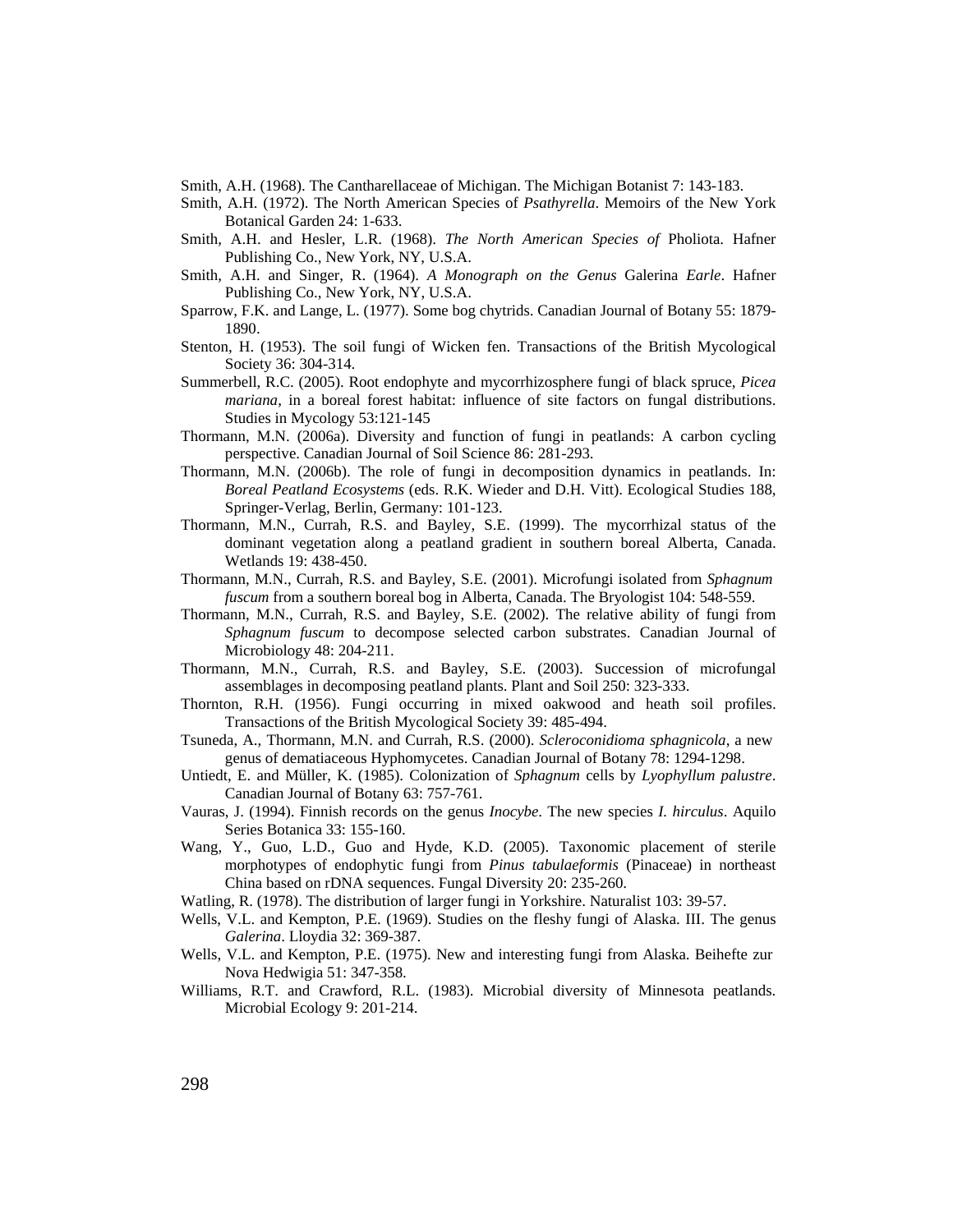Smith, A.H. (1968). The Cantharellaceae of Michigan. The Michigan Botanist 7: 143-183.

- Smith, A.H. (1972). The North American Species of *Psathyrella*. Memoirs of the New York Botanical Garden 24: 1-633.
- Smith, A.H. and Hesler, L.R. (1968). *The North American Species of* Pholiota. Hafner Publishing Co., New York, NY, U.S.A.
- Smith, A.H. and Singer, R. (1964). *A Monograph on the Genus* Galerina *Earle*. Hafner Publishing Co., New York, NY, U.S.A.
- Sparrow, F.K. and Lange, L. (1977). Some bog chytrids. Canadian Journal of Botany 55: 1879- 1890.
- Stenton, H. (1953). The soil fungi of Wicken fen. Transactions of the British Mycological Society 36: 304-314.
- Summerbell, R.C. (2005). Root endophyte and mycorrhizosphere fungi of black spruce, *Picea mariana*, in a boreal forest habitat: influence of site factors on fungal distributions. Studies in Mycology 53:121-145
- Thormann, M.N. (2006a). Diversity and function of fungi in peatlands: A carbon cycling perspective. Canadian Journal of Soil Science 86: 281-293.
- Thormann, M.N. (2006b). The role of fungi in decomposition dynamics in peatlands. In: *Boreal Peatland Ecosystems* (eds. R.K. Wieder and D.H. Vitt). Ecological Studies 188, Springer-Verlag, Berlin, Germany: 101-123.
- Thormann, M.N., Currah, R.S. and Bayley, S.E. (1999). The mycorrhizal status of the dominant vegetation along a peatland gradient in southern boreal Alberta, Canada. Wetlands 19: 438-450.
- Thormann, M.N., Currah, R.S. and Bayley, S.E. (2001). Microfungi isolated from *Sphagnum fuscum* from a southern boreal bog in Alberta, Canada. The Bryologist 104: 548-559.
- Thormann, M.N., Currah, R.S. and Bayley, S.E. (2002). The relative ability of fungi from *Sphagnum fuscum* to decompose selected carbon substrates. Canadian Journal of Microbiology 48: 204-211.
- Thormann, M.N., Currah, R.S. and Bayley, S.E. (2003). Succession of microfungal assemblages in decomposing peatland plants. Plant and Soil 250: 323-333.
- Thornton, R.H. (1956). Fungi occurring in mixed oakwood and heath soil profiles. Transactions of the British Mycological Society 39: 485-494.
- Tsuneda, A., Thormann, M.N. and Currah, R.S. (2000). *Scleroconidioma sphagnicola*, a new genus of dematiaceous Hyphomycetes. Canadian Journal of Botany 78: 1294-1298.
- Untiedt, E. and Müller, K. (1985). Colonization of *Sphagnum* cells by *Lyophyllum palustre*. Canadian Journal of Botany 63: 757-761.
- Vauras, J. (1994). Finnish records on the genus *Inocybe*. The new species *I. hirculus*. Aquilo Series Botanica 33: 155-160.
- Wang, Y., Guo, L.D., Guo and Hyde, K.D. (2005). Taxonomic placement of sterile morphotypes of endophytic fungi from *Pinus tabulaeformis* (Pinaceae) in northeast China based on rDNA sequences. Fungal Diversity 20: 235-260.
- Watling, R. (1978). The distribution of larger fungi in Yorkshire. Naturalist 103: 39-57.
- Wells, V.L. and Kempton, P.E. (1969). Studies on the fleshy fungi of Alaska. III. The genus *Galerina*. Lloydia 32: 369-387.
- Wells, V.L. and Kempton, P.E. (1975). New and interesting fungi from Alaska. Beihefte zur Nova Hedwigia 51: 347-358.
- Williams, R.T. and Crawford, R.L. (1983). Microbial diversity of Minnesota peatlands. Microbial Ecology 9: 201-214.